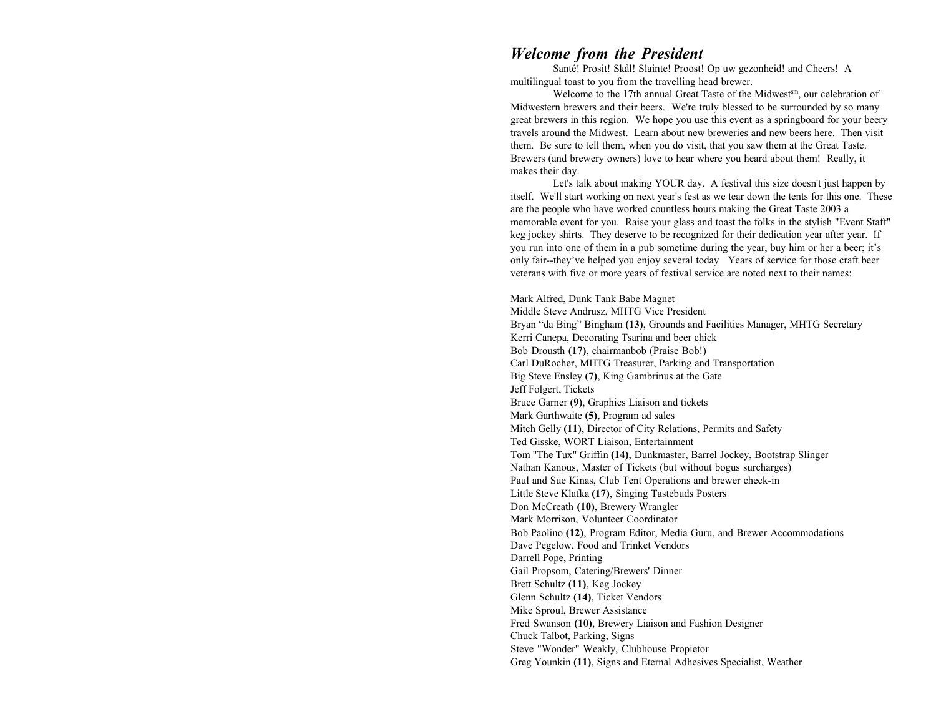# *Welcome from the President*

Santé! Prosit! Skål! Slainte! Proost! Op uw gezonheid! and Cheers! A multilingual toast to you from the travelling head brewer.

Welcome to the 17th annual Great Taste of the Midwest<sup>sm</sup>, our celebration of Midwestern brewers and their beers. We're truly blessed to be surrounded by so many great brewers in this region. We hope you use this event as a springboard for your beery travels around the Midwest. Learn about new breweries and new beers here. Then visit them. Be sure to tell them, when you do visit, that you saw them at the Great Taste. Brewers (and brewery owners) love to hear where you heard about them! Really, it makes their day.

Let's talk about making YOUR day. A festival this size doesn't just happen by itself. We'll start working on next year's fest as we tear down the tents for this one. These are the people who have worked countless hours making the Great Taste 2003 a memorable event for you. Raise your glass and toast the folks in the stylish "Event Staff" keg jockey shirts. They deserve to be recognized for their dedication year after year. If you run into one of them in a pub sometime during the year, buy him or her a beer; it's only fair--they've helped you enjoy several today Years of service for those craft beer veterans with five or more years of festival service are noted next to their names:

Mark Alfred, Dunk Tank Babe Magnet Middle Steve Andrusz, MHTG Vice President Bryan "da Bing" Bingham **(13)**, Grounds and Facilities Manager, MHTG Secretary Kerri Canepa, Decorating Tsarina and beer chick Bob Drousth **(17)**, chairmanbob (Praise Bob!) Carl DuRocher, MHTG Treasurer, Parking and Transportation Big Steve Ensley **(7)**, King Gambrinus at the Gate Jeff Folgert, Tickets Bruce Garner **(9)**, Graphics Liaison and tickets Mark Garthwaite **(5)**, Program ad sales Mitch Gelly **(11)**, Director of City Relations, Permits and Safety Ted Gisske, WORT Liaison, Entertainment Tom "The Tux" Griffin **(14)**, Dunkmaster, Barrel Jockey, Bootstrap Slinger Nathan Kanous, Master of Tickets (but without bogus surcharges) Paul and Sue Kinas, Club Tent Operations and brewer check-in Little Steve Klafka **(17)**, Singing Tastebuds Posters Don McCreath **(10)**, Brewery Wrangler Mark Morrison, Volunteer Coordinator Bob Paolino **(12)**, Program Editor, Media Guru, and Brewer Accommodations Dave Pegelow, Food and Trinket Vendors Darrell Pope, Printing Gail Propsom, Catering/Brewers' Dinner Brett Schultz **(11)**, Keg Jockey Glenn Schultz **(14)**, Ticket Vendors Mike Sproul, Brewer Assistance Fred Swanson **(10)**, Brewery Liaison and Fashion Designer Chuck Talbot, Parking, Signs Steve "Wonder" Weakly, Clubhouse Propietor Greg Younkin **(11)**, Signs and Eternal Adhesives Specialist, Weather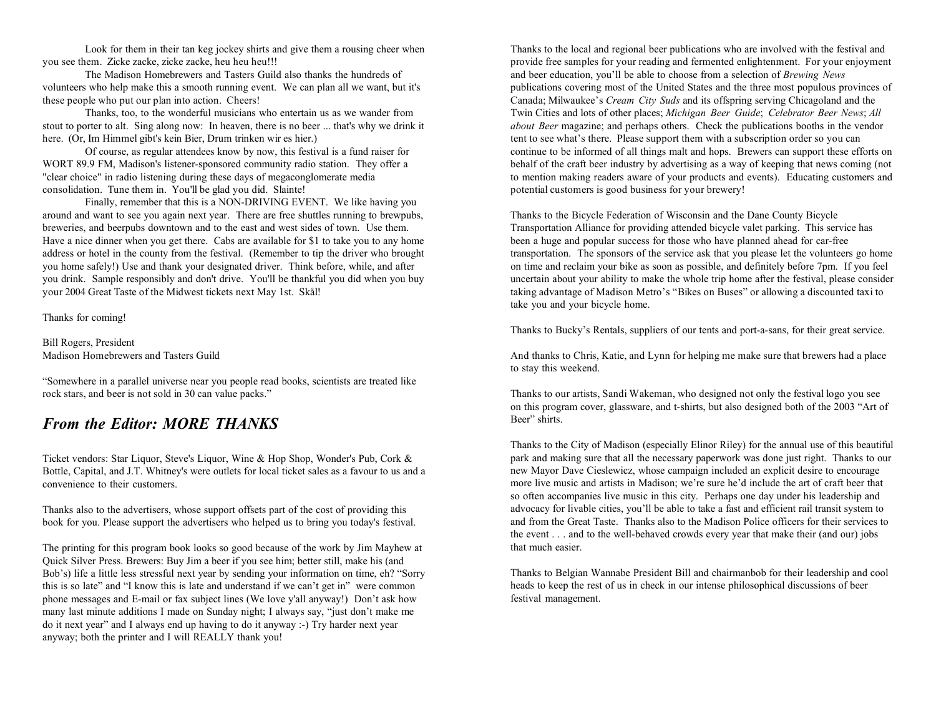these people who put our plan into action. Cheers! Canada; Milwaukee's *Cream City Suds* and its offspring serving Chicagoland and the

stout to porter to alt. Sing along now: In heaven, there is no beer ... that's why we drink it *about Beer* magazine; and perhaps others. Check the publications booths in the vendor here. (Or, Im Himmel gibt's kein Bier, Drum trinken wir es hier.) tent to see what's there. Please support them with a subscription order so you can

consolidation. Tune them in. You'll be glad you did. Slainte! potential customers is good business for your brewery!

Finally, remember that this is a NON-DRIVING EVENT. We like having you around and want to see you again next year. There are free shuttles running to brewpubs, Thanks to the Bicycle Federation of Wisconsin and the Dane County Bicycle breweries, and beerpubs downtown and to the east and west sides of town. Use them. Transportation Alliance for providing attended bicycle valet parking. This service has Have a nice dinner when you get there. Cabs are available for \$1 to take you to any home been a huge and popular success for those who have planned ahead for car-free you home safely!) Use and thank your designated driver. Think before, while, and after on time and reclaim your bike as soon as possible, and definitely before 7pm. If you feel your 2004 Great Taste of the Midwest tickets next May 1st. Skål! taking advantage of Madison Metro's "Bikes on Buses" or allowing a discounted taxi to

Thanks for coming!

Bill Rogers, President

"Somewhere in a parallel universe near you people read books, scientists are treated like rock stars, and beer is not sold in 30 can value packs." Thanks to our artists, Sandi Wakeman, who designed not only the festival logo you see

# *From the Editor: MORE THANKS*

Ticket vendors: Star Liquor, Steve's Liquor, Wine & Hop Shop, Wonder's Pub, Cork & Bottle, Capital, and J.T. Whitney's were outlets for local ticket sales as a favour to us and a convenience to their customers.

Thanks also to the advertisers, whose support offsets part of the cost of providing this book for you. Please support the advertisers who helped us to bring you today's festival.

The printing for this program book looks so good because of the work by Jim Mayhew at Quick Silver Press. Brewers: Buy Jim a beer if you see him; better still, make his (and Bob's) life a little less stressful next year by sending your information on time, eh? "Sorry this is so late" and "I know this is late and understand if we can't get in" were common phone messages and E-mail or fax subject lines (We love y'all anyway!) Don't ask how many last minute additions I made on Sunday night; I always say, "just don't make me do it next year" and I always end up having to do it anyway :-) Try harder next year anyway; both the printer and I will REALLY thank you!

Look for them in their tan keg jockey shirts and give them a rousing cheer when Thanks to the local and regional beer publications who are involved with the festival and you see them. Zicke zacke, zicke zacke, heu heu heu!!! provide free samples for your reading and fermented enlightenment. For your enjoyment The Madison Homebrewers and Tasters Guild also thanks the hundreds of and beer education, you'll be able to choose from a selection of *Brewing News* volunteers who help make this a smooth running event. We can plan all we want, but it's publications covering most of the United States and the three most populous provinces of Thanks, too, to the wonderful musicians who entertain us as we wander from Twin Cities and lots of other places; *Michigan Beer Guide*; *Celebrator Beer News*; *All* Of course, as regular attendees know by now, this festival is a fund raiser for<br>WORT 89.9 FM, Madison's listener-sponsored community radio station. They offer a behalf of the craft beer industry by advertising as a way of behalf of the craft beer industry by advertising as a way of keeping that news coming (not "clear choice" in radio listening during these days of megaconglomerate media to mention making readers aware of your products and events). Educating customers and

address or hotel in the county from the festival. (Remember to tip the driver who brought transportation. The sponsors of the service ask that you please let the volunteers go home you drink. Sample responsibly and don't drive. You'll be thankful you did when you buy uncertain about your ability to make the whole trip home after the festival, please consider take you and your bicycle home.

Thanks to Bucky's Rentals, suppliers of our tents and port-a-sans, for their great service.

Madison Homebrewers and Tasters Guild **And thanks to Chris, Katie, and Lynn for helping me make sure that brewers had a place** to stay this weekend.

> on this program cover, glassware, and t-shirts, but also designed both of the 2003 "Art of Beer" shirts.

Thanks to the City of Madison (especially Elinor Riley) for the annual use of this beautiful park and making sure that all the necessary paperwork was done just right. Thanks to our new Mayor Dave Cieslewicz, whose campaign included an explicit desire to encourage more live music and artists in Madison; we're sure he'd include the art of craft beer that so often accompanies live music in this city. Perhaps one day under his leadership and advocacy for livable cities, you'll be able to take a fast and efficient rail transit system to and from the Great Taste. Thanks also to the Madison Police officers for their services tothe event . . . and to the well-behaved crowds every year that make their (and our) jobs that much easier.

Thanks to Belgian Wannabe President Bill and chairmanbob for their leadership and cool heads to keep the rest of us in check in our intense philosophical discussions of beer festival management.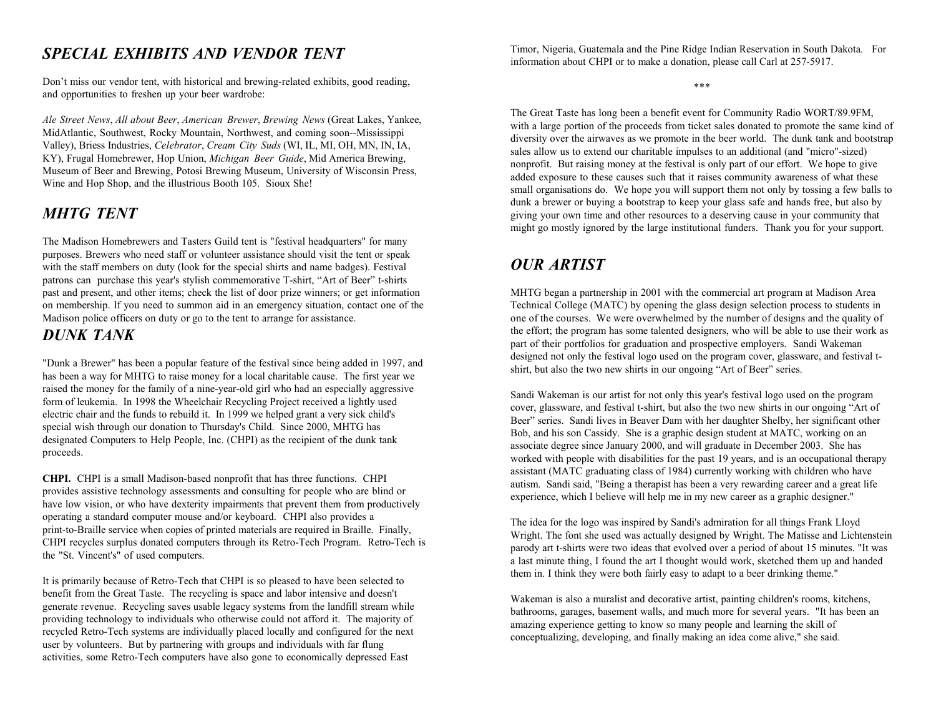# *SPECIAL EXHIBITS AND VENDOR TENT*

Don't miss our vendor tent, with historical and brewing-related exhibits, good reading, and opportunities to freshen up your beer wardrobe:

*Ale Street News*, *All about Beer*, *American Brewer*, *Brewing News* (Great Lakes, Yankee, MidAtlantic, Southwest, Rocky Mountain, Northwest, and coming soon--Mississippi Valley), Briess Industries, *Celebrator*, *Cream City Suds* (WI, IL, MI, OH, MN, IN, IA, KY), Frugal Homebrewer, Hop Union, *Michigan Beer Guide*, Mid America Brewing, Museum of Beer and Brewing, Potosi Brewing Museum, University of Wisconsin Press, Wine and Hop Shop, and the illustrious Booth 105. Sioux She!

# *MHTG TENT*

The Madison Homebrewers and Tasters Guild tent is "festival headquarters" for many purposes. Brewers who need staff or volunteer assistance should visit the tent or speak with the staff members on duty (look for the special shirts and name badges). Festival patrons can purchase this year's stylish commemorative T-shirt, "Art of Beer" t-shirts past and present, and other items; check the list of door prize winners; or get information MHTG began a partnership in 2001 with the commercial art program at Madison Area on membership. If you need to summon aid in an emergency situation, contact one of the Technical College (MATC) by opening the glass design selection process to students in Madison police officers on duty or go to the tent

# *DUNK TANK*

"Dunk a Brewer" has been a popular feature of the festival since being added in 1997, and has been a way for MHTG to raise money for a local charitable cause. The first year we raised the money for the family of a nine-year-old girl who had an especially aggressive form of leukemia. In 1998 the Wheelchair Recycling Project received a lightly used electric chair and the funds to rebuild it. In 1999 we helped grant a very sick child's special wish through our donation to Thursday's Child. Since 2000, MHTG has designated Computers to Help People, Inc. (CHPI) as the recipient of the dunk tank proceeds.

**CHPI.** CHPI is a small Madison-based nonprofit that has three functions. CHPI provides assistive technology assessments and consulting for people who are blind or have low vision, or who have dexterity impairments that prevent them from productively operating a standard computer mouse and/or keyboard. CHPI also provides a print-to-Braille service when copies of printed materials are required in Braille. Finally, CHPI recycles surplus donated computers through its Retro-Tech Program. Retro-Tech is the "St. Vincent's" of used computers.

It is primarily because of Retro-Tech that CHPI is so pleased to have been selected to benefit from the Great Taste. The recycling is space and labor intensive and doesn't generate revenue. Recycling saves usable legacy systems from the landfill stream while providing technology to individuals who otherwise could not afford it. The majority of recycled Retro-Tech systems are individually placed locally and configured for the next user by volunteers. But by partnering with groups and individuals with far flung activities, some Retro-Tech computers have also gone to economically depressed East

Timor, Nigeria, Guatemala and the Pine Ridge Indian Reservation in South Dakota. For information about CHPI or to make a donation, please call Carl at 257-5917.

\*\*\*

 giving your own time and other resources to a deserving cause in your community that The Great Taste has long been a benefit event for Community Radio WORT/89.9FM, with a large portion of the proceeds from ticket sales donated to promote the same kind of diversity over the airwaves as we promote in the beer world. The dunk tank and bootstrap sales allow us to extend our charitable impulses to an additional (and "micro"-sized) nonprofit. But raising money at the festival is only part of our effort. We hope to give added exposure to these causes such that it raises community awareness of what these small organisations do. We hope you will support them not only by tossing a few balls to dunk a brewer or buying a bootstrap to keep your glass safe and hands free, but also by might go mostly ignored by the large institutional funders. Thank you for your support.

# *OUR ARTIST*

one of the courses. We were overwhelmed by the number of designs and the quality of the effort; the program has some talented designers, who will be able to use their work as part of their portfolios for graduation and prospective employers. Sandi Wakeman designed not only the festival logo used on the program cover, glassware, and festival tshirt, but also the two new shirts in our ongoing "Art of Beer" series.

Sandi Wakeman is our artist for not only this year's festival logo used on the program cover, glassware, and festival t-shirt, but also the two new shirts in our ongoing "Art of Beer" series. Sandi lives in Beaver Dam with her daughter Shelby, her significant other Bob, and his son Cassidy. She is a graphic design student at MATC, working on an associate degree since January 2000, and will graduate in December 2003. She has worked with people with disabilities for the past 19 years, and is an occupational therapy assistant (MATC graduating class of 1984) currently working with children who have autism. Sandi said, "Being a therapist has been a very rewarding career and a great life experience, which I believe will help me in my new career as a graphic designer."

The idea for the logo was inspired by Sandi's admiration for all things Frank Lloyd Wright. The font she used was actually designed by Wright. The Matisse and Lichtenstein parody art t-shirts were two ideas that evolved over a period of about 15 minutes. "It was a last minute thing, I found the art I thought would work, sketched them up and handed them in. I think they were both fairly easy to adapt to a beer drinking theme."

Wakeman is also a muralist and decorative artist, painting children's rooms, kitchens, bathrooms, garages, basement walls, and much more for several years. "It has been an amazing experience getting to know so many people and learning the skill of conceptualizing, developing, and finally making an idea come alive," she said.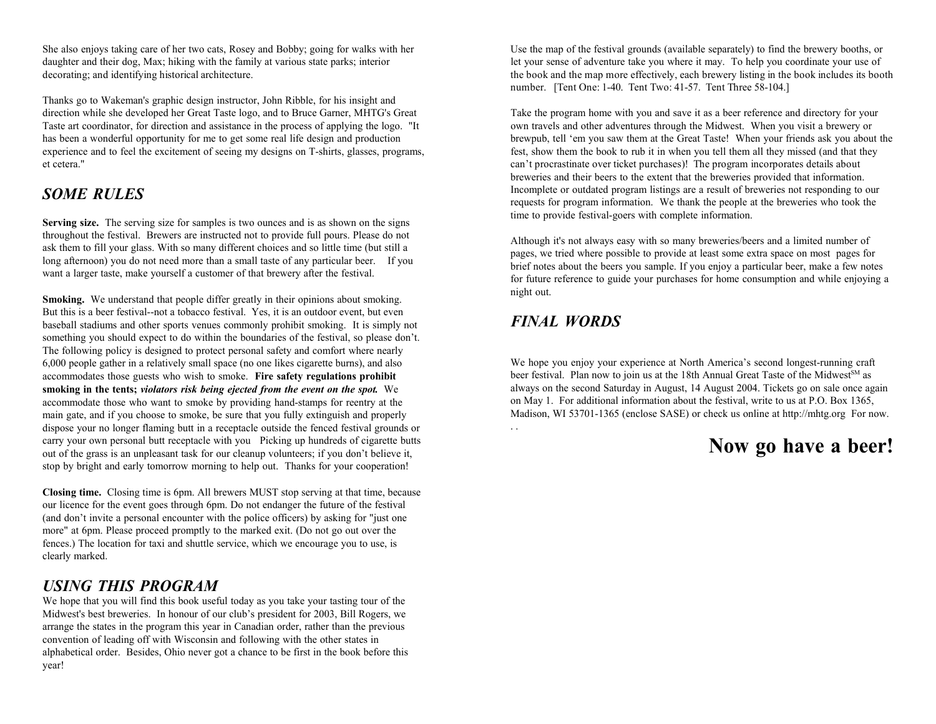daughter and their dog, Max; hiking with the family at various state parks; interior let your sense of adventure take you where it may. To help you coordinate your use of

Thanks go to Wakeman's graphic design instructor, John Ribble, for his insight and direction while she developed her Great Taste logo, and to Bruce Garner, MHTG's Great Take the program home with you and save it as a beer reference and directory for your Taste art coordinator, for direction and assistance in the process of applying the logo. "It own travels and other adventures through the Midwest. When you visit a brewery or experience and to feel the excitement of seeing my designs on T-shirts, glasses, programs, fest, show them the book to rub it in when you tell them all they missed (and that they et cetera."

# *SOME RULES*

**Serving size.** The serving size for samples is two ounces and is as shown on the signs throughout the festival. Brewers are instructed not to provide full pours. Please do not ask them to fill your glass. With so many different choices and so little time (but still a long afternoon) you do not need more than a small taste of any particular beer. If you want a larger taste, make yourself a customer of that brewery after the festival.

**Smoking.** We understand that people differ greatly in their opinions about smoking. But this is a beer festival--not a tobacco festival. Yes, it is an outdoor event, but even baseball stadiums and other sports venues commonly prohibit smoking. It is simply not something you should expect to do within the boundaries of the festival, so please don't. The following policy is designed to protect personal safety and comfort where nearly 6,000 people gather in a relatively small space (no one likes cigarette burns), and also accommodates those guests who wish to smoke. **Fire safety regulations prohibit smoking in the tents;** *violators risk being ejected from the event on the spot.* We accommodate those who want to smoke by providing hand-stamps for reentry at the main gate, and if you choose to smoke, be sure that you fully extinguish and properly dispose your no longer flaming butt in a receptacle outside the fenced festival grounds or carry your own personal butt receptacle with you Picking up hundreds of cigarette butts out of the grass is an unpleasant task for our cleanup volunteers; if you don't believe it, stop by bright and early tomorrow morning to help out. Thanks for your cooperation!

**Closing time.** Closing time is 6pm. All brewers MUST stop serving at that time, because our licence for the event goes through 6pm. Do not endanger the future of the festival (and don't invite a personal encounter with the police officers) by asking for "just one more" at 6pm. Please proceed promptly to the marked exit. (Do not go out over the fences.) The location for taxi and shuttle service, which we encourage you to use, is clearly marked.

# *USING THIS PROGRAM*

We hope that you will find this book useful today as you take your tasting tour of the Midwest's best breweries. In honour of our club's president for 2003, Bill Rogers, we arrange the states in the program this year in Canadian order, rather than the previous convention of leading off with Wisconsin and following with the other states in alphabetical order. Besides, Ohio never got a chance to be first in the book before this year!

She also enjoys taking care of her two cats, Rosey and Bobby; going for walks with her Use the map of the festival grounds (available separately) to find the brewery booths, or decorating; and identifying historical architecture.  $\qquad \qquad$  the book and the map more effectively, each brewery listing in the book includes its booth number. [Tent One: 1-40. Tent Two: 41-57. Tent Three 58-104.]

has been a wonderful opportunity for me to get some real life design and production brewpub, tell 'em you saw them at the Great Taste! When your friends ask you about the can't procrastinate over ticket purchases)! The program incorporates details about breweries and their beers to the extent that the breweries provided that information. Incomplete or outdated program listings are a result of breweries not responding to our requests for program information. We thank the people at the breweries who took the time to provide festival-goers with complete information.

> Although it's not always easy with so many breweries/beers and a limited number of pages, we tried where possible to provide at least some extra space on most pages for brief notes about the beers you sample. If you enjoy a particular beer, make a few notes for future reference to guide your purchases for home consumption and while enjoying a night out.

# *FINAL WORDS*

. .

We hope you enjoy your experience at North America's second longest-running craft beer festival. Plan now to join us at the 18th Annual Great Taste of the Midwest<sup>SM</sup> as always on the second Saturday in August, 14 August 2004. Tickets go on sale once again on May 1. For additional information about the festival, write to us at P.O. Box 1365, Madison, WI 53701-1365 (enclose SASE) or check us online at http://mhtg.org For now.

**Now go have a beer!**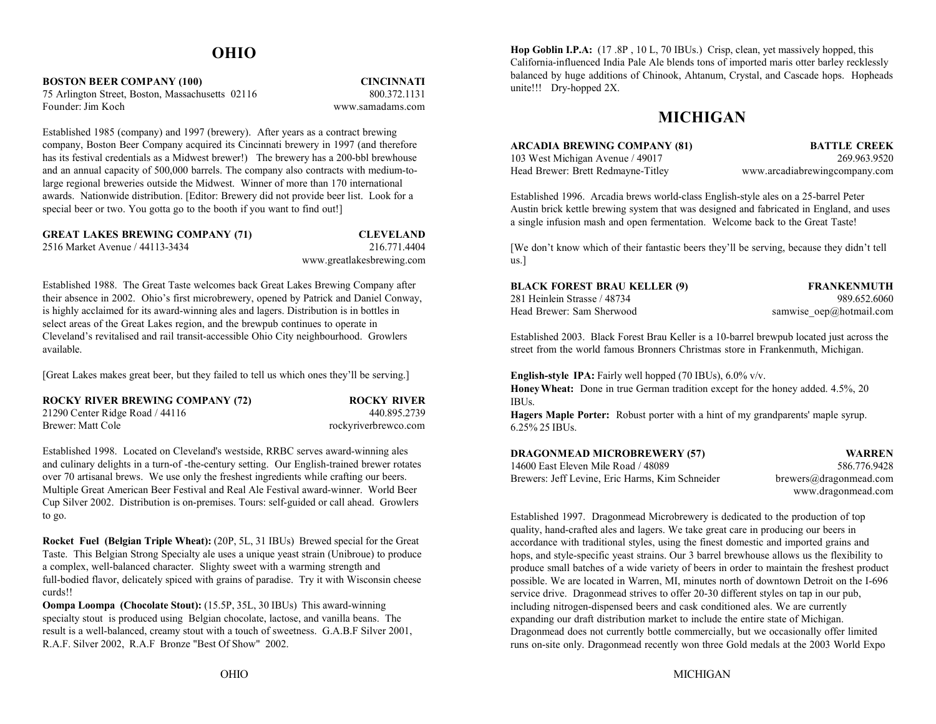# **OHIO**

**BOSTON BEER COMPANY (100) CINCINNATI** 75 Arlington Street, Boston, Massachusetts 02116 800.372.1131 Founder: Jim Koch

www.samadams.com

Established 1985 (company) and 1997 (brewery). After years as a contract brewing company, Boston Beer Company acquired its Cincinnati brewery in 1997 (and therefore has its festival credentials as a Midwest brewer!) The brewery has a 200-bbl brewhouse and an annual capacity of 500,000 barrels. The company also contracts with medium-tolarge regional breweries outside the Midwest. Winner of more than 170 international awards. Nationwide distribution. [Editor: Brewery did not provide beer list. Look for a special beer or two. You gotta go to the booth if you want to find out!]

| <b>GREAT LAKES BREWING COMPANY (71)</b> | <b>CLEVELAND</b> |
|-----------------------------------------|------------------|
| 2516 Market Avenue / 44113-3434         | 216.771.4404     |

www.greatlakesbrewing.com

Established 1988. The Great Taste welcomes back Great Lakes Brewing Company after their absence in 2002. Ohio's first microbrewery, opened by Patrick and Daniel Conway, is highly acclaimed for its award-winning ales and lagers. Distribution is in bottles in select areas of the Great Lakes region, and the brewpub continues to operate in Cleveland's revitalised and rail transit-accessible Ohio City neighbourhood. Growlers available.

[Great Lakes makes great beer, but they failed to tell us which ones they'll be serving.]

| <b>ROCKY RIVER BREWING COMPANY (72)</b> | <b>ROCKY RIVER</b>   |
|-----------------------------------------|----------------------|
| 21290 Center Ridge Road $/$ 44116       | 440.895.2739         |
| Brewer: Matt Cole                       | rockyriverbrewco.com |

Established 1998. Located on Cleveland's westside, RRBC serves award-winning ales and culinary delights in a turn-of -the-century setting. Our English-trained brewer rotates over 70 artisanal brews. We use only the freshest ingredients while crafting our beers. Multiple Great American Beer Festival and Real Ale Festival award-winner. World Beer Cup Silver 2002. Distribution is on-premises. Tours: self-guided or call ahead. Growlers to go.

**Rocket Fuel (Belgian Triple Wheat):** (20P, 5L, 31 IBUs) Brewed special for the Great Taste. This Belgian Strong Specialty ale uses a unique yeast strain (Unibroue) to produce a complex, well-balanced character. Slighty sweet with a warming strength and full-bodied flavor, delicately spiced with grains of paradise. Try it with Wisconsin cheese curds!!

**Oompa Loompa (Chocolate Stout):** (15.5P, 35L, 30 IBUs) This award-winning specialty stout is produced using Belgian chocolate, lactose, and vanilla beans. The result is a well-balanced, creamy stout with a touch of sweetness. G.A.B.F Silver 2001, R.A.F. Silver 2002, R.A.F Bronze "Best Of Show" 2002.

**Hop Goblin I.P.A:** (17 .8P , 10 L, 70 IBUs.) Crisp, clean, yet massively hopped, this California-influenced India Pale Ale blends tons of imported maris otter barley recklessly balanced by huge additions of Chinook, Ahtanum, Crystal, and Cascade hops. Hopheads unite!!! Dry-hopped 2X.

# **MICHIGAN**

| <b>ARCADIA BREWING COMPANY (81)</b> |         |
|-------------------------------------|---------|
| 103 West Michigan Avenue / 49017    |         |
| Head Brewer: Brett Redmayne-Titley  | www.arc |

**BATTLE CREEK** 269 963 9520 cadiabrewingcompany.com

Established 1996. Arcadia brews world-class English-style ales on a 25-barrel Peter Austin brick kettle brewing system that was designed and fabricated in England, and uses a single infusion mash and open fermentation. Welcome back to the Great Taste!

[We don't know which of their fantastic beers they'll be serving, because they didn't tell us.]

| <b>BLACK FOREST BRAU KELLER (9)</b> | <b>FRANKENMUTH</b>           |
|-------------------------------------|------------------------------|
| 281 Heinlein Strasse / 48734        | 989.652.6060                 |
| Head Brewer: Sam Sherwood           | samwise $oep(a)$ hotmail.com |

Established 2003. Black Forest Brau Keller is a 10-barrel brewpub located just across the street from the world famous Bronners Christmas store in Frankenmuth, Michigan.

**English-style IPA:** Fairly well hopped (70 IBUs), 6.0% v/v.

**Honey Wheat:** Done in true German tradition except for the honey added. 4.5%, 20 IBUs.

**Hagers Maple Porter:** Robust porter with a hint of my grandparents' maple syrup. 6.25% 25 IBUs.

| <b>DRAGONMEAD MICROBREWERY (57)</b>             | WARREN                 |
|-------------------------------------------------|------------------------|
| 14600 East Eleven Mile Road / 48089             | 586.776.9428           |
| Brewers: Jeff Levine, Eric Harms, Kim Schneider | brewers@dragonmead.com |
|                                                 | www.dragonmead.com     |

Established 1997. Dragonmead Microbrewery is dedicated to the production of top quality, hand-crafted ales and lagers. We take great care in producing our beers in accordance with traditional styles, using the finest domestic and imported grains and hops, and style-specific yeast strains. Our 3 barrel brewhouse allows us the flexibility to produce small batches of a wide variety of beers in order to maintain the freshest product possible. We are located in Warren, MI, minutes north of downtown Detroit on the I-696 service drive. Dragonmead strives to offer 20-30 different styles on tap in our pub, including nitrogen-dispensed beers and cask conditioned ales. We are currently expanding our draft distribution market to include the entire state of Michigan. Dragonmead does not currently bottle commercially, but we occasionally offer limited runs on-site only. Dragonmead recently won three Gold medals at the 2003 World Expo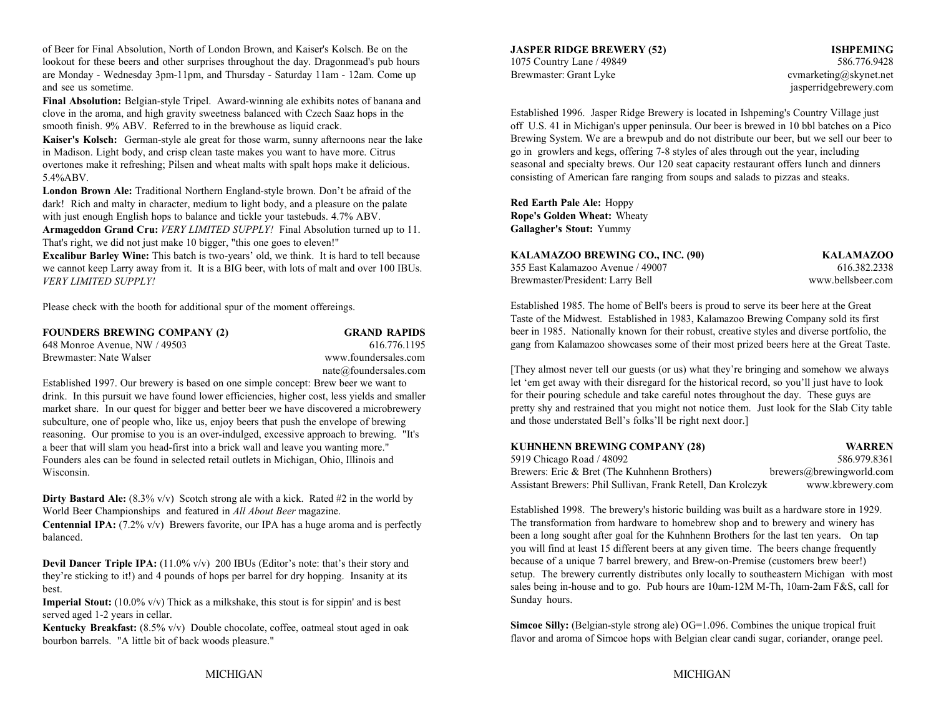of Beer for Final Absolution, North of London Brown, and Kaiser's Kolsch. Be on the lookout for these beers and other surprises throughout the day. Dragonmead's pub hours 1075 Country Lane / 49849 586.776.9428 are Monday - Wednesday 3pm-11pm, and Thursday - Saturday 11am - 12am. Come up Brewmaster: Grant Lyke cvmarketing@skynet.net and see us sometime.

**Final Absolution:** Belgian-style Tripel. Award-winning ale exhibits notes of banana and clove in the aroma, and high gravity sweetness balanced with Czech Saaz hops in the smooth finish. 9% ABV. Referred to in the brewhouse as liquid crack.

**Kaiser's Kolsch:** German-style ale great for those warm, sunny afternoons near the lake in Madison. Light body, and crisp clean taste makes you want to have more. Citrus overtones make it refreshing; Pilsen and wheat malts with spalt hops make it delicious. 5.4%ABV.

**London Brown Ale:** Traditional Northern England-style brown. Don't be afraid of the dark! Rich and malty in character, medium to light body, and a pleasure on the palate with just enough English hops to balance and tickle your tastebuds. 4.7% ABV.

**Armageddon Grand Cru:** *VERY LIMITED SUPPLY!* Final Absolution turned up to 11. That's right, we did not just make 10 bigger, "this one goes to eleven!"

**Excalibur Barley Wine:** This batch is two-years' old, we think. It is hard to tell because we cannot keep Larry away from it. It is a BIG beer, with lots of malt and over 100 IBUs. *VERY LIMITED SUPPLY!*

Please check with the booth for additional spur of the moment offereings.

| <b>FOUNDERS BREWING COMPANY (2)</b> |  |
|-------------------------------------|--|
| 648 Monroe Avenue, NW / 49503       |  |
| Brewmaster: Nate Walser             |  |

 $GRAND$  **RAPIDS** 616.776.1195 www.foundersales.com nate@foundersales.com

Established 1997. Our brewery is based on one simple concept: Brew beer we want to drink. In this pursuit we have found lower efficiencies, higher cost, less yields and smaller market share. In our quest for bigger and better beer we have discovered a microbrewery subculture, one of people who, like us, enjoy beers that push the envelope of brewing reasoning. Our promise to you is an over-indulged, excessive approach to brewing. "It's a beer that will slam you head-first into a brick wall and leave you wanting more." Founders ales can be found in selected retail outlets in Michigan, Ohio, Illinois and Wisconsin.

**Dirty Bastard Ale:**  $(8.3\% \text{ v/v})$  Scotch strong ale with a kick. Rated #2 in the world by World Beer Championships and featured in *All About Beer* magazine.

**Centennial IPA:** (7.2% v/v) Brewers favorite, our IPA has a huge aroma and is perfectly balanced.

**Devil Dancer Triple IPA:** (11.0% v/v) 200 IBUs (Editor's note: that's their story and they're sticking to it!) and 4 pounds of hops per barrel for dry hopping. Insanity at its best.

**Imperial Stout:** (10.0% v/v) Thick as a milkshake, this stout is for sippin' and is best served aged 1-2 years in cellar.

**Kentucky Breakfast:** (8.5% v/v) Double chocolate, coffee, oatmeal stout aged in oak bourbon barrels. "A little bit of back woods pleasure."

# **JASPER RIDGE BREWERY (52) ISHPEMING**

jasperridgebrewery.com

Established 1996. Jasper Ridge Brewery is located in Ishpeming's Country Village just off U.S. 41 in Michigan's upper peninsula. Our beer is brewed in 10 bbl batches on a Pico Brewing System. We are a brewpub and do not distribute our beer, but we sell our beer to go in growlers and kegs, offering 7-8 styles of ales through out the year, including seasonal and specialty brews. Our 120 seat capacity restaurant offers lunch and dinners consisting of American fare ranging from soups and salads to pizzas and steaks.

**Red Earth Pale Ale:** Hoppy **Rope's Golden Wheat:** Wheaty **Gallagher's Stout:** Yummy

| KALAMAZOO BREWING CO., INC. (90)  | <b>KALAMAZOO</b>  |
|-----------------------------------|-------------------|
| 355 East Kalamazoo Avenue / 49007 | 616.382.2338      |
| Brewmaster/President: Larry Bell  | www.bellsbeer.com |

Established 1985. The home of Bell's beers is proud to serve its beer here at the Great Taste of the Midwest. Established in 1983, Kalamazoo Brewing Company sold its first beer in 1985. Nationally known for their robust, creative styles and diverse portfolio, the gang from Kalamazoo showcases some of their most prized beers here at the Great Taste.

[They almost never tell our guests (or us) what they're bringing and somehow we always let 'em get away with their disregard for the historical record, so you'll just have to look for their pouring schedule and take careful notes throughout the day. These guys are pretty shy and restrained that you might not notice them. Just look for the Slab City table and those understated Bell's folks'll be right next door.]

| <b>KUHNHENN BREWING COMPANY (28)</b>                         | <b>WARREN</b>            |
|--------------------------------------------------------------|--------------------------|
| 5919 Chicago Road / 48092                                    | 586.979.8361             |
| Brewers: Eric & Bret (The Kuhnhenn Brothers)                 | brewers@brewingworld.com |
| Assistant Brewers: Phil Sullivan, Frank Retell, Dan Krolczyk | www.kbrewery.com         |

Established 1998. The brewery's historic building was built as a hardware store in 1929. The transformation from hardware to homebrew shop and to brewery and winery has been a long sought after goal for the Kuhnhenn Brothers for the last ten years. On tap you will find at least 15 different beers at any given time. The beers change frequently because of a unique 7 barrel brewery, and Brew-on-Premise (customers brew beer!) setup. The brewery currently distributes only locally to southeastern Michigan with most sales being in-house and to go. Pub hours are 10am-12M M-Th, 10am-2am F&S, call for Sunday hours.

**Simcoe Silly:** (Belgian-style strong ale) OG=1.096. Combines the unique tropical fruit flavor and aroma of Simcoe hops with Belgian clear candi sugar, coriander, orange peel.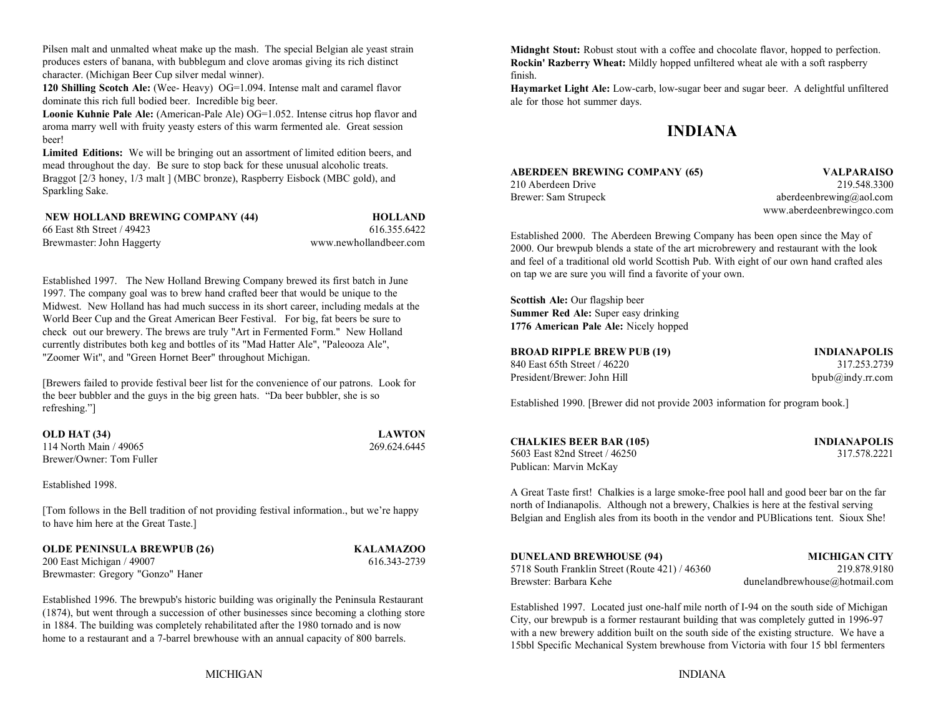Pilsen malt and unmalted wheat make up the mash. The special Belgian ale yeast strain produces esters of banana, with bubblegum and clove aromas giving its rich distinct character. (Michigan Beer Cup silver medal winner).

**120 Shilling Scotch Ale:** (Wee- Heavy) OG=1.094. Intense malt and caramel flavor dominate this rich full bodied beer. Incredible big beer.

**Loonie Kuhnie Pale Ale:** (American-Pale Ale) OG=1.052. Intense citrus hop flavor and aroma marry well with fruity yeasty esters of this warm fermented ale. Great session beer!

**Limited Editions:** We will be bringing out an assortment of limited edition beers, and mead throughout the day. Be sure to stop back for these unusual alcoholic treats. Braggot [2/3 honey, 1/3 malt ] (MBC bronze), Raspberry Eisbock (MBC gold), and Sparkling Sake.

| NEW HOLLAND BREWING COMPANY (44) | <b>HOLLAND</b>         |
|----------------------------------|------------------------|
| 66 East 8th Street / 49423       | 616.355.6422           |
| Brewmaster: John Haggerty        | www.newhollandbeer.com |

Established 1997. The New Holland Brewing Company brewed its first batch in June 1997. The company goal was to brew hand crafted beer that would be unique to the Midwest. New Holland has had much success in its short career, including medals at the World Beer Cup and the Great American Beer Festival. For big, fat beers be sure to check out our brewery. The brews are truly "Art in Fermented Form." New Holland currently distributes both keg and bottles of its "Mad Hatter Ale", "Paleooza Ale", "Zoomer Wit", and "Green Hornet Beer" throughout Michigan.

[Brewers failed to provide festival beer list for the convenience of our patrons. Look for the beer bubbler and the guys in the big green hats. "Da beer bubbler, she is so refreshing."]

| OLD HAT (34)             | <b>LAWTON</b> |
|--------------------------|---------------|
| 114 North Main / 49065   | 269.624.6445  |
| Brewer/Owner: Tom Fuller |               |

Established 1998.

[Tom follows in the Bell tradition of not providing festival information., but we're happy to have him here at the Great Taste.]

| <b>OLDE PENINSULA BREWPUB (26)</b> |
|------------------------------------|
| 200 East Michigan / 49007          |
| Brewmaster: Gregory "Gonzo" Haner  |

### **OLDE PENINSULA BREWPUB (26) KALAMAZOO** 616.343-2739

Established 1996. The brewpub's historic building was originally the Peninsula Restaurant (1874), but went through a succession of other businesses since becoming a clothing store in 1884. The building was completely rehabilitated after the 1980 tornado and is now home to a restaurant and a 7-barrel brewhouse with an annual capacity of 800 barrels.

**Midnght Stout:** Robust stout with a coffee and chocolate flavor, hopped to perfection. **Rockin' Razberry Wheat:** Mildly hopped unfiltered wheat ale with a soft raspberry finish.

**Haymarket Light Ale:** Low-carb, low-sugar beer and sugar beer. A delightful unfiltered ale for those hot summer days.

# **INDIANA**

# **ABERDEEN BREWING COMPANY (65) VALPARAISO** 210 Aberdeen Drive 219.548.3300

Brewer: Sam Strupeck aberdeenbrewing@aol.com www.aberdeenbrewingco.com

Established 2000. The Aberdeen Brewing Company has been open since the May of 2000. Our brewpub blends a state of the art microbrewery and restaurant with the look and feel of a traditional old world Scottish Pub. With eight of our own hand crafted ales on tap we are sure you will find a favorite of your own.

**Scottish Ale:** Our flagship beer **Summer Red Ale:** Super easy drinking **1776 American Pale Ale:** Nicely hopped

| <b>BROAD RIPPLE BREW PUB (19)</b> | <b>INDIANAPOLIS</b> |
|-----------------------------------|---------------------|
| 840 East 65th Street / 46220      | 317.253.2739        |
| President/Brewer: John Hill       | bpub@indy.rr.com    |

Established 1990. [Brewer did not provide 2003 information for program book.]

| <b>CHALKIES BEER BAR (105</b> |
|-------------------------------|
| 5603 East 82nd Street / 46250 |
| Publican: Marvin McKay        |

**CHALKIES BEER BAR (105) INDIANAPOLIS** 317 578 2221

A Great Taste first! Chalkies is a large smoke-free pool hall and good beer bar on the far north of Indianapolis. Although not a brewery, Chalkies is here at the festival serving Belgian and English ales from its booth in the vendor and PUBlications tent. Sioux She!

### **DUNELAND BREWHOUSE (94) MICHIGAN CITY**

5718 South Franklin Street (Route 421) / 46360 219.878.9180 Brewster: Barbara Kehe

dunelandbrewhouse@hotmail.com

Established 1997. Located just one-half mile north of I-94 on the south side of Michigan City, our brewpub is a former restaurant building that was completely gutted in 1996-97 with a new brewery addition built on the south side of the existing structure. We have a 15bbl Specific Mechanical System brewhouse from Victoria with four 15 bbl fermenters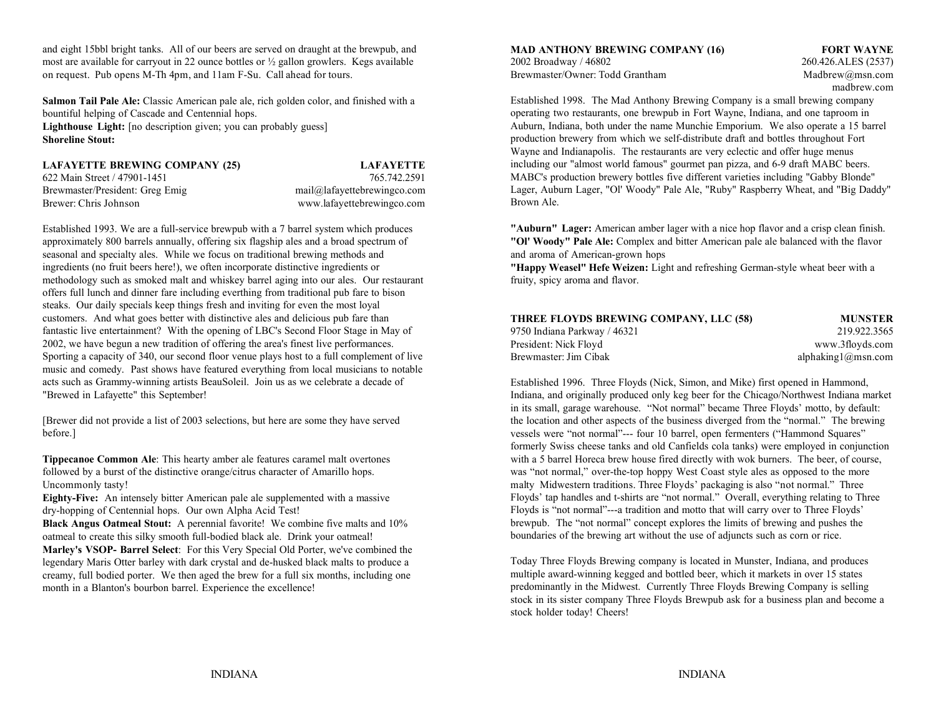and eight 15bbl bright tanks. All of our beers are served on draught at the brewpub, and most are available for carryout in 22 ounce bottles or  $\frac{1}{2}$  gallon growlers. Kegs available 2002 Broadway / 46802 260.426.ALES (2537) on request. Pub opens M-Th 4pm, and 11am F-Su. Call ahead for tours. Brewmaster/Owner: Todd Grantham Madbrew@msn.com

**Salmon Tail Pale Ale:** Classic American pale ale, rich golden color, and finished with a bountiful helping of Cascade and Centennial hops. **Lighthouse Light:** [no description given; you can probably guess] **Shoreline Stout:** 

**LAFAYETTE BREWING COMPANY (25) LAFAYETTE** 622 Main Street / 47901-1451 765.742.2591Brewmaster/President: Greg Emig mail@lafayettebrewingco.com Brewer: Chris Johnson

www.lafayettebrewingco.com

Established 1993. We are a full-service brewpub with a 7 barrel system which produces approximately 800 barrels annually, offering six flagship ales and a broad spectrum of **"Ol' Woody" Pale Ale:** Complex and bitter American pale ale balanced with the flavor seasonal and specialty ales. While we focus on traditional brewing methods and and aroma of American-grown hops ingredients (no fruit beers here!), we often incorporate distinctive ingredients or methodology such as smoked malt and whiskey barrel aging into our ales. Our restaurant offers full lunch and dinner fare including everthing from traditional pub fare to bison steaks. Our daily specials keep things fresh and inviting for even the most loyal customers. And what goes better with distinctive ales and delicious pub fare than fantastic live entertainment? With the opening of LBC's Second Floor Stage in May of 2002, we have begun a new tradition of offering the area's finest live performances. Sporting a capacity of 340, our second floor venue plays host to a full complement of live music and comedy. Past shows have featured everything from local musicians to notable acts such as Grammy-winning artists BeauSoleil. Join us as we celebrate a decade of "Brewed in Lafayette" this September!

[Brewer did not provide a list of 2003 selections, but here are some they have served before.]

**Eighty-Five:** An intensely bitter American pale ale supplemented with a massive dry-hopping of Centennial hops. Our own Alpha Acid Test!

**Black Angus Oatmeal Stout:** A perennial favorite! We combine five malts and 10% oatmeal to create this silky smooth full-bodied black ale. Drink your oatmeal!

**Marley's VSOP- Barrel Select**: For this Very Special Old Porter, we've combined the legendary Maris Otter barley with dark crystal and de-husked black malts to produce a creamy, full bodied porter. We then aged the brew for a full six months, including one month in a Blanton's bourbon barrel. Experience the excellence!

**MAD ANTHONY BREWING COMPANY (16) FORT WAYNE**

madbrew.com

Established 1998. The Mad Anthony Brewing Company is a small brewing company operating two restaurants, one brewpub in Fort Wayne, Indiana, and one taproom in Auburn, Indiana, both under the name Munchie Emporium. We also operate a 15 barrel production brewery from which we self-distribute draft and bottles throughout Fort Wayne and Indianapolis. The restaurants are very eclectic and offer huge menus including our "almost world famous" gourmet pan pizza, and 6-9 draft MABC beers. MABC's production brewery bottles five different varieties including "Gabby Blonde" Lager, Auburn Lager, "Ol' Woody" Pale Ale, "Ruby" Raspberry Wheat, and "Big Daddy" Brown Ale.

**"Auburn" Lager:** American amber lager with a nice hop flavor and a crisp clean finish.

**"Happy Weasel" Hefe Weizen:** Light and refreshing German-style wheat beer with a fruity, spicy aroma and flavor.

| THREE FLOYDS BREWING COMPANY, LLC (58) | <b>MUNSTER</b>                 |
|----------------------------------------|--------------------------------|
| 9750 Indiana Parkway / 46321           | 219.922.3565                   |
| President: Nick Floyd                  | www.3floyds.com                |
| Brewmaster: Jim Cibak                  | alphaking $1$ $\omega$ msn.com |

**Tippecanoe Common Ale**: This hearty amber ale features caramel malt overtones with a 5 barrel Horeca brew house fired directly with wok burners. The beer, of course, followed by a burst of the distinctive orange/citrus character of Amarillo hops. was "not normal," over-the-top hoppy West Coast style ales as opposed to the more Uncommonly tasty! Three Floyds' packaging is also "not normal." Three Floyds' packaging is also "not normal." Three Established 1996. Three Floyds (Nick, Simon, and Mike) first opened in Hammond, Indiana, and originally produced only keg beer for the Chicago/Northwest Indiana market in its small, garage warehouse. "Not normal" became Three Floyds' motto, by default: the location and other aspects of the business diverged from the "normal." The brewing vessels were "not normal"--- four 10 barrel, open fermenters ("Hammond Squares" formerly Swiss cheese tanks and old Canfields cola tanks) were employed in conjunction Floyds' tap handles and t-shirts are "not normal." Overall, everything relating to Three Floyds is "not normal"---a tradition and motto that will carry over to Three Floyds' brewpub. The "not normal" concept explores the limits of brewing and pushes the boundaries of the brewing art without the use of adjuncts such as corn or rice.

> Today Three Floyds Brewing company is located in Munster, Indiana, and produces multiple award-winning kegged and bottled beer, which it markets in over 15 states predominantly in the Midwest. Currently Three Floyds Brewing Company is selling stock in its sister company Three Floyds Brewpub ask for a business plan and become a stock holder today! Cheers!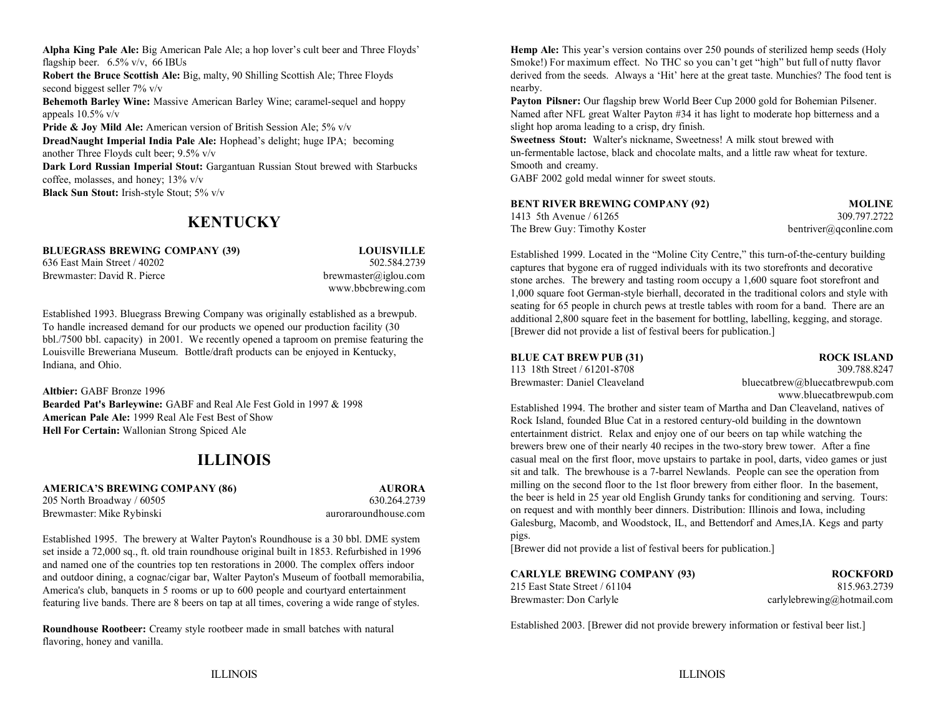Alpha King Pale Ale: Big American Pale Ale; a hop lover's cult beer and Three Floyds' **Hemp Ale:** This year's version contains over 250 pounds of sterilized hemp seeds (Holy flagship beer. 6.5% v/v, 66 IBUs Smoke!) For maximum effect. No THC so you can't get "high" but full of nutty flavor **Robert the Bruce Scottish Ale:** Big, malty, 90 Shilling Scottish Ale; Three Floyds second biggest seller 7% v/v **Behemoth Barley Wine:** Massive American Barley Wine; caramel-sequel and hoppy appeals 10.5% v/v **Pride & Joy Mild Ale:** American version of British Session Ale; 5% v/v **DreadNaught Imperial India Pale Ale:** Hophead's delight; huge IPA; becoming another Three Floyds cult beer; 9.5% v/v **Dark Lord Russian Imperial Stout:** Gargantuan Russian Stout brewed with Starbucks

coffee, molasses, and honey; 13% v/v

**Black Sun Stout:** Irish-style Stout; 5% v/v

# **KENTUCKY**

**BLUEGRASS BREWING COMPANY (39) LOUISVILLE** 636 East Main Street / 40202 502.584.2739

Brewmaster: David R. Pierce brewmaster brewmaster alignum com-

www.bbcbrewing.com

Established 1993. Bluegrass Brewing Company was originally established as a brewpub. To handle increased demand for our products we opened our production facility (30 bbl./7500 bbl. capacity) in 2001. We recently opened a taproom on premise featuring the Louisville Breweriana Museum. Bottle/draft products can be enjoyed in Kentucky, Indiana, and Ohio.

**Altbier:** GABF Bronze 1996**Bearded Pat's Barleywine:** GABF and Real Ale Fest Gold in 1997 & 1998 **American Pale Ale:** 1999 Real Ale Fest Best of Show **Hell For Certain:** Wallonian Strong Spiced Ale

# **ILLINOIS**

**AMERICA'S BREWING COMPANY (86) AURORA** 205 North Broadway / 60505 630.264.2739 Brewmaster: Mike Rybinski auroraroundhouse.com

Established 1995. The brewery at Walter Payton's Roundhouse is a 30 bbl. DME system set inside a 72,000 sq., ft. old train roundhouse original built in 1853. Refurbished in 1996 and named one of the countries top ten restorations in 2000. The complex offers indoor and outdoor dining, a cognac/cigar bar, Walter Payton's Museum of football memorabilia, America's club, banquets in 5 rooms or up to 600 people and courtyard entertainment featuring live bands. There are 8 beers on tap at all times, covering a wide range of styles.

**Roundhouse Rootbeer:** Creamy style rootbeer made in small batches with natural flavoring, honey and vanilla.

derived from the seeds. Always a 'Hit' here at the great taste. Munchies? The food tent is nearby.

**Payton Pilsner:** Our flagship brew World Beer Cup 2000 gold for Bohemian Pilsener. Named after NFL great Walter Payton #34 it has light to moderate hop bitterness and a slight hop aroma leading to a crisp, dry finish.

**Sweetness Stout:** Walter's nickname, Sweetness! A milk stout brewed with un-fermentable lactose, black and chocolate malts, and a little raw wheat for texture. Smooth and creamy.

GABF 2002 gold medal winner for sweet stouts.

| <b>BENT RIVER BREWING COMPANY (92)</b> | <b>MOLINE</b>          |
|----------------------------------------|------------------------|
| 1413 5th Avenue / 61265                | 309.797.2722           |
| The Brew Guy: Timothy Koster           | bentriver@gconline.com |

Established 1999. Located in the "Moline City Centre," this turn-of-the-century building captures that bygone era of rugged individuals with its two storefronts and decorative stone arches. The brewery and tasting room occupy a 1,600 square foot storefront and 1,000 square foot German-style bierhall, decorated in the traditional colors and style with seating for 65 people in church pews at trestle tables with room for a band. There are an additional 2,800 square feet in the basement for bottling, labelling, kegging, and storage. [Brewer did not provide a list of festival beers for publication.]

# **BLUE CAT BREW PUB (31) ROCK ISLAND**

113 18th Street / 61201-8708 309.788.8247 Brewmaster: Daniel Cleaveland bluecatbrew@bluecatbrewpub.com www.bluecatbrewpub.com

Established 1994. The brother and sister team of Martha and Dan Cleaveland, natives of Rock Island, founded Blue Cat in a restored century-old building in the downtown entertainment district. Relax and enjoy one of our beers on tap while watching the brewers brew one of their nearly 40 recipes in the two-story brew tower. After a fine casual meal on the first floor, move upstairs to partake in pool, darts, video games or just sit and talk. The brewhouse is a 7-barrel Newlands. People can see the operation from milling on the second floor to the 1st floor brewery from either floor. In the basement, the beer is held in 25 year old English Grundy tanks for conditioning and serving. Tours: on request and with monthly beer dinners. Distribution: Illinois and Iowa, including Galesburg, Macomb, and Woodstock, IL, and Bettendorf and Ames,IA. Kegs and party pigs.

[Brewer did not provide a list of festival beers for publication.]

| <b>CARLYLE BREWING COMPANY (93)</b> | <b>ROCKFORD</b>            |
|-------------------------------------|----------------------------|
| 215 East State Street / 61104       | 815.963.2739               |
| Brewmaster: Don Carlyle             | carlylebrewing@hotmail.com |

Established 2003. [Brewer did not provide brewery information or festival beer list.]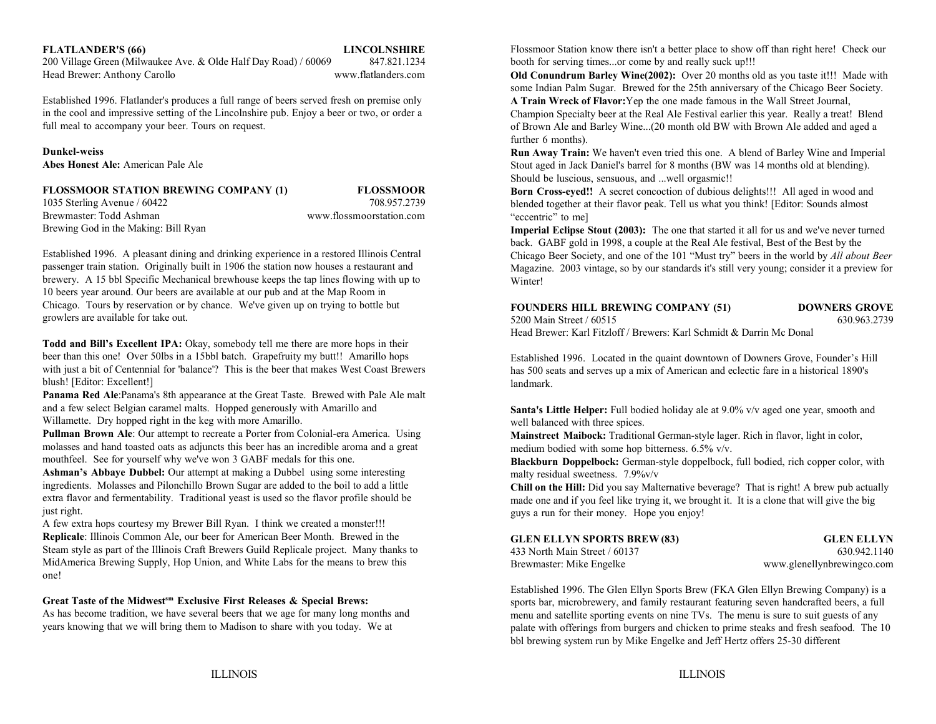### **FLATLANDER'S (66) LINCOLNSHIRE**

200 Village Green (Milwaukee Ave. & Olde Half Day Road) / 60069 847.821.1234 booth for serving times...or come by and really suck up!!! Head Brewer: Anthony Carollo www.flatlanders.com

Established 1996. Flatlander's produces a full range of beers served fresh on premise only in the cool and impressive setting of the Lincolnshire pub. Enjoy a beer or two, or order a full meal to accompany your beer. Tours on request.

### **Dunkel-weiss**

**Abes Honest Ale:** American Pale Ale

### **FLOSSMOOR STATION BREWING COMPANY (1) FLOSSMOOR**

1035 Sterling Avenue / 60422 708.957.2739 Brewmaster: Todd AshmanBrewing God in the Making: Bill Ryan

www.flossmoorstation.com

Established 1996. A pleasant dining and drinking experience in a restored Illinois Central passenger train station. Originally built in 1906 the station now houses a restaurant and brewery. A 15 bbl Specific Mechanical brewhouse keeps the tap lines flowing with up to 10 beers year around. Our beers are available at our pub and at the Map Room in Chicago. Tours by reservation or by chance. We've given up on trying to bottle but growlers are available for take out.

**Todd and Bill's Excellent IPA:** Okay, somebody tell me there are more hops in their beer than this one! Over 50lbs in a 15bbl batch. Grapefruity my butt!! Amarillo hops with just a bit of Centennial for 'balance'? This is the beer that makes West Coast Brewers blush! [Editor: Excellent!]

**Panama Red Ale**:Panama's 8th appearance at the Great Taste. Brewed with Pale Ale malt and a few select Belgian caramel malts. Hopped generously with Amarillo and Willamette. Dry hopped right in the keg with more Amarillo.

**Pullman Brown Ale**: Our attempt to recreate a Porter from Colonial-era America. Using molasses and hand toasted oats as adjuncts this beer has an incredible aroma and a great mouthfeel. See for yourself why we've won 3 GABF medals for this one.

**Ashman's Abbaye Dubbel:** Our attempt at making a Dubbel using some interesting ingredients. Molasses and Pilonchillo Brown Sugar are added to the boil to add a little extra flavor and fermentability. Traditional yeast is used so the flavor profile should be just right.

A few extra hops courtesy my Brewer Bill Ryan. I think we created a monster!!! **Replicale**: Illinois Common Ale, our beer for American Beer Month. Brewed in the Steam style as part of the Illinois Craft Brewers Guild Replicale project. Many thanks to MidAmerica Brewing Supply, Hop Union, and White Labs for the means to brew this one!

### Great Taste of the Midwest<sup>sm</sup> Exclusive First Releases & Special Brews:

As has become tradition, we have several beers that we age for many long months and years knowing that we will bring them to Madison to share with you today. We at

Flossmoor Station know there isn't a better place to show off than right here! Check our

**Old Conundrum Barley Wine(2002):** Over 20 months old as you taste it!!! Made with some Indian Palm Sugar. Brewed for the 25th anniversary of the Chicago Beer Society. **A Train Wreck of Flavor:**Yep the one made famous in the Wall Street Journal,

Champion Specialty beer at the Real Ale Festival earlier this year. Really a treat! Blend of Brown Ale and Barley Wine...(20 month old BW with Brown Ale added and aged a further 6 months).

**Run Away Train:** We haven't even tried this one. A blend of Barley Wine and Imperial Stout aged in Jack Daniel's barrel for 8 months (BW was 14 months old at blending). Should be luscious, sensuous, and ...well orgasmic!!

**Born Cross-eyed!!** A secret concoction of dubious delights!!! All aged in wood and blended together at their flavor peak. Tell us what you think! [Editor: Sounds almost "eccentric" to mel

**Imperial Eclipse Stout (2003):** The one that started it all for us and we've never turned back. GABF gold in 1998, a couple at the Real Ale festival, Best of the Best by the Chicago Beer Society, and one of the 101 "Must try" beers in the world by *All about Beer* Magazine. 2003 vintage, so by our standards it's still very young; consider it a preview for Winter!

### **FOUNDERS HILL BREWING COMPANY (51) DOWNERS GROVE**

5200 Main Street / 60515 630.963.2739Head Brewer: Karl Fitzloff / Brewers: Karl Schmidt & Darrin Mc Donal

Established 1996. Located in the quaint downtown of Downers Grove, Founder's Hill has 500 seats and serves up a mix of American and eclectic fare in a historical 1890's landmark.

**Santa's Little Helper:** Full bodied holiday ale at 9.0% v/v aged one year, smooth and well balanced with three spices.

**Mainstreet Maibock:** Traditional German-style lager. Rich in flavor, light in color, medium bodied with some hop bitterness. 6.5% v/v.

**Blackburn Doppelbock:** German-style doppelbock, full bodied, rich copper color, with malty residual sweetness.  $7.9\%$ v/v

**Chill on the Hill:** Did you say Malternative beverage? That is right! A brew pub actually made one and if you feel like trying it, we brought it. It is a clone that will give the big guys a run for their money. Hope you enjoy!

| <b>GLEN ELLYN SPORTS BREW (83)</b> | <b>GLEN ELLYN</b>          |
|------------------------------------|----------------------------|
| 433 North Main Street / 60137      | 630.942.1140               |
| Brewmaster: Mike Engelke           | www.glenellynbrewingco.com |

Established 1996. The Glen Ellyn Sports Brew (FKA Glen Ellyn Brewing Company) is a sports bar, microbrewery, and family restaurant featuring seven handcrafted beers, a full menu and satellite sporting events on nine TVs. The menu is sure to suit guests of any palate with offerings from burgers and chicken to prime steaks and fresh seafood. The 10 bbl brewing system run by Mike Engelke and Jeff Hertz offers 25-30 different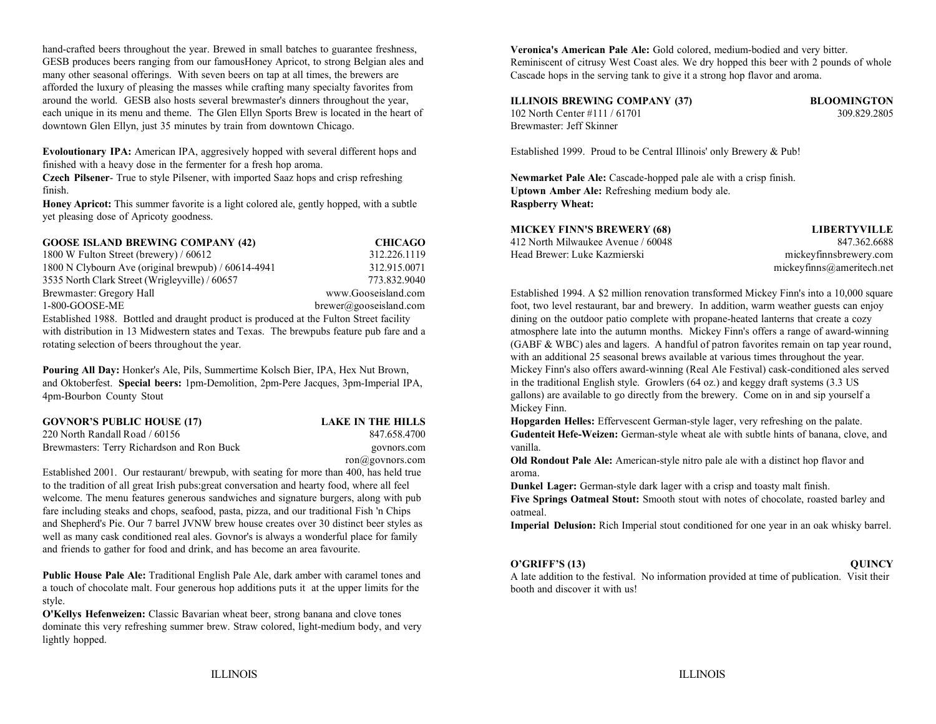hand-crafted beers throughout the year. Brewed in small batches to guarantee freshness, GESB produces beers ranging from our famousHoney Apricot, to strong Belgian ales and many other seasonal offerings. With seven beers on tap at all times, the brewers are afforded the luxury of pleasing the masses while crafting many specialty favorites from around the world. GESB also hosts several brewmaster's dinners throughout the year, each unique in its menu and theme. The Glen Ellyn Sports Brew is located in the heart of downtown Glen Ellyn, just 35 minutes by train from downtown Chicago.

**Evoloutionary IPA:** American IPA, aggresively hopped with several different hops and Established 1999. Proud to be Central Illinois' only Brewery & Pub! finished with a heavy dose in the fermenter for a fresh hop aroma.

**Czech Pilsener-** True to style Pilsener, with imported Saaz hops and crisp refreshing **Newmarket Pale Ale:** Cascade-hopped pale ale with a crisp finish. finish.

**Honey Apricot:** This summer favorite is a light colored ale, gently hopped, with a subtle yet pleasing dose of Apricoty goodness.

| <b>GOOSE ISLAND BREWING COMPANY (42)</b>                                              | <b>CHICAGO</b>              |
|---------------------------------------------------------------------------------------|-----------------------------|
| 1800 W Fulton Street (brewery) / $60612$                                              | 312.226.1119                |
| 1800 N Clybourn Ave (original brewpub) / 60614-4941                                   | 312.915.0071                |
| 3535 North Clark Street (Wrigleyville) / 60657                                        | 773.832.9040                |
| Brewmaster: Gregory Hall                                                              | www.Gooseisland.com         |
| 1-800-GOOSE-ME                                                                        | $brewer(a)$ gooseisland.com |
| Established 1000 Dottled and draught product is produced at the Eulton Street feelity |                             |

with distribution in 13 Midwestern states and Texas. The brewpubs feature pub fare and a and a atmosphere late into the autumn months. Mickey Finn's offers a range of award-winning rotating selection of beers throughout the year. (GABF & WBC) ales and lagers. A handful of patron favorites remain on tap year round,

**Pouring All Day:** Honker's Ale, Pils, Summertime Kolsch Bier, IPA, Hex Nut Brown, and Oktoberfest. **Special beers:** 1pm-Demolition, 2pm-Pere Jacques, 3pm-Imperial IPA, 4pm-Bourbon County Stout

| <b>GOVNOR'S PUBLIC HOUSE (17)</b>          | <b>LAKE IN THE HILLS</b> | Hopga    |
|--------------------------------------------|--------------------------|----------|
| 220 North Randall Road / 60156             | 847.658.4700             | Guden    |
| Brewmasters: Terry Richardson and Ron Buck | govnors.com              | vanilla. |
|                                            | $ron(a)$ govnors.com     | Old Ro   |

Established 2001. Our restaurant/ brewpub, with seating for more than 400, has held true to the tradition of all great Irish pubs:great conversation and hearty food, where all feel welcome. The menu features generous sandwiches and signature burgers, along with pub fare including steaks and chops, seafood, pasta, pizza, and our traditional Fish 'n Chips and Shepherd's Pie. Our 7 barrel JVNW brew house creates over 30 distinct beer styles as well as many cask conditioned real ales. Govnor's is always a wonderful place for family and friends to gather for food and drink, and has become an area favourite.

**Public House Pale Ale:** Traditional English Pale Ale, dark amber with caramel tones and a touch of chocolate malt. Four generous hop additions puts it at the upper limits for the style.

**O'Kellys Hefenweizen:** Classic Bavarian wheat beer, strong banana and clove tones dominate this very refreshing summer brew. Straw colored, light-medium body, and very lightly hopped.

**Veronica's American Pale Ale:** Gold colored, medium-bodied and very bitter. Reminiscent of citrusy West Coast ales. We dry hopped this beer with 2 pounds of whole Cascade hops in the serving tank to give it a strong hop flavor and aroma.

**ILLINOIS BREWING COMPANY (37) BLOOMINGTON** 102 North Center #111 / 61701 309.829.2805 Brewmaster: Jeff Skinner

**Uptown Amber Ale:** Refreshing medium body ale. **Raspberry Wheat:**

| <b>MICKEY FINN'S BREWERY (68)</b>  |  |
|------------------------------------|--|
| 412 North Milwaukee Avenue / 60048 |  |
| Head Brewer: Luke Kazmierski       |  |

mickeyfinnsbrewery.com  $m$ ickeyfinns@ameritech.net **MICKEY FINN'S BREWERY (68) LIBERTYVILLE** 847.362.6688

Established 1994. A \$2 million renovation transformed Mickey Finn's into a 10,000 square foot, two level restaurant, bar and brewery. In addition, warm weather guests can enjoy Established 1988. Bottled and draught product is produced at the Fulton Street facility dining on the outdoor patio complete with propane-heated lanterns that create a cozy with an additional 25 seasonal brews available at various times throughout the year. Mickey Finn's also offers award-winning (Real Ale Festival) cask-conditioned ales served in the traditional English style. Growlers (64 oz.) and keggy draft systems (3.3 US gallons) are available to go directly from the brewery. Come on in and sip yourself a Mickey Finn.

> **Gudenteit Hefe-Weizen:** German-style wheat ale with subtle hints of banana, clove, and **Hopgarden Helles:** Effervescent German-style lager, very refreshing on the palate.

> > **Old Rondout Pale Ale:** American-style nitro pale ale with a distinct hop flavor and aroma.

**Dunkel Lager:** German-style dark lager with a crisp and toasty malt finish.

**Five Springs Oatmeal Stout:** Smooth stout with notes of chocolate, roasted barley and oatmeal.

**Imperial Delusion:** Rich Imperial stout conditioned for one year in an oak whisky barrel.

### **O'GRIFF'S (13) QUINCY**

A late addition to the festival. No information provided at time of publication. Visit their booth and discover it with us!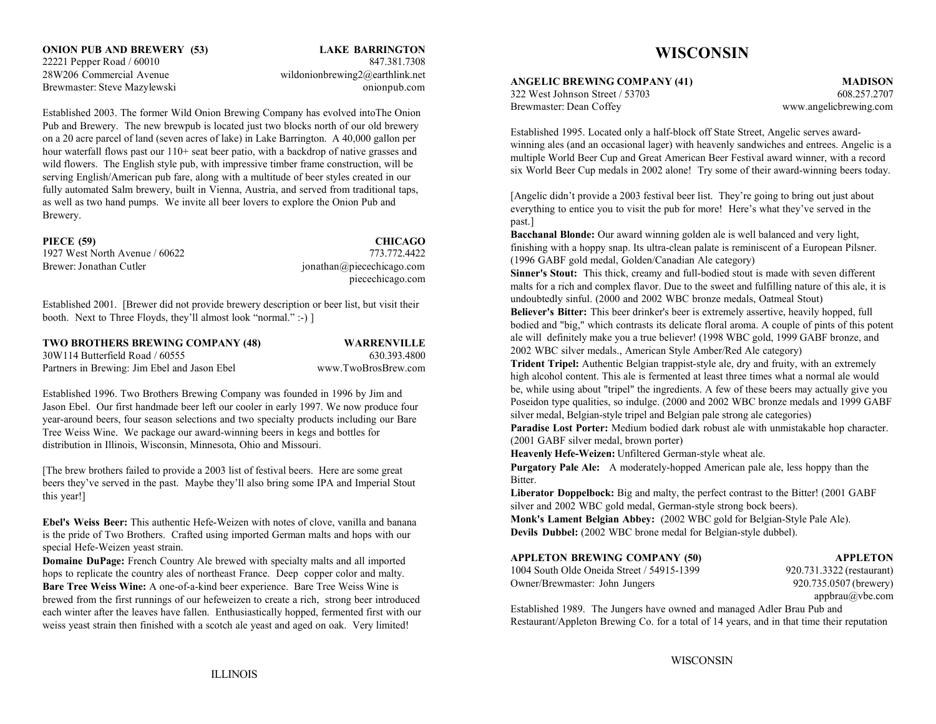Established 2003. The former Wild Onion Brewing Company has evolved intoThe Onion Pub and Brewery. The new brewpub is located just two blocks north of our old brewery on a 20 acre parcel of land (seven acres of lake) in Lake Barrington. A 40,000 gallon per hour waterfall flows past our 110+ seat beer patio, with a backdrop of native grasses and wild flowers. The English style pub, with impressive timber frame construction, will be serving English/American pub fare, along with a multitude of beer styles created in our fully automated Salm brewery, built in Vienna, Austria, and served from traditional taps, as well as two hand pumps. We invite all beer lovers to explore the Onion Pub and Brewery.

# **PIECE (59) CHICAGO**

Brewer: Jonathan Cutler is a set of the set of the set of the intervals of the set of the set of the set of the set of the set of the set of the set of the set of the set of the set of the set of the set of the set of the

1927 West North Avenue / 60622 773.772.4422piecechicago.com

Established 2001. [Brewer did not provide brewery description or beer list, but visit their booth. Next to Three Floyds, they'll almost look "normal." :-) ]

| <b>TWO BROTHERS BREWING COMPANY (48)</b>     | <b>WARRENVILLE</b>  |
|----------------------------------------------|---------------------|
| 30W114 Butterfield Road / 60555              | 630.393.4800        |
| Partners in Brewing: Jim Ebel and Jason Ebel | www.TwoBrosBrew.com |

Established 1996. Two Brothers Brewing Company was founded in 1996 by Jim and Jason Ebel. Our first handmade beer left our cooler in early 1997. We now produce four year-around beers, four season selections and two specialty products including our Bare Tree Weiss Wine. We package our award-winning beers in kegs and bottles for distribution in Illinois, Wisconsin, Minnesota, Ohio and Missouri.

[The brew brothers failed to provide a 2003 list of festival beers. Here are some great beers they've served in the past. Maybe they'll also bring some IPA and Imperial Stout this year!]

**Ebel's Weiss Beer:** This authentic Hefe-Weizen with notes of clove, vanilla and banana is the pride of Two Brothers. Crafted using imported German malts and hops with our special Hefe-Weizen yeast strain.

**Domaine DuPage:** French Country Ale brewed with specialty malts and all imported hops to replicate the country ales of northeast France. Deep copper color and malty. **Bare Tree Weiss Wine:** A one-of-a-kind beer experience. Bare Tree Weiss Wine is brewed from the first runnings of our hefeweizen to create a rich, strong beer introduced each winter after the leaves have fallen. Enthusiastically hopped, fermented first with our weiss yeast strain then finished with a scotch ale yeast and aged on oak. Very limited!

# **WISCONSIN**

**ANGELIC BREWING COMPANY (41) MADISON**

322 West Johnson Street / 53703 608.257.2707Brewmaster: Dean Coffey www.angelicbrewing.com

Established 1995. Located only a half-block off State Street, Angelic serves awardwinning ales (and an occasional lager) with heavenly sandwiches and entrees. Angelic is a multiple World Beer Cup and Great American Beer Festival award winner, with a record six World Beer Cup medals in 2002 alone! Try some of their award-winning beers today.

[Angelic didn't provide a 2003 festival beer list. They're going to bring out just about everything to entice you to visit the pub for more! Here's what they've served in the past.]

**Bacchanal Blonde:** Our award winning golden ale is well balanced and very light, finishing with a hoppy snap. Its ultra-clean palate is reminiscent of a European Pilsner. (1996 GABF gold medal, Golden/Canadian Ale category)

**Sinner's Stout:** This thick, creamy and full-bodied stout is made with seven different malts for a rich and complex flavor. Due to the sweet and fulfilling nature of this ale, it is undoubtedly sinful. (2000 and 2002 WBC bronze medals, Oatmeal Stout)

**Believer's Bitter:** This beer drinker's beer is extremely assertive, heavily hopped, full bodied and "big," which contrasts its delicate floral aroma. A couple of pints of this potent ale will definitely make you a true believer! (1998 WBC gold, 1999 GABF bronze, and 2002 WBC silver medals., American Style Amber/Red Ale category)

**Trident Tripel:** Authentic Belgian trappist-style ale, dry and fruity, with an extremely high alcohol content. This ale is fermented at least three times what a normal ale would be, while using about "tripel" the ingredients. A few of these beers may actually give you Poseidon type qualities, so indulge. (2000 and 2002 WBC bronze medals and 1999 GABF silver medal, Belgian-style tripel and Belgian pale strong ale categories)

**Paradise Lost Porter:** Medium bodied dark robust ale with unmistakable hop character. (2001 GABF silver medal, brown porter)

**Heavenly Hefe-Weizen:** Unfiltered German-style wheat ale.

**Purgatory Pale Ale:** A moderately-hopped American pale ale, less hoppy than the Bitter.

**Liberator Doppelbock:** Big and malty, the perfect contrast to the Bitter! (2001 GABF silver and 2002 WBC gold medal, German-style strong bock beers).

**Monk's Lament Belgian Abbey:** (2002 WBC gold for Belgian-Style Pale Ale). **Devils Dubbel:** (2002 WBC brone medal for Belgian-style dubbel).

# **APPLETON BREWING COMPANY (50) APPLETON**

1004 South Olde Oneida Street / 54915-1399 920.731.3322 (restaurant) Owner/Brewmaster: John Jungers 920.735.0507 (brewery)

appbrau@vbe.com

Established 1989. The Jungers have owned and managed Adler Brau Pub and Restaurant/Appleton Brewing Co. for a total of 14 years, and in that time their reputation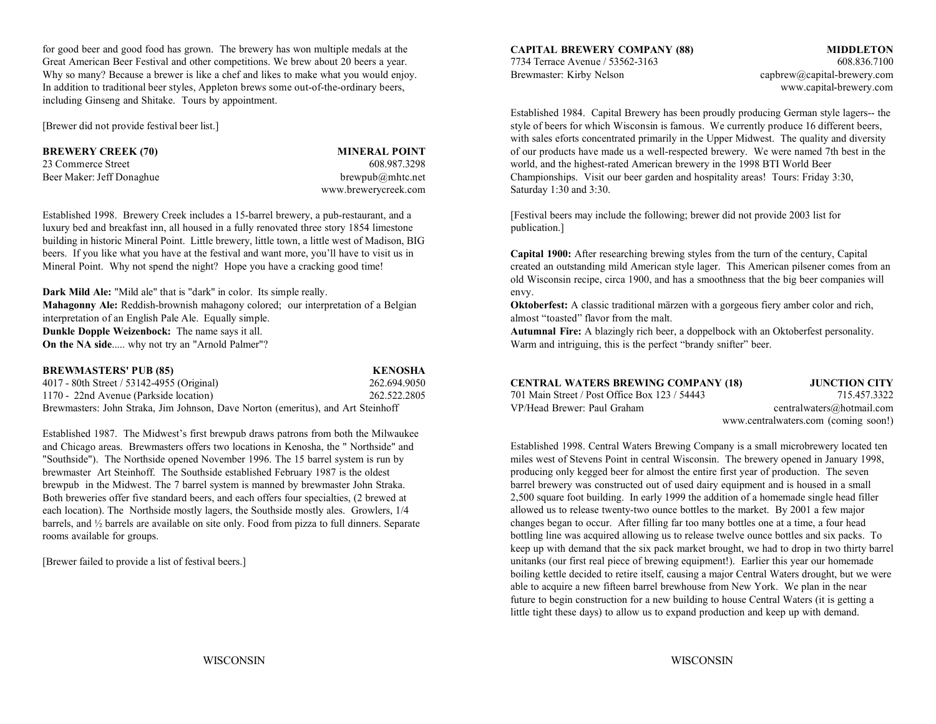for good beer and good food has grown. The brewery has won multiple medals at the Great American Beer Festival and other competitions. We brew about 20 beers a year. 7734 Terrace Avenue / 53562-3163 608.836.7100 Why so many? Because a brewer is like a chef and likes to make what you would enjoy. Brewmaster: Kirby Nelson capbrew@capital-brewery.com In addition to traditional beer styles, Appleton brews some out-of-the-ordinary beers, www.capital-brewery.com including Ginseng and Shitake. Tours by appointment.

**BREWERY CREEK (70) MINERAL POINT**

www.brewerycreek.com Saturday 1:30 and 3:30.

Established 1998. Brewery Creek includes a 15-barrel brewery, a pub-restaurant, and a [Festival beers may include the following; brewer did not provide 2003 list for luxury bed and breakfast inn, all housed in a fully renovated three story 1854 limestone publication.] building in historic Mineral Point. Little brewery, little town, a little west of Madison, BIG beers. If you like what you have at the festival and want more, you'll have to visit us in Mineral Point. Why not spend the night? Hope you have a cracking good time!

**Dark Mild Ale:** "Mild ale" that is "dark" in color. Its simple really. envy. interpretation of an English Pale Ale. Equally simple. **Dunkle Dopple Weizenbock:** The name says it all. **Autumnal Fire:** A blazingly rich beer, a doppelbock with an Oktoberfest personality. **On the NA side**..... why not try an "Arnold Palmer"?

| <b>BREWMASTERS' PUB (85)</b>                                                     | <b>KENOSHA</b> |
|----------------------------------------------------------------------------------|----------------|
| 4017 - 80th Street / 53142-4955 (Original)                                       | 262.694.9050   |
| 1170 - 22nd Avenue (Parkside location)                                           | 262.522.2805   |
| Brewmasters: John Straka, Jim Johnson, Dave Norton (emeritus), and Art Steinhoff |                |

Established 1987. The Midwest's first brewpub draws patrons from both the Milwaukee and Chicago areas. Brewmasters offers two locations in Kenosha, the " Northside" and "Southside"). The Northside opened November 1996. The 15 barrel system is run by brewmaster Art Steinhoff. The Southside established February 1987 is the oldest brewpub in the Midwest. The 7 barrel system is manned by brewmaster John Straka. Both breweries offer five standard beers, and each offers four specialties, (2 brewed at each location). The Northside mostly lagers, the Southside mostly ales. Growlers, 1/4 barrels, and ½ barrels are available on site only. Food from pizza to full dinners. Separate rooms available for groups.

[Brewer failed to provide a list of festival beers.]

**CAPITAL BREWERY COMPANY (88) MIDDLETON**

[Brewer did not provide festival beer list.] style of beers for which Wisconsin is famous. We currently produce 16 different beers, 23 Commerce Street 608.987.3298 world, and the highest-rated American brewery in the 1998 BTI World Beer Beer Maker: Jeff Donaghue brewpub@mhtc.net brewpub@mhtc.net Championships. Visit our beer garden and hospitality areas! Tours: Friday 3:30, Established 1984. Capital Brewery has been proudly producing German style lagers-- the with sales eforts concentrated primarily in the Upper Midwest. The quality and diversity of our products have made us a well-respected brewery. We were named 7th best in the

**Capital 1900:** After researching brewing styles from the turn of the century, Capital created an outstanding mild American style lager. This American pilsener comes from an old Wisconsin recipe, circa 1900, and has a smoothness that the big beer companies will

**Mahagonny Ale:** Reddish-brownish mahagony colored; our interpretation of a Belgian **Oktoberfest:** A classic traditional märzen with a gorgeous fiery amber color and rich, interpretation of an English Pale Ale. Equally sim

Warm and intriguing, this is the perfect "brandy snifter" beer.

| 4017 - 80th Street / 53142-4955 (Original)                                       | 262.694.9050 | <b>CENTRAL WATERS BREWING COMPANY (18)</b>    | <b>JUNCTION CITY</b>                 |
|----------------------------------------------------------------------------------|--------------|-----------------------------------------------|--------------------------------------|
| 1170 - 22nd Avenue (Parkside location)                                           | 262.522.2805 | 701 Main Street / Post Office Box 123 / 54443 | 715.457.3322                         |
| Brewmasters: John Straka, Jim Johnson, Dave Norton (emeritus), and Art Steinhoff |              | VP/Head Brewer: Paul Graham                   | centralwaters@hotmail.com            |
|                                                                                  |              |                                               | www.centralwaters.com (coming soon!) |

Established 1998. Central Waters Brewing Company is a small microbrewery located ten miles west of Stevens Point in central Wisconsin. The brewery opened in January 1998, producing only kegged beer for almost the entire first year of production. The seven barrel brewery was constructed out of used dairy equipment and is housed in a small 2,500 square foot building. In early 1999 the addition of a homemade single head filler allowed us to release twenty-two ounce bottles to the market. By 2001 a few major changes began to occur. After filling far too many bottles one at a time, a four head bottling line was acquired allowing us to release twelve ounce bottles and six packs. To keep up with demand that the six pack market brought, we had to drop in two thirty barrel unitanks (our first real piece of brewing equipment!). Earlier this year our homemade boiling kettle decided to retire itself, causing a major Central Waters drought, but we were able to acquire a new fifteen barrel brewhouse from New York. We plan in the near future to begin construction for a new building to house Central Waters (it is getting a little tight these days) to allow us to expand production and keep up with demand.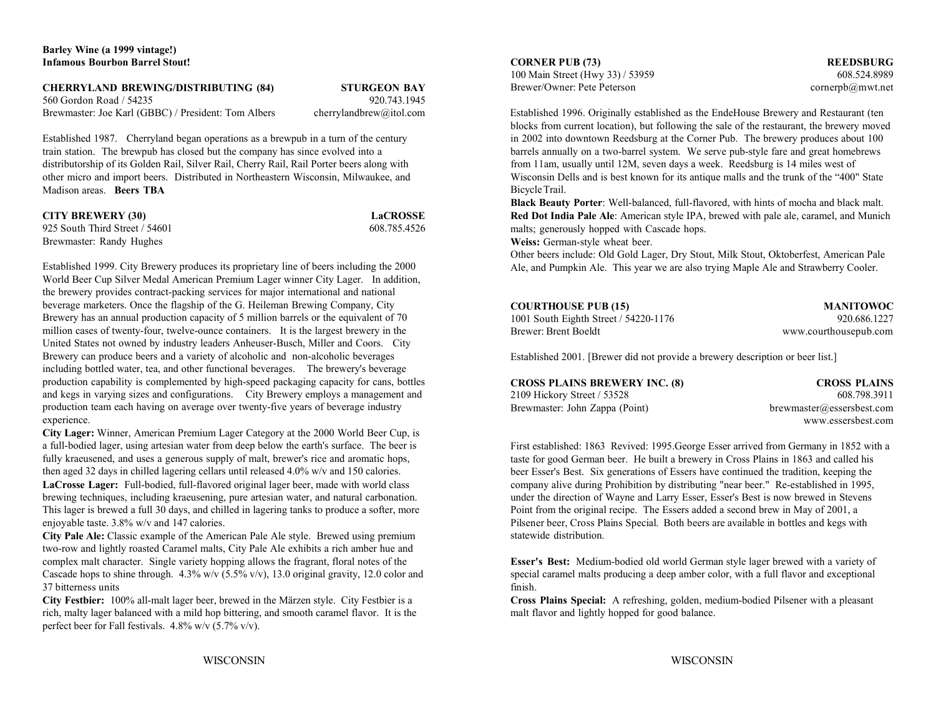### **CHERRYLAND BREWING/DISTRIBUTING (84) STURGEON BAY**

560 Gordon Road / 54235 920.743.1945

train station. The brewpub has closed but the company has since evolved into a barrels annually on a two-barrel system. We serve pub-style fare and great homebrews distributorship of its Golden Rail, Silver Rail, Cherry Ra Madison areas. **Beers TBA**

| <b>CITY BREWERY (30)</b>       | <b>LaCROSSE</b> |
|--------------------------------|-----------------|
| 925 South Third Street / 54601 | 608.785.4526    |
| Brewmaster: Randy Hughes       |                 |

Established 1999. City Brewery produces its proprietary line of beers including the 2000 World Beer Cup Silver Medal American Premium Lager winner City Lager. In addition, the brewery provides contract-packing services for major international and national beverage marketers. Once the flagship of the G. Heileman Brewing Company, City Brewery has an annual production capacity of 5 million barrels or the equivalent of 70 million cases of twenty-four, twelve-ounce containers. It is the largest brewery in the United States not owned by industry leaders Anheuser-Busch, Miller and Coors. City Brewery can produce beers and a variety of alcoholic and non-alcoholic beverages including bottled water, tea, and other functional beverages. The brewery's beverage production capability is complemented by high-speed packaging capacity for cans, bottles and kegs in varying sizes and configurations. City Brewery employs a management and production team each having on average over twenty-five years of beverage industry experience.

**City Lager:** Winner, American Premium Lager Category at the 2000 World Beer Cup, is a full-bodied lager, using artesian water from deep below the earth's surface. The beer is fully kraeusened, and uses a generous supply of malt, brewer's rice and aromatic hops, then aged 32 days in chilled lagering cellars until released 4.0% w/v and 150 calories. **LaCrosse Lager:** Full-bodied, full-flavored original lager beer, made with world class company alive during Prohibition by distributing "near beer." Re-established in 1995, brewing techniques, including kraeusening, pure brewing techniques, including kraeusening, pure artesian water, and natural carbonation. This lager is brewed a full 30 days, and chilled in lagering tanks to produce a softer, more Point from the original recipe. The Essers added a second brew in May of 2001, a enjoyable taste. 3.8% w/v and 147 calories. Pilsener beer, Cross Plains Special. Both beers are available in bottles and kegs with

**City Pale Ale:** Classic example of the American Pale Ale style. Brewed using premium two-row and lightly roasted Caramel malts, City Pale Ale exhibits a rich amber hue and complex malt character. Single variety hopping allows the fragrant, floral notes of the Cascade hops to shine through.  $4.3\%$  w/v (5.5% v/v), 13.0 original gravity, 12.0 color and 37 bitterness units finish.

**City Festbier:** 100% all-malt lager beer, brewed in the Märzen style. City Festbier is a **Cross Plains Special:** A refreshing, golden, medium-bodied Pilsener with a pleasant rich, malty lager balanced with a mild hop bittering, and smooth caramel flavor. It is the malt flavor and lightly hopped for good balance. perfect beer for Fall festivals. 4.8% w/v (5.7% v/v).

100 Main Street (Hwy 33) / 53959 608.524.8989 Brewer/Owner: Pete Peterson cornerpb@mwt.net

Brewmaster: Joe Karl (GBBC) / President: Tom Albers cherrylandbrew@itol.com Established 1996. Originally established as the EndeHouse Brewery and Restaurant (ten Established 1987. Cherryland began operations as a brewpub in a turn of the century in 2002 into downtown Reedsburg at the Corner Pub. The brewery produces about 100 from 11am, usually until 12M, seven days a week. Reedsburg is 14 miles west of other micro and import beers. Distributed in Northeastern Wisconsin, Milwaukee, and Wisconsin Dells and is best known for its antique malls and the trunk of the "400" State blocks from current location), but following the sale of the restaurant, the brewery moved Bicycle Trail.

**CROSSE Red Dot India Pale Ale**: American style IPA, brewed with pale ale, caramel, and Munich **Black Beauty Porter**: Well-balanced, full-flavored, with hints of mocha and black malt. malts; generously hopped with Cascade hops.

**Weiss:** German-style wheat beer.

Other beers include: Old Gold Lager, Dry Stout, Milk Stout, Oktoberfest, American Pale Ale, and Pumpkin Ale. This year we are also trying Maple Ale and Strawberry Cooler.

| <b>COURTHOUSE PUB (15)</b>            | <b>MANITOWOC</b>      |
|---------------------------------------|-----------------------|
| 1001 South Eighth Street / 54220-1176 | 920.686.1227          |
| Brewer: Brent Boeldt                  | www.courthousepub.com |

Established 2001. [Brewer did not provide a brewery description or beer list.]

| CROSS PLAINS BREWERY INC. (8)  |  |
|--------------------------------|--|
| 2109 Hickory Street / 53528    |  |
| Brewmaster: John Zappa (Point) |  |

**CROSS PLAINS BREWERY INC. (8) CROSS PLAINS** 608.798.3911 brewmaster@essersbest.com www.essersbest.com

First established: 1863 Revived: 1995.George Esser arrived from Germany in 1852 with a taste for good German beer. He built a brewery in Cross Plains in 1863 and called his beer Esser's Best. Six generations of Essers have continued the tradition, keeping the statewide distribution.

**Esser's Best:** Medium-bodied old world German style lager brewed with a variety of special caramel malts producing a deep amber color, with a full flavor and exceptional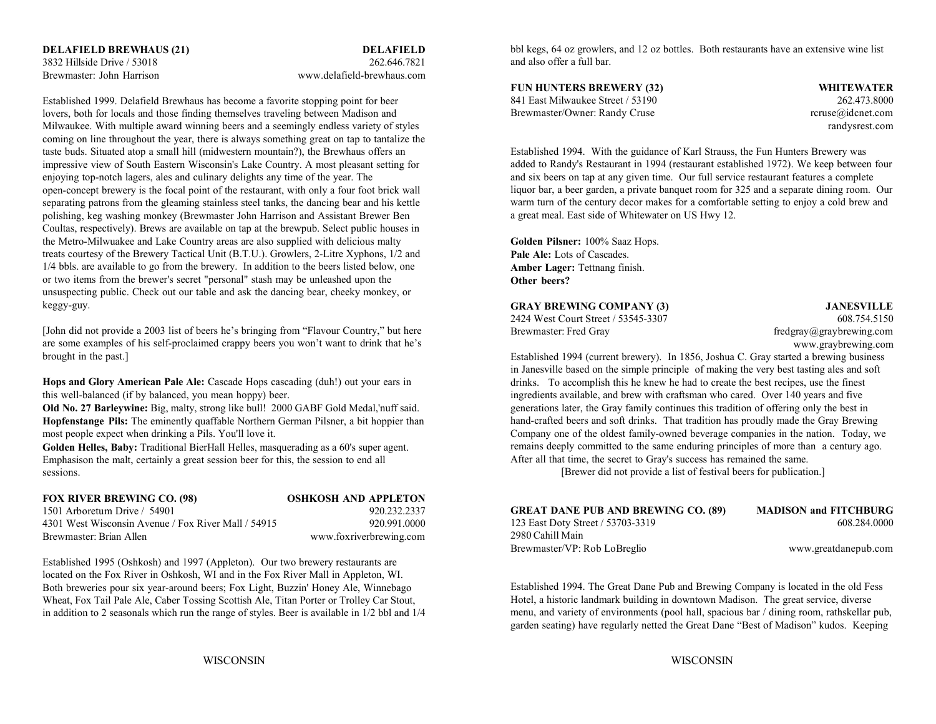Brewmaster: John Harrison www.delafield-brewhaus.com

Established 1999. Delafield Brewhaus has become a favorite stopping point for beer lovers, both for locals and those finding themselves traveling between Madison and Milwaukee. With multiple award winning beers and a seemingly endless variety of styles coming on line throughout the year, there is always something great on tap to tantalize the taste buds. Situated atop a small hill (midwestern mountain?), the Brewhaus offers an impressive view of South Eastern Wisconsin's Lake Country. A most pleasant setting for enjoying top-notch lagers, ales and culinary delights any time of the year. The open-concept brewery is the focal point of the restaurant, with only a four foot brick wall separating patrons from the gleaming stainless steel tanks, the dancing bear and his kettle polishing, keg washing monkey (Brewmaster John Harrison and Assistant Brewer Ben Coultas, respectively). Brews are available on tap at the brewpub. Select public houses in the Metro-Milwuakee and Lake Country areas are also supplied with delicious malty **Golden Pilsner:** 100% Saaz Hops. treats courtesy of the Brewery Tactical Unit (B.T.U.). Growlers, 2-Litre Xyphons, 1/2 and 1/4 bbls. are available to go from the brewery. In addition to the beers listed below, one or two items from the brewer's secret "personal" stash may be unleashed upon the unsuspecting public. Check out our table and ask the dancing bear, cheeky monkey, or keggy-guy.

[John did not provide a 2003 list of beers he's bringing from "Flavour Country," but here are some examples of his self-proclaimed crappy beers you won't want to drink that he's brought in the past.]

**Hops and Glory American Pale Ale:** Cascade Hops cascading (duh!) out your ears in this well-balanced (if by balanced, you mean hoppy) beer.

**Hopfenstange Pils:** The eminently quaffable Northern German Pilsner, a bit hoppier than most people expect when drinking a Pils. You'll love it.

**Golden Helles, Baby:** Traditional BierHall Helles, masquerading as a 60's super agent. Emphasison the malt, certainly a great session beer for this, the session to end all sessions.

| FOX RIVER BREWING CO. (98)                          | <b>OSHKOSH AND APPLETON</b> |
|-----------------------------------------------------|-----------------------------|
| 1501 Arboretum Drive $/$ 54901                      | 920.232.2337                |
| 4301 West Wisconsin Avenue / Fox River Mall / 54915 | 920 991 0000                |
| Brewmaster: Brian Allen                             | www.foxriverbrewing.com     |

Established 1995 (Oshkosh) and 1997 (Appleton). Our two brewery restaurants are located on the Fox River in Oshkosh, WI and in the Fox River Mall in Appleton, WI. Both breweries pour six year-around beers; Fox Light, Buzzin' Honey Ale, Winnebago Wheat, Fox Tail Pale Ale, Caber Tossing Scottish Ale, Titan Porter or Trolley Car Stout, in addition to 2 seasonals which run the range of styles. Beer is available in 1/2 bbl and 1/4 bbl kegs, 64 oz growlers, and 12 oz bottles. Both restaurants have an extensive wine list and also offer a full bar.

### **FUN HUNTERS BREWERY (32) WHITEWATER**

841 East Milwaukee Street / 53190 262.473.8000Brewmaster/Owner: Randy Cruse rcruse reruse@idcnet.com

randysrest.com

Established 1994. With the guidance of Karl Strauss, the Fun Hunters Brewery was added to Randy's Restaurant in 1994 (restaurant established 1972). We keep between four and six beers on tap at any given time. Our full service restaurant features a complete liquor bar, a beer garden, a private banquet room for 325 and a separate dining room. Our warm turn of the century decor makes for a comfortable setting to enjoy a cold brew and a great meal. East side of Whitewater on US Hwy 12.

**Pale Ale:** Lots of Cascades. **Amber Lager:** Tettnang finish. **Other beers?**

### **GRAY BREWING COMPANY (3) JANESVILLE**

2424 West Court Street / 53545-3307 608.754.5150

Brewmaster: Fred Gray free extends the fredgray free free graybrewing.com www.graybrewing.com

**Old No. 27 Barleywine:** Big, malty, strong like bull! 2000 GABF Gold Medal,'nuff said. generations later, the Gray family continues this tradition of offering only the best in Established 1994 (current brewery). In 1856, Joshua C. Gray started a brewing business in Janesville based on the simple principle of making the very best tasting ales and soft drinks. To accomplish this he knew he had to create the best recipes, use the finest ingredients available, and brew with craftsman who cared. Over 140 years and five hand-crafted beers and soft drinks. That tradition has proudly made the Gray Brewing Company one of the oldest family-owned beverage companies in the nation. Today, we remains deeply committed to the same enduring principles of more than a century ago. After all that time, the secret to Gray's success has remained the same.

[Brewer did not provide a list of festival beers for publication.]

| <b>GREAT DANE PUB AND BREWING CO. (89)</b> | <b>MADISON and FITCHBURG</b> |
|--------------------------------------------|------------------------------|
| 123 East Doty Street / 53703-3319          | 608.284.0000                 |
| 2980 Cahill Main                           |                              |
| Brewmaster/VP: Rob LoBreglio               | www.greatdanepub.com         |

Established 1994. The Great Dane Pub and Brewing Company is located in the old Fess Hotel, a historic landmark building in downtown Madison. The great service, diverse menu, and variety of environments (pool hall, spacious bar / dining room, rathskellar pub, garden seating) have regularly netted the Great Dane "Best of Madison" kudos. Keeping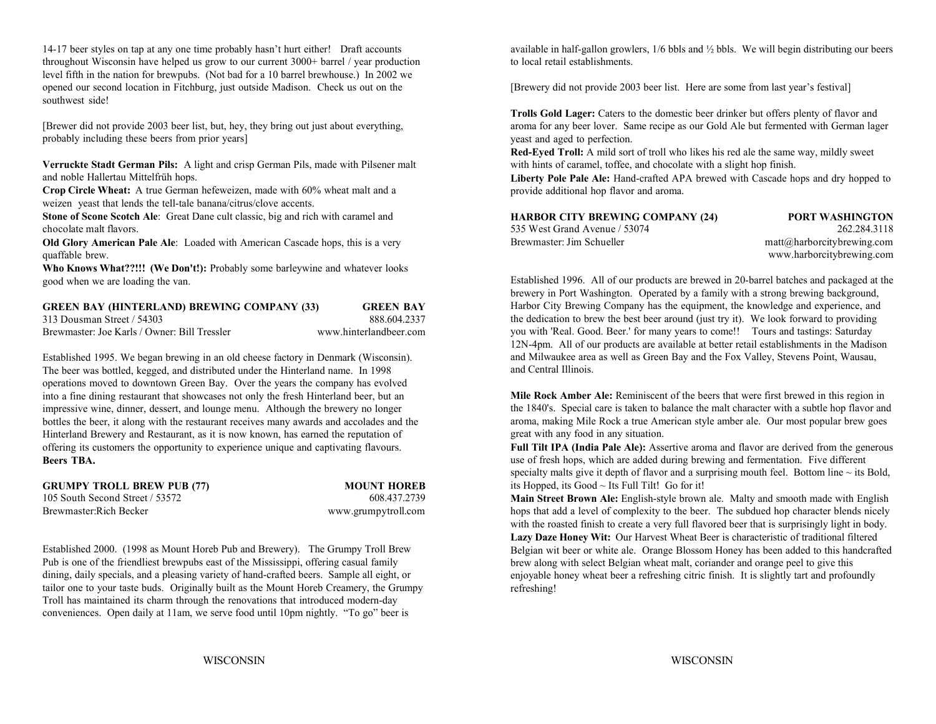throughout Wisconsin have helped us grow to our current 3000+ barrel / year production to local retail establishments. level fifth in the nation for brewpubs. (Not bad for a 10 barrel brewhouse.) In 2002 we opened our second location in Fitchburg, just outside Madison. Check us out on the [Brewery did not provide 2003 beer list. Here are some from last year's festival] southwest side!

[Brewer did not provide 2003 beer list, but, hey, they bring out just about everything, probably including these beers from prior years]

**Verruckte Stadt German Pils:** A light and crisp German Pils, made with Pilsener malt and noble Hallertau Mittelfrüh hops.

**Crop Circle Wheat:** A true German hefeweizen, made with 60% wheat malt and a weizen yeast that lends the tell-tale banana/citrus/clove accents.

**Stone of Scone Scotch Ale**: Great Dane cult classic, big and rich with caramel and chocolate malt flavors. 53

**Old Glory American Pale Ale**: Loaded with American Cascade hops, this is a very quaffable brew.

**Who Knows What??!!! (We Don't!):** Probably some barleywine and whatever looks good when we are loading the van.

| <b>GREEN BAY (HINTERLAND) BREWING COMPANY (33)</b> | <b>GREEN BAY</b> |
|----------------------------------------------------|------------------|
| 313 Dousman Street / 54303                         | 888 604 2337     |

Brewmaster: Joe Karls / Owner: Bill Tressler

www.hinterlandbeer.com

Established 1995. We began brewing in an old cheese factory in Denmark (Wisconsin). The beer was bottled, kegged, and distributed under the Hinterland name. In 1998 operations moved to downtown Green Bay. Over the years the company has evolved into a fine dining restaurant that showcases not only the fresh Hinterland beer, but an impressive wine, dinner, dessert, and lounge menu. Although the brewery no longer bottles the beer, it along with the restaurant receives many awards and accolades and the Hinterland Brewery and Restaurant, as it is now known, has earned the reputation of offering its customers the opportunity to experience unique and captivating flavours. **Full Tilt IPA (India Pale Ale):** Assertive aroma and flavor are derived from the generous **Beers TBA.**

**GRUMPY TROLL BREW PUB (77) MOUNT HOREB** 105 South Second Street / 53572 608.437.2739Brewmaster:Rich Becker www.grumpytroll.com

Established 2000. (1998 as Mount Horeb Pub and Brewery). The Grumpy Troll Brew Pub is one of the friendliest brewpubs east of the Mississippi, offering casual family dining, daily specials, and a pleasing variety of hand-crafted beers. Sample all eight, or tailor one to your taste buds. Originally built as the Mount Horeb Creamery, the Grumpy Troll has maintained its charm through the renovations that introduced modern-day conveniences. Open daily at 11am, we serve food until 10pm nightly. "To go" beer is

14-17 beer styles on tap at any one time probably hasn't hurt either! Draft accounts available in half-gallon growlers, 1/6 bbls and 1/2 bbls. We will begin distributing our beers

**Trolls Gold Lager:** Caters to the domestic beer drinker but offers plenty of flavor and aroma for any beer lover. Same recipe as our Gold Ale but fermented with German lager yeast and aged to perfection.

**Red-Eyed Troll:** A mild sort of troll who likes his red ale the same way, mildly sweet with hints of caramel, toffee, and chocolate with a slight hop finish.

**Liberty Pole Pale Ale:** Hand-crafted APA brewed with Cascade hops and dry hopped to provide additional hop flavor and aroma.

| HARBOR CITY BREWING COMPANY (24) | <b>PORT WASHINGTON</b>                            |
|----------------------------------|---------------------------------------------------|
| 535 West Grand Avenue / 53074    | 262.284.3118                                      |
| Brewmaster: Jim Schueller        | $\text{matt}(\hat{\omega})$ harborcitybrewing.com |
|                                  | www.harborcitybrewing.com                         |

Established 1996. All of our products are brewed in 20-barrel batches and packaged at the brewery in Port Washington. Operated by a family with a strong brewing background, Harbor City Brewing Company has the equipment, the knowledge and experience, and the dedication to brew the best beer around (just try it). We look forward to providing you with 'Real. Good. Beer.' for many years to come!! Tours and tastings: Saturday 12N-4pm. All of our products are available at better retail establishments in the Madison and Milwaukee area as well as Green Bay and the Fox Valley, Stevens Point, Wausau, and Central Illinois.

**Mile Rock Amber Ale:** Reminiscent of the beers that were first brewed in this region in the 1840's. Special care is taken to balance the malt character with a subtle hop flavor and aroma, making Mile Rock a true American style amber ale. Our most popular brew goes great with any food in any situation.

use of fresh hops, which are added during brewing and fermentation. Five different specialty malts give it depth of flavor and a surprising mouth feel. Bottom line  $\sim$  its Bold, its Hopped, its Good ~ Its Full Tilt! Go for it!

**Main Street Brown Ale:** English-style brown ale. Malty and smooth made with English hops that add a level of complexity to the beer. The subdued hop character blends nicely with the roasted finish to create a very full flavored beer that is surprisingly light in body. **Lazy Daze Honey Wit:** Our Harvest Wheat Beer is characteristic of traditional filtered Belgian wit beer or white ale. Orange Blossom Honey has been added to this handcrafted brew along with select Belgian wheat malt, coriander and orange peel to give this enjoyable honey wheat beer a refreshing citric finish. It is slightly tart and profoundly refreshing!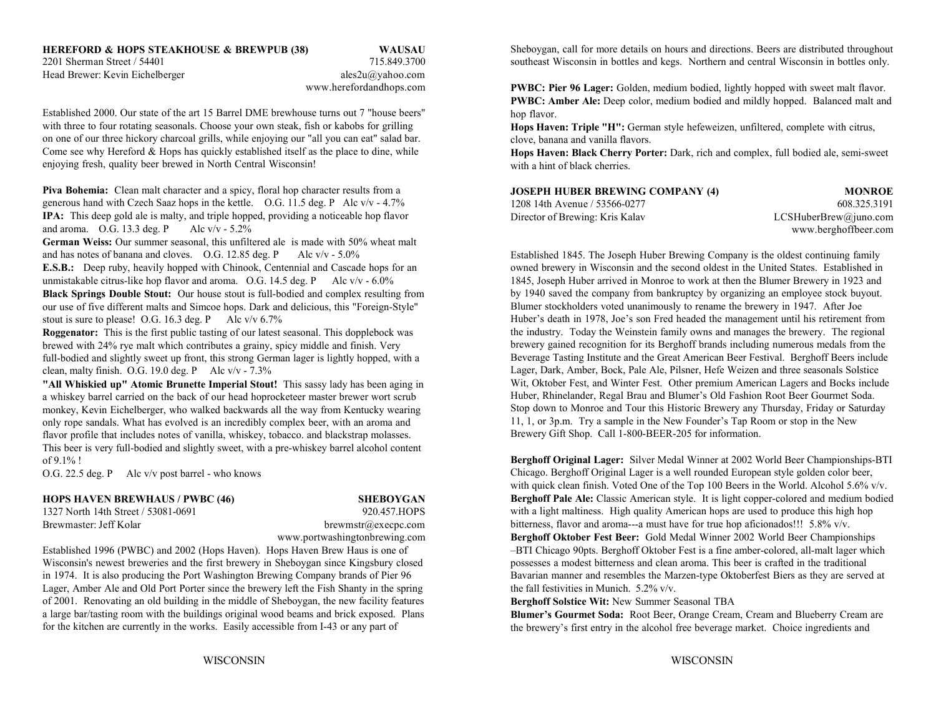# **HEREFORD & HOPS STEAKHOUSE & BREWPUB (38) WAUSAU**

Head Brewer: Kevin Eichelberger ales2u@yahoo.com

www.herefordandhops.com

Established 2000. Our state of the art 15 Barrel DME brewhouse turns out 7 "house beers" with three to four rotating seasonals. Choose your own steak, fish or kabobs for grilling on one of our three hickory charcoal grills, while enjoying our "all you can eat" salad bar. Come see why Hereford & Hops has quickly established itself as the place to dine, while enjoying fresh, quality beer brewed in North Central Wisconsin!

**Piva Bohemia:** Clean malt character and a spicy, floral hop character results from a generous hand with Czech Saaz hops in the kettle. O.G. 11.5 deg. P Alc v/v - 4.7% **IPA:** This deep gold ale is malty, and triple hopped, providing a noticeable hop flavor and aroma. O.G. 13.3 deg. P Alc  $v/v - 5.2\%$ 

**German Weiss:** Our summer seasonal, this unfiltered ale is made with 50% wheat malt and has notes of banana and cloves. O.G. 12.85 deg. P Alc v/v - 5.0%

unmistakable citrus-like hop flavor and aroma. O.G. 14.5 deg. P Alc v/v - 6.0% 1845, Joseph Huber arrived in Monroe to work at then the Blumer Brewery in 1923 and **Black Springs Double Stout:** Our house stout is full-bodied and complex resulting from our use of five different malts and Simcoe hops. Dark and delicious, this "Foreign-Style" stout is sure to please! O.G. 16.3 deg. P Alc  $v/v$  6.7%

**Roggenator:** This is the first public tasting of our latest seasonal. This dopplebock was brewed with 24% rye malt which contributes a grainy, spicy middle and finish. Very full-bodied and slightly sweet up front, this strong German lager is lightly hopped, with a clean, malty finish. O.G. 19.0 deg. P Alc  $v/v - 7.3%$ 

**"All Whiskied up" Atomic Brunette Imperial Stout!** This sassy lady has been aging in a whiskey barrel carried on the back of our head hoprocketeer master brewer wort scrub monkey, Kevin Eichelberger, who walked backwards all the way from Kentucky wearing only rope sandals. What has evolved is an incredibly complex beer, with an aroma and flavor profile that includes notes of vanilla, whiskey, tobacco. and blackstrap molasses. This beer is very full-bodied and slightly sweet, with a pre-whiskey barrel alcohol content of 9.1% !

O.G. 22.5 deg. P Alc v/v post barrel - who knows

### **HOPS HAVEN BREWHAUS / PWBC (46) SHEBOYGAN**

1327 North 14th Street / 53081-0691 920.457.HOPSBrewmaster: Jeff Kolar brewmstr@execpc.com

Wisconsin's newest breweries and the first brewery in Sheboygan since Kingsbury closed possesses a modest bitterness and clean aroma. This beer is crafted in the traditional in 1974. It is also producing the Port Washington Brewing Company brands of Pier 96 Bavarian manner and resembles the Marzen-type Oktoberfest Biers as they are served at Lager, Amber Ale and Old Port Porter since the brewery left the Fish Shanty in the spring the fall festivities in Munich. 5.2% v/v. of 2001. Renovating an old building in the middle of Sheboygan, the new facility features a large bar/tasting room with the buildings original wood beams and brick exposed. Plans for the kitchen are currently in the works. Easily accessible from I-43 or any part of

2201 Sherman Street / 54401 715.849.3700 southeast Wisconsin in bottles and kegs. Northern and central Wisconsin in bottles only. Sheboygan, call for more details on hours and directions. Beers are distributed throughout

> **PWBC: Pier 96 Lager:** Golden, medium bodied, lightly hopped with sweet malt flavor. **PWBC: Amber Ale:** Deep color, medium bodied and mildly hopped. Balanced malt and hop flavor.

**Hops Haven: Triple "H":** German style hefeweizen, unfiltered, complete with citrus, clove, banana and vanilla flavors.

**Hops Haven: Black Cherry Porter:** Dark, rich and complex, full bodied ale, semi-sweet with a hint of black cherries.

| <b>JOSEPH HUBER BREWING COMPANY (4)</b> | <b>MONROE</b>         |
|-----------------------------------------|-----------------------|
| 1208 14th Avenue / 53566-0277           | 608.325.3191          |
| Director of Brewing: Kris Kalay         | LCSHuberBrew@juno.com |
|                                         | www.berghoffbeer.com  |

**E.S.B.:** Deep ruby, heavily hopped with Chinook, Centennial and Cascade hops for an owned brewery in Wisconsin and the second oldest in the United States. Established in Established 1845. The Joseph Huber Brewing Company is the oldest continuing family by 1940 saved the company from bankruptcy by organizing an employee stock buyout. Blumer stockholders voted unanimously to rename the brewery in 1947. After Joe Huber's death in 1978, Joe's son Fred headed the management until his retirement from the industry. Today the Weinstein family owns and manages the brewery. The regional brewery gained recognition for its Berghoff brands including numerous medals from the Beverage Tasting Institute and the Great American Beer Festival. Berghoff Beers include Lager, Dark, Amber, Bock, Pale Ale, Pilsner, Hefe Weizen and three seasonals Solstice Wit, Oktober Fest, and Winter Fest. Other premium American Lagers and Bocks include Huber, Rhinelander, Regal Brau and Blumer's Old Fashion Root Beer Gourmet Soda. Stop down to Monroe and Tour this Historic Brewery any Thursday, Friday or Saturday 11, 1, or 3p.m. Try a sample in the New Founder's Tap Room or stop in the New Brewery Gift Shop. Call 1-800-BEER-205 for information.

www.portwashingtonbrewing.com **Berghoff Oktober Fest Beer:** Gold Medal Winner 2002 World Beer Championships Established 1996 (PWBC) and 2002 (Hops Haven). Hops Haven Brew Haus is one of –BTI Chicago 90pts. Berghoff Oktober Fest is a fine amber-colored, all-malt lager which **Berghoff Original Lager:** Silver Medal Winner at 2002 World Beer Championships-BTI Chicago. Berghoff Original Lager is a well rounded European style golden color beer, with quick clean finish. Voted One of the Top 100 Beers in the World. Alcohol 5.6% v/v. **Berghoff Pale Ale:** Classic American style. It is light copper-colored and medium bodied with a light maltiness. High quality American hops are used to produce this high hop bitterness, flavor and aroma---a must have for true hop aficionados!!! 5.8% v/v.

**Berghoff Solstice Wit:** New Summer Seasonal TBA

**Blumer's Gourmet Soda:** Root Beer, Orange Cream, Cream and Blueberry Cream are the brewery's first entry in the alcohol free beverage market. Choice ingredients and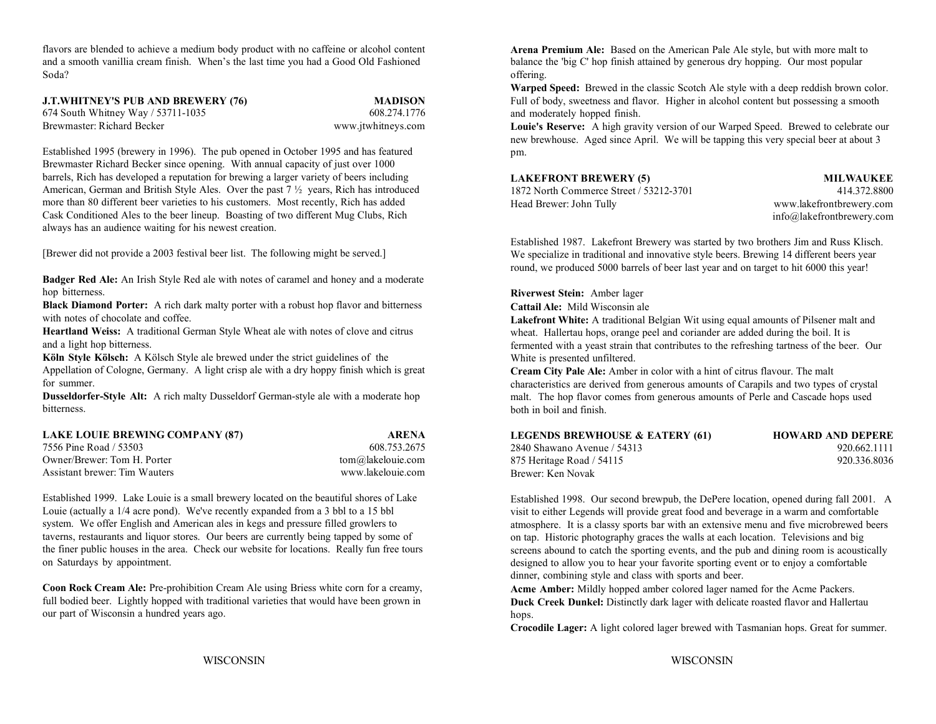flavors are blended to achieve a medium body product with no caffeine or alcohol content and a smooth vanillia cream finish. When's the last time you had a Good Old Fashioned balance the 'big C' hop finish attained by generous dry hopping. Our most popular Soda?offering. The contract of the contract of the contract of the contract of the contract of the contract of the contract of the contract of the contract of the contract of the contract of the contract of the contract of the

| <b>J.T.WHITNEY'S PUB AND BREWERY (76)</b> | <b>MADISON</b>     |
|-------------------------------------------|--------------------|
| 674 South Whitney Way / 53711-1035        | 608.274.1776       |
| Brewmaster: Richard Becker                | www.jtwhitneys.com |

Established 1995 (brewery in 1996). The pub opened in October 1995 and has featured Brewmaster Richard Becker since opening. With annual capacity of just over 1000 barrels, Rich has developed a reputation for brewing a larger variety of beers including American, German and British Style Ales. Over the past  $7\frac{1}{2}$  years, Rich has introduced more than 80 different beer varieties to his customers. Most recently, Rich has added Cask Conditioned Ales to the beer lineup. Boasting of two different Mug Clubs, Rich always has an audience waiting for his newest creation.

[Brewer did not provide a 2003 festival beer list. The following might be served.]

**Badger Red Ale:** An Irish Style Red ale with notes of caramel and honey and a moderate hop bitterness.

**Black Diamond Porter:** A rich dark malty porter with a robust hop flavor and bitterness with notes of chocolate and coffee.

**Heartland Weiss:** A traditional German Style Wheat ale with notes of clove and citrus and a light hop bitterness.

**Köln Style Kölsch:** A Kölsch Style ale brewed under the strict guidelines of the Appellation of Cologne, Germany. A light crisp ale with a dry hoppy finish which is great for summer.

**Dusseldorfer-Style Alt:** A rich malty Dusseldorf German-style ale with a moderate hop bitterness.

| <b>LAKE LOUIE BREWING COMPANY (87)</b> | <b>ARENA</b>      |
|----------------------------------------|-------------------|
| 7556 Pine Road / 53503                 | 608.753.2675      |
| Owner/Brewer: Tom H. Porter            | tom@lakelouie.com |
| Assistant brewer: Tim Wauters          | www.lakelouie.com |

Established 1999. Lake Louie is a small brewery located on the beautiful shores of Lake Louie (actually a 1/4 acre pond). We've recently expanded from a 3 bbl to a 15 bbl system. We offer English and American ales in kegs and pressure filled growlers to taverns, restaurants and liquor stores. Our beers are currently being tapped by some of the finer public houses in the area. Check our website for locations. Really fun free tours on Saturdays by appointment.

**Coon Rock Cream Ale:** Pre-prohibition Cream Ale using Briess white corn for a creamy, full bodied beer. Lightly hopped with traditional varieties that would have been grown in our part of Wisconsin a hundred years ago.

**Arena Premium Ale:** Based on the American Pale Ale style, but with more malt to

Full of body, sweetness and flavor. Higher in alcohol content but possessing a smooth **Warped Speed:** Brewed in the classic Scotch Ale style with a deep reddish brown color. and moderately hopped finish.

**Louie's Reserve:** A high gravity version of our Warped Speed. Brewed to celebrate our new brewhouse. Aged since April. We will be tapping this very special beer at about 3 pm.

### **LAKEFRONT BREWERY (5) MILWAUKEE**

1872 North Commerce Street / 53212-3701 414.372.8800Head Brewer: John Tully www.lakefrontbrewery.com

info@lakefrontbrewery.com

Established 1987. Lakefront Brewery was started by two brothers Jim and Russ Klisch. We specialize in traditional and innovative style beers. Brewing 14 different beers year round, we produced 5000 barrels of beer last year and on target to hit 6000 this year!

**Riverwest Stein:** Amber lager

**Cattail Ale:** Mild Wisconsin ale

**Lakefront White:** A traditional Belgian Wit using equal amounts of Pilsener malt and wheat. Hallertau hops, orange peel and coriander are added during the boil. It is fermented with a yeast strain that contributes to the refreshing tartness of the beer. Our White is presented unfiltered.

**Cream City Pale Ale:** Amber in color with a hint of citrus flavour. The malt characteristics are derived from generous amounts of Carapils and two types of crystal malt. The hop flavor comes from generous amounts of Perle and Cascade hops used both in boil and finish.

| LEGENDS BREWHOUSE & EATERY (61) | <b>HOWARD AND DEPERE</b> |
|---------------------------------|--------------------------|
| 2840 Shawano Avenue / 54313     | 920.662.1111             |
| 875 Heritage Road / 54115       | 920.336.8036             |
| Brewer: Ken Novak               |                          |

Established 1998. Our second brewpub, the DePere location, opened during fall 2001. A visit to either Legends will provide great food and beverage in a warm and comfortable atmosphere. It is a classy sports bar with an extensive menu and five microbrewed beers on tap. Historic photography graces the walls at each location. Televisions and big screens abound to catch the sporting events, and the pub and dining room is acoustically designed to allow you to hear your favorite sporting event or to enjoy a comfortable dinner, combining style and class with sports and beer.

**Acme Amber:** Mildly hopped amber colored lager named for the Acme Packers. **Duck Creek Dunkel:** Distinctly dark lager with delicate roasted flavor and Hallertau hops.

**Crocodile Lager:** A light colored lager brewed with Tasmanian hops. Great for summer.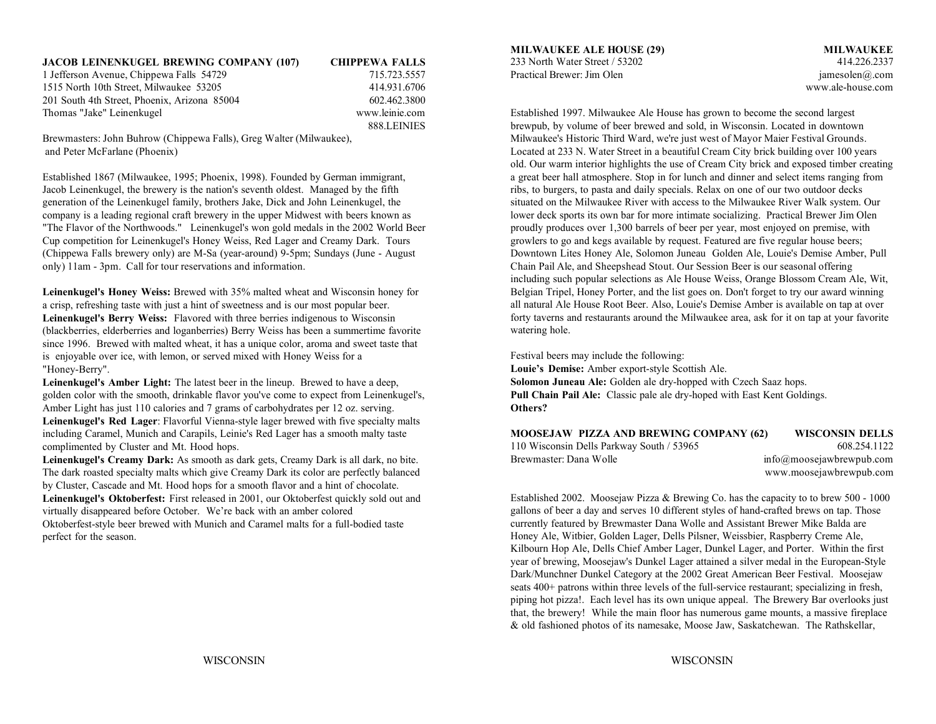| <b>JACOB LEINENKUGEL BREWING COMPANY (107)</b> | <b>CHIPPEWA FALLS</b> | 233 North Water Street / 53202                                               | 414.226.2337      |
|------------------------------------------------|-----------------------|------------------------------------------------------------------------------|-------------------|
| 1 Jefferson Avenue, Chippewa Falls 54729       | 715.723.5557          | Practical Brewer: Jim Olen                                                   | jamesolen@.com    |
| 1515 North 10th Street, Milwaukee 53205        | 414.931.6706          |                                                                              | www.ale-house.com |
| 201 South 4th Street, Phoenix, Arizona 85004   | 602.462.3800          |                                                                              |                   |
| Thomas "Jake" Leinenkugel                      | www.leinie.com        | Established 1997. Milwaukee Ale House has grown to become the second largest |                   |
|                                                | 888 LEINIES           | brewpub by volume of beer brewed and sold in Wisconsin Located in downtown   |                   |

Established 1867 (Milwaukee, 1995; Phoenix, 1998). Founded by German immigrant, a great beer hall atmosphere. Stop in for lunch and dinner and select items ranging from Jacob Leinenkugel, the brewery is the nation's seventh oldest. Managed by the fifth ribs, to burgers, to pasta and daily specials. Relax on one of our two outdoor decks generation of the Leinenkugel family, brothers Jake, Dick and John Leinenkugel, the situated on the Milwaukee River with access to the Milwaukee River Walk system. Our company is a leading regional craft brewery in the upper Midwest with beers known as lower deck sports its own bar for more intimate socializing. Practical Brewer Jim Olen "The Flavor of the Northwoods." Leinenkugel's won gold medals in the 2002 World Beer proudly produces over 1,300 barrels of beer per year, most enjoyed on premise, with Cup competition for Leinenkugel's Honey Weiss, Red Lager and Creamy Dark. Tours growlers to go and kegs available by request. Featured are five regular house beers; (Chippewa Falls brewery only) are M-Sa (year-around) 9-5pm; Sundays (June - August Downtown Lites Honey Ale, Solomon Juneau Golden Ale, Louie's Demise Amber, Pull only) 11am - 3pm. Call for tour reservations and information. Chain Pail Ale, and Sheepshead Stout. Our Session Beer is our seasonal offering

**Leinenkugel's Honey Weiss:** Brewed with 35% malted wheat and Wisconsin honey for a crisp, refreshing taste with just a hint of sweetness and is our most popular beer. **Leinenkugel's Berry Weiss:** Flavored with three berries indigenous to Wisconsin (blackberries, elderberries and loganberries) Berry Weiss has been a summertime favorite since 1996. Brewed with malted wheat, it has a unique color, aroma and sweet taste that is enjoyable over ice, with lemon, or served mixed with Honey Weiss for a "Honey-Berry".

**Leinenkugel's Amber Light:** The latest beer in the lineup. Brewed to have a deep, golden color with the smooth, drinkable flavor you've come to expect from Leinenkugel's, **Pull Chain Pail Ale:** Classic pale ale dry-hoped with East Kent Goldings. Amber Light has just 110 calories and 7 grams of carbohydrates per 12 oz. serving. **Leinenkugel's Red Lager**: Flavorful Vienna-style lager brewed with five specialty malts including Caramel, Munich and Carapils, Leinie's Red Lager has a smooth malty taste complimented by Cluster and Mt. Hood hops.

**Leinenkugel's Creamy Dark:** As smooth as dark gets, Creamy Dark is all dark, no bite. The dark roasted specialty malts which give Creamy Dark its color are perfectly balanced by Cluster, Cascade and Mt. Hood hops for a smooth flavor and a hint of chocolate. **Leinenkugel's Oktoberfest:** First released in 2001, our Oktoberfest quickly sold out and virtually disappeared before October. We're back with an amber colored Oktoberfest-style beer brewed with Munich and Caramel malts for a full-bodied taste perfect for the season.

### **MILWAUKEE ALE HOUSE (29) MILWAUKEE**

Established 1997. Milwaukee Ale House has grown to become the second largest brewpub, by volume of beer brewed and sold, in Wisconsin. Located in downtown Brewmasters: John Buhrow (Chippewa Falls), Greg Walter (Milwaukee), Milwaukee's Historic Third Ward, we're just west of Mayor Maier Festival Grounds. and Peter McFarlane (Phoenix) Located at 233 N. Water Street in a beautiful Cream City brick building over 100 years old. Our warm interior highlights the use of Cream City brick and exposed timber creating including such popular selections as Ale House Weiss, Orange Blossom Cream Ale, Wit, Belgian Tripel, Honey Porter, and the list goes on. Don't forget to try our award winning all natural Ale House Root Beer. Also, Louie's Demise Amber is available on tap at over forty taverns and restaurants around the Milwaukee area, ask for it on tap at your favorite watering hole.

> Festival beers may include the following: **Louie's Demise:** Amber export-style Scottish Ale. **Solomon Juneau Ale:** Golden ale dry-hopped with Czech Saaz hops. **Others?**

| <b>MOOSEJAW PIZZA AND BREWING COMPANY (62)</b> | <b>WISCONSIN DELLS</b>      |
|------------------------------------------------|-----------------------------|
| 110 Wisconsin Dells Parkway South / 53965      | 608.254.1122                |
| Brewmaster: Dana Wolle                         | $info@$ moosejawbrewpub.com |
|                                                | www.moosejawbrewpub.com     |

Established 2002. Moosejaw Pizza & Brewing Co. has the capacity to to brew 500 - 1000 gallons of beer a day and serves 10 different styles of hand-crafted brews on tap. Those currently featured by Brewmaster Dana Wolle and Assistant Brewer Mike Balda are Honey Ale, Witbier, Golden Lager, Dells Pilsner, Weissbier, Raspberry Creme Ale, Kilbourn Hop Ale, Dells Chief Amber Lager, Dunkel Lager, and Porter. Within the first year of brewing, Moosejaw's Dunkel Lager attained a silver medal in the European-Style Dark/Munchner Dunkel Category at the 2002 Great American Beer Festival. Moosejaw seats 400+ patrons within three levels of the full-service restaurant; specializing in fresh, piping hot pizza!. Each level has its own unique appeal. The Brewery Bar overlooks just that, the brewery! While the main floor has numerous game mounts, a massive fireplace & old fashioned photos of its namesake, Moose Jaw, Saskatchewan. The Rathskellar,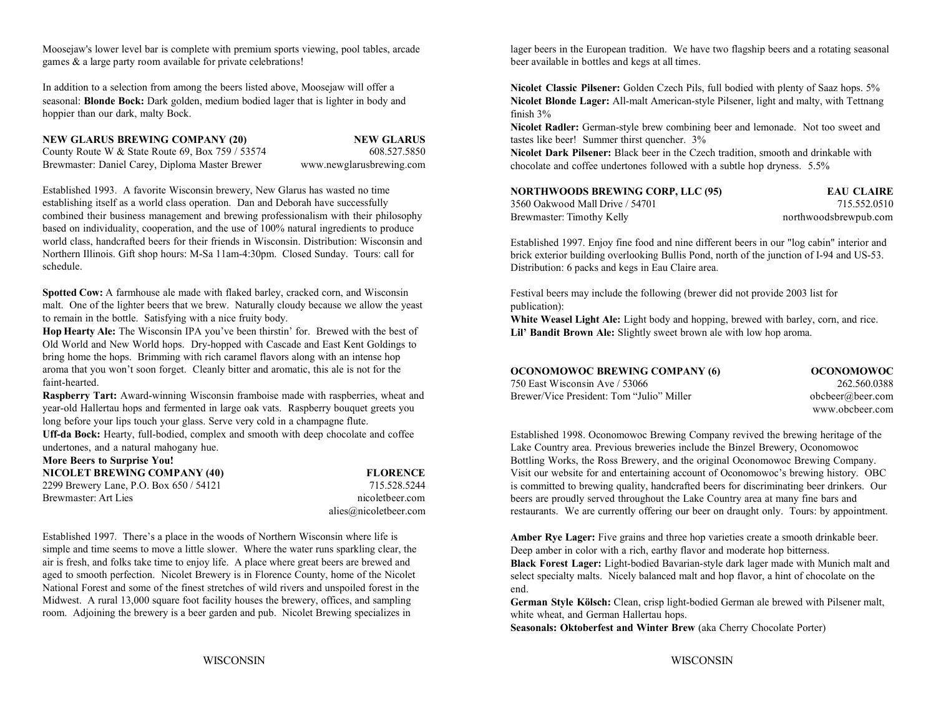games & a large party room available for private celebrations! beer available in bottles and kegs at all times.

In addition to a selection from among the beers listed above, Moosejaw will offer a seasonal: **Blonde Bock:** Dark golden, medium bodied lager that is lighter in body and hoppier than our dark, malty Bock.

### **NEW GLARUS BREWING COMPANY (20) NEW GLARUS**

County Route W & State Route 69, Box 759 / 53574 608.527.5850 Brewmaster: Daniel Carey, Diploma Master Brewer www.newglarusbrewing.com

Established 1993. A favorite Wisconsin brewery, New Glarus has wasted no time establishing itself as a world class operation. Dan and Deborah have successfully combined their business management and brewing professionalism with their philosophy based on individuality, cooperation, and the use of 100% natural ingredients to produce world class, handcrafted beers for their friends in Wisconsin. Distribution: Wisconsin and Northern Illinois. Gift shop hours: M-Sa 11am-4:30pm. Closed Sunday. Tours: call for schedule.

**Spotted Cow:** A farmhouse ale made with flaked barley, cracked corn, and Wisconsin malt. One of the lighter beers that we brew. Naturally cloudy because we allow the yeast to remain in the bottle. Satisfying with a nice fruity body.

**Hop Hearty Ale:** The Wisconsin IPA you've been thirstin' for. Brewed with the best of Old World and New World hops. Dry-hopped with Cascade and East Kent Goldings to bring home the hops. Brimming with rich caramel flavors along with an intense hop aroma that you won't soon forget. Cleanly bitter and aromatic, this ale is not for the faint-hearted.

**Raspberry Tart:** Award-winning Wisconsin framboise made with raspberries, wheat and year-old Hallertau hops and fermented in large oak vats. Raspberry bouquet greets you long before your lips touch your glass. Serve very cold in a champagne flute.

**Uff-da Bock:** Hearty, full-bodied, complex and smooth with deep chocolate and coffee undertones, and a natural mahogany hue.<br>More Beens to Summise Nov!

| More Beers to Surprise You!             |                       |
|-----------------------------------------|-----------------------|
| NICOLET BREWING COMPANY (40)            | <b>FLORENCE</b>       |
| 2299 Brewery Lane, P.O. Box 650 / 54121 | 715.528.5244          |
| Brewmaster: Art Lies                    | nicoletbeer.com       |
|                                         | alies@nicoletheer.com |

Established 1997. There's a place in the woods of Northern Wisconsin where life is simple and time seems to move a little slower. Where the water runs sparkling clear, the air is fresh, and folks take time to enjoy life. A place where great beers are brewed and aged to smooth perfection. Nicolet Brewery is in Florence County, home of the Nicolet National Forest and some of the finest stretches of wild rivers and unspoiled forest in the Midwest. A rural 13,000 square foot facility houses the brewery, offices, and sampling room. Adjoining the brewery is a beer garden and pub. Nicolet Brewing specializes in

Moosejaw's lower level bar is complete with premium sports viewing, pool tables, arcade lager beers in the European tradition. We have two flagship beers and a rotating seasonal

**Nicolet Classic Pilsener:** Golden Czech Pils, full bodied with plenty of Saaz hops. 5% **Nicolet Blonde Lager:** All-malt American-style Pilsener, light and malty, with Tettnang finish 3%

**Nicolet Radler:** German-style brew combining beer and lemonade. Not too sweet and tastes like beer! Summer thirst quencher. 3%

**Nicolet Dark Pilsener:** Black beer in the Czech tradition, smooth and drinkable with chocolate and coffee undertones followed with a subtle hop dryness. 5.5%

| 3560 Oakwood Mall Drive / 54701 | 715.552.0510          |
|---------------------------------|-----------------------|
| Brewmaster: Timothy Kelly       | northwoodsbrewpub.com |

Established 1997. Enjoy fine food and nine different beers in our "log cabin" interior and brick exterior building overlooking Bullis Pond, north of the junction of I-94 and US-53. Distribution: 6 packs and kegs in Eau Claire area.

Festival beers may include the following (brewer did not provide 2003 list for publication):

**White Weasel Light Ale:** Light body and hopping, brewed with barley, corn, and rice. Lil' Bandit Brown Ale: Slightly sweet brown ale with low hop aroma.

| <b>OCONOMOWOC BREWING COMPANY (6)</b>     | occ  |
|-------------------------------------------|------|
| 750 East Wisconsin Ave / 53066            |      |
| Brewer/Vice President: Tom "Julio" Miller | obch |

**OCONOMOWOC BREWING COMPANY (6) OCONOMOWOC** 750 East Wisconsin Ave / 53066 262.560.0388beer*@beer.com* www.obcbeer.com

Bottling Works, the Ross Brewery, and the original Oconomowoc Brewing Company. **NICOLE** Visit our website for and entertaining account of Oconomowoc's brewing history. OBC Established 1998. Oconomowoc Brewing Company revived the brewing heritage of the Lake Country area. Previous breweries include the Binzel Brewery, Oconomowoc is committed to brewing quality, handcrafted beers for discriminating beer drinkers. Our beers are proudly served throughout the Lake Country area at many fine bars and restaurants. We are currently offering our beer on draught only. Tours: by appointment.

> Amber Rye Lager: Five grains and three hop varieties create a smooth drinkable beer. Deep amber in color with a rich, earthy flavor and moderate hop bitterness.

**Black Forest Lager:** Light-bodied Bavarian-style dark lager made with Munich malt and select specialty malts. Nicely balanced malt and hop flavor, a hint of chocolate on the end.

**German Style Kölsch:** Clean, crisp light-bodied German ale brewed with Pilsener malt, white wheat, and German Hallertau hops.

**Seasonals: Oktoberfest and Winter Brew** (aka Cherry Chocolate Porter)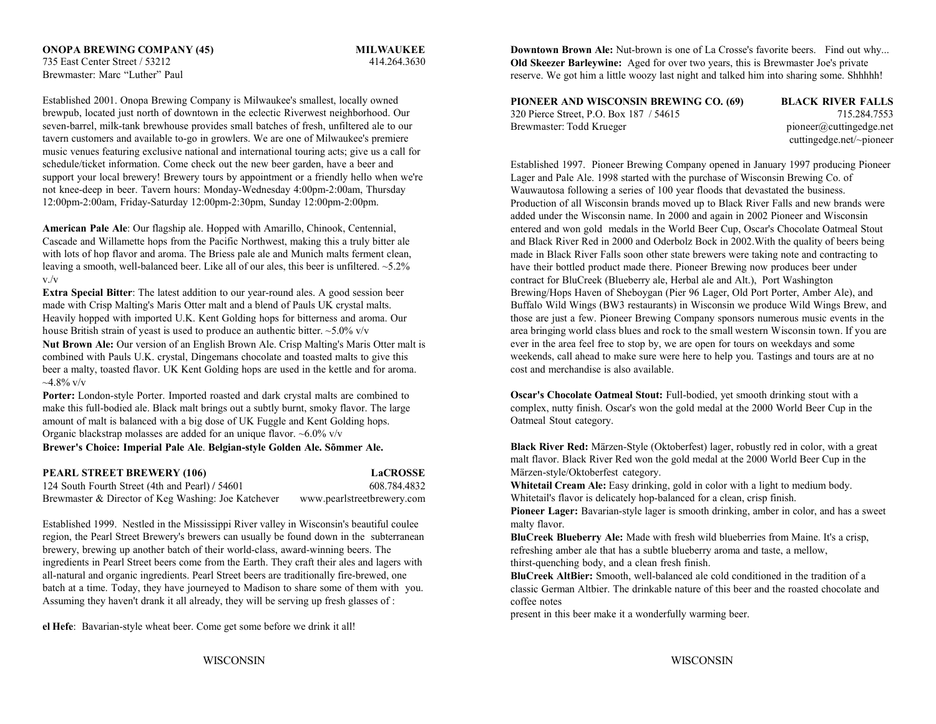735 East Center Street / 53212 414.264.3630Brewmaster: Marc "Luther" Paul

Established 2001. Onopa Brewing Company is Milwaukee's smallest, locally owned brewpub, located just north of downtown in the eclectic Riverwest neighborhood. Our seven-barrel, milk-tank brewhouse provides small batches of fresh, unfiltered ale to our tavern customers and available to-go in growlers. We are one of Milwaukee's premiere music venues featuring exclusive national and international touring acts; give us a call for schedule/ticket information. Come check out the new beer garden, have a beer and support your local brewery! Brewery tours by appointment or a friendly hello when we're not knee-deep in beer. Tavern hours: Monday-Wednesday 4:00pm-2:00am, Thursday 12:00pm-2:00am, Friday-Saturday 12:00pm-2:30pm, Sunday 12:00pm-2:00pm.

**American Pale Ale**: Our flagship ale. Hopped with Amarillo, Chinook, Centennial, Cascade and Willamette hops from the Pacific Northwest, making this a truly bitter ale with lots of hop flavor and aroma. The Briess pale ale and Munich malts ferment clean, leaving a smooth, well-balanced beer. Like all of our ales, this beer is unfiltered. ~5.2% v./v

**Extra Special Bitter**: The latest addition to our year-round ales. A good session beer Brewing/Hops Haven of Sheboygan (Pier 96 Lager, Old Port Porter, Amber Ale), and

**Nut Brown Ale:** Our version of an English Brown Ale. Crisp Malting's Maris Otter malt is combined with Pauls U.K. crystal, Dingemans chocolate and toasted malts to give this beer a malty, toasted flavor. UK Kent Golding hops are used in the kettle and for aroma.  $\sim$ 4.8% v/v

**Porter:** London-style Porter. Imported roasted and dark crystal malts are combined to make this full-bodied ale. Black malt brings out a subtly burnt, smoky flavor. The large amount of malt is balanced with a big dose of UK Fuggle and Kent Golding hops. Organic blackstrap molasses are added for an unique flavor. ~6.0% v/v

### **Brewer's Choice: Imperial Pale Ale**. **Belgian-style Golden Ale. Sõmmer Ale.**

**PEARL STREET BREWERY (106) LaCROSSE** 124 South Fourth Street (4th and Pearl) **/** 54601 608.784.4832 Brewmaster & Director of Keg Washing: Joe Katchever www.pearlstreetbrewery.com

Established 1999. Nestled in the Mississippi River valley in Wisconsin's beautiful coulee malty flavor. region, the Pearl Street Brewery's brewers can usually be found down in the subterranean brewery, brewing up another batch of their world-class, award-winning beers. The ingredients in Pearl Street beers come from the Earth. They craft their ales and lagers with all-natural and organic ingredients. Pearl Street beers are traditionally fire-brewed, one batch at a time. Today, they have journeyed to Madison to share some of them with you. Assuming they haven't drank it all already, they will be serving up fresh glasses of :

**el Hefe**: Bavarian-style wheat beer. Come get some before we drink it all!

**ONOPA BREWING COMPANY (45) <b>IMILWAUKEE** Downtown Brown Ale: Nut-brown is one of La Crosse's favorite beers. Find out why... **Old Skeezer Barleywine:** Aged for over two years, this is Brewmaster Joe's private reserve. We got him a little woozy last night and talked him into sharing some. Shhhhh!

> **PIONEER AND WISCONSIN BREWING CO. (69) BLACK RIVER FALLS** 320 Pierce Street, P.O. Box 187 / 54615 715.284.7553 Brewmaster: Todd Krueger pioneer@cuttingedge.net

cuttingedge.net/~pioneer

made with Crisp Malting's Maris Otter malt and a blend of Pauls UK crystal malts. Buffalo Wild Wings (BW3 restaurants) in Wisconsin we produce Wild Wings Brew, and Heavily hopped with imported U.K. Kent Golding hops for bitterness and aroma. Our those are just a few. Pioneer Brewing Company sponsors numerous music events in the house British strain of yeast is used to produce an authentic bitter.  $\sim$  5.0% v/v area bringing world class blues and rock to the small western Wisconsin town. If you are Established 1997. Pioneer Brewing Company opened in January 1997 producing Pioneer Lager and Pale Ale. 1998 started with the purchase of Wisconsin Brewing Co. of Wauwautosa following a series of 100 year floods that devastated the business. Production of all Wisconsin brands moved up to Black River Falls and new brands were added under the Wisconsin name. In 2000 and again in 2002 Pioneer and Wisconsin entered and won gold medals in the World Beer Cup, Oscar's Chocolate Oatmeal Stout and Black River Red in 2000 and Oderbolz Bock in 2002.With the quality of beers being made in Black River Falls soon other state brewers were taking note and contracting to have their bottled product made there. Pioneer Brewing now produces beer under contract for BluCreek (Blueberry ale, Herbal ale and Alt.), Port Washington ever in the area feel free to stop by, we are open for tours on weekdays and some weekends, call ahead to make sure were here to help you. Tastings and tours are at no cost and merchandise is also available.

> **Oscar's Chocolate Oatmeal Stout:** Full-bodied, yet smooth drinking stout with a complex, nutty finish. Oscar's won the gold medal at the 2000 World Beer Cup in the Oatmeal Stout category.

**Black River Red:** Märzen-Style (Oktoberfest) lager, robustly red in color, with a great malt flavor. Black River Red won the gold medal at the 2000 World Beer Cup in the Märzen-style/Oktoberfest category.

Whitetail Cream Ale: Easy drinking, gold in color with a light to medium body. Whitetail's flavor is delicately hop-balanced for a clean, crisp finish.

Pioneer Lager: Bavarian-style lager is smooth drinking, amber in color, and has a sweet

**BluCreek Blueberry Ale:** Made with fresh wild blueberries from Maine. It's a crisp, refreshing amber ale that has a subtle blueberry aroma and taste, a mellow, thirst-quenching body, and a clean fresh finish.

**BluCreek AltBier:** Smooth, well-balanced ale cold conditioned in the tradition of a classic German Altbier. The drinkable nature of this beer and the roasted chocolate andcoffee notes

present in this beer make it a wonderfully warming beer.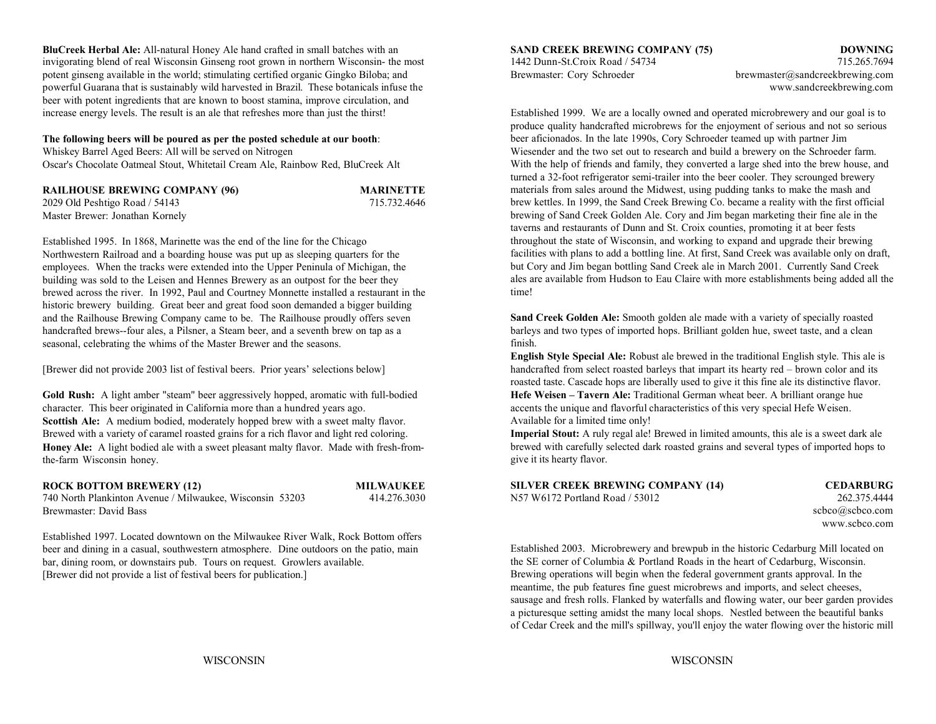**BluCreek Herbal Ale:** All-natural Honey Ale hand crafted in small batches with an **SAND CREEK BREWING COMPANY (75) DOWNING** invigorating blend of real Wisconsin Ginseng root grown in northern Wisconsin- the most 1442 Dunn-St.Croix Road / 54734 715.265.7694 potent ginseng available in the world; stimulating certified organic Gingko Biloba; and Brewmaster: Cory Schroeder brewmaster@sandcreekbrewing.com powerful Guarana that is sustainably wild harvested in Brazil. These botanicals infuse the www.sandcreekbrewing.com beer with potent ingredients that are known to boost stamina, improve circulation, and increase energy levels. The result is an ale that refreshes more than just the thirst! Established 1999. We are a locally owned and operated microbrewery and our goal is to

### **The following beers will be poured as per the posted schedule at our booth**:

Whiskey Barrel Aged Beers: All will be served on Nitrogen Oscar's Chocolate Oatmeal Stout, Whitetail Cream Ale, Rainbow Red, BluCreek Alt

| <b>RAILHOUSE BREWING COMPANY (96)</b> | <b>MARINETTE</b> |
|---------------------------------------|------------------|
| $2029$ Old Peshtigo Road / 54143      | 715.732.4646     |
| Master Brewer: Jonathan Kornely       |                  |

Established 1995. In 1868, Marinette was the end of the line for the Chicago Northwestern Railroad and a boarding house was put up as sleeping quarters for the employees. When the tracks were extended into the Upper Peninula of Michigan, the building was sold to the Leisen and Hennes Brewery as an outpost for the beer they brewed across the river. In 1992, Paul and Courtney Monnette installed a restaurant in the historic brewery building. Great beer and great food soon demanded a bigger building and the Railhouse Brewing Company came to be. The Railhouse proudly offers seven handcrafted brews--four ales, a Pilsner, a Steam beer, and a seventh brew on tap as a seasonal, celebrating the whims of the Master Brewer and the seasons.

character. This beer originated in California more than a hundred years ago. accents the unique and flavorful characteristics of this very special Hefe Weisen. **Scottish Ale:** A medium bodied, moderately hopped brew with a sweet malty flavor. Brewed with a variety of caramel roasted grains for a rich flavor and light red coloring. **Imperial Stout:** A ruly regal ale! Brewed in limited amounts, this ale is a sweet dark ale **Honey Ale:** A light bodied ale with a sweet pleasant malty flavor. Made with fresh-fromthe-farm Wisconsin honey.

### **ROCK BOTTOM BREWERY (12) MILWAUKEE**

740 North Plankinton Avenue / Milwaukee, Wisconsin 53203 414.276.3030 Brewmaster: David Bass

Established 1997. Located downtown on the Milwaukee River Walk, Rock Bottom offers beer and dining in a casual, southwestern atmosphere. Dine outdoors on the patio, main bar, dining room, or downstairs pub. Tours on request. Growlers available. [Brewer did not provide a list of festival beers for publication.]

produce quality handcrafted microbrews for the enjoyment of serious and not so serious beer aficionados. In the late 1990s, Cory Schroeder teamed up with partner Jim Wiesender and the two set out to research and build a brewery on the Schroeder farm. With the help of friends and family, they converted a large shed into the brew house, and turned a 32-foot refrigerator semi-trailer into the beer cooler. They scrounged brewery materials from sales around the Midwest, using pudding tanks to make the mash and brew kettles. In 1999, the Sand Creek Brewing Co. became a reality with the first official brewing of Sand Creek Golden Ale. Cory and Jim began marketing their fine ale in the taverns and restaurants of Dunn and St. Croix counties, promoting it at beer fests throughout the state of Wisconsin, and working to expand and upgrade their brewing facilities with plans to add a bottling line. At first, Sand Creek was available only on draft, but Cory and Jim began bottling Sand Creek ale in March 2001. Currently Sand Creek ales are available from Hudson to Eau Claire with more establishments being added all the time!

**Sand Creek Golden Ale:** Smooth golden ale made with a variety of specially roasted barleys and two types of imported hops. Brilliant golden hue, sweet taste, and a clean finish.

[Brewer did not provide 2003 list of festival beers. Prior years' selections below] handcrafted from select roasted barleys that impart its hearty red – brown color and its Gold Rush: A light amber "steam" beer aggressively hopped, aromatic with full-bodied<br>
Hefe Weisen – Tavern Ale: Traditional German wheat beer. A brilliant orange hue **English Style Special Ale:** Robust ale brewed in the traditional English style. This ale is roasted taste. Cascade hops are liberally used to give it this fine ale its distinctive flavor. Available for a limited time only!

> brewed with carefully selected dark roasted grains and several types of imported hops to give it its hearty flavor.

| <b>SILVER CREEK BREWING COMPANY (14)</b> |
|------------------------------------------|
| N57 W6172 Portland Road / 53012          |

 $CEDARBURG$ 262.375.4444 scbco@scbco.com www.scbco.com

Established 2003. Microbrewery and brewpub in the historic Cedarburg Mill located on the SE corner of Columbia & Portland Roads in the heart of Cedarburg, Wisconsin. Brewing operations will begin when the federal government grants approval. In the meantime, the pub features fine guest microbrews and imports, and select cheeses, sausage and fresh rolls. Flanked by waterfalls and flowing water, our beer garden provides a picturesque setting amidst the many local shops. Nestled between the beautiful banks of Cedar Creek and the mill's spillway, you'll enjoy the water flowing over the historic mill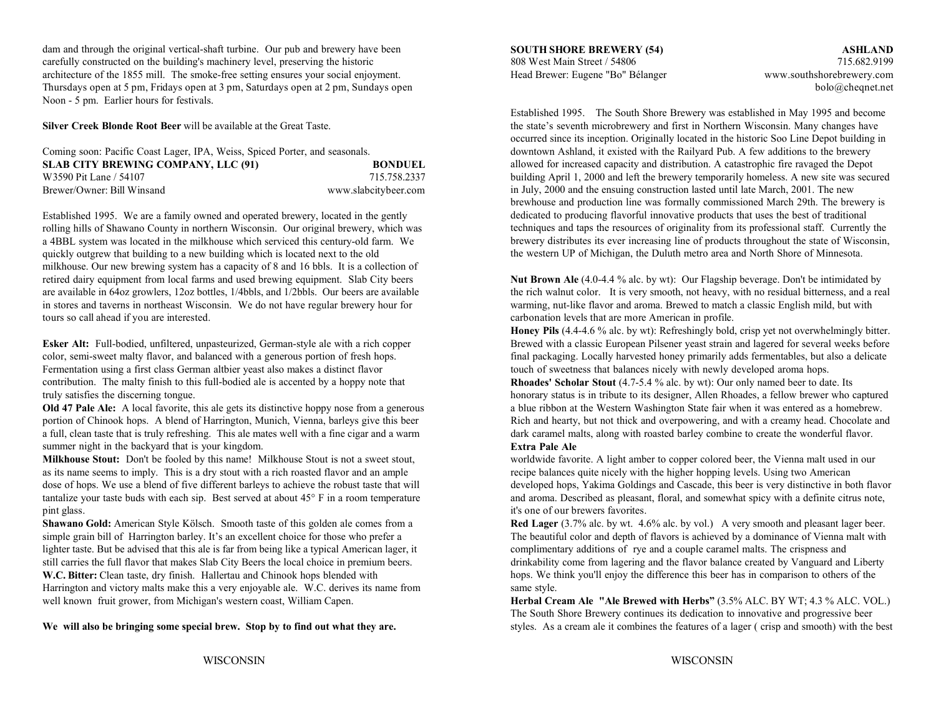dam and through the original vertical-shaft turbine. Our pub and brewery have been carefully constructed on the building's machinery level, preserving the historic 808 West Main Street / 54806 715.682.9199 architecture of the 1855 mill. The smoke-free setting ensures your social enjoyment. Head Brewer: Eugene "Bo" Bélanger www.southshorebrewery.com Thursdays open at 5 pm, Fridays open at 3 pm, Saturdays open at 2 pm, Sundays open bolo@cheqnet.net Noon - 5 pm. Earlier hours for festivals.

**Silver Creek Blonde Root Beer** will be available at the Great Taste.

| Coming soon: Pacific Coast Lager, IPA, Weiss, Spiced Porter, and seasonals. |                      |
|-----------------------------------------------------------------------------|----------------------|
| <b>SLAB CITY BREWING COMPANY, LLC (91)</b>                                  | <b>BONDUEL</b>       |
| W3590 Pit Lane / 54107                                                      | 715.758.2337         |
| Brewer/Owner: Bill Winsand                                                  | www.slabcitybeer.com |

Established 1995. We are a family owned and operated brewery, located in the gently rolling hills of Shawano County in northern Wisconsin. Our original brewery, which was a 4BBL system was located in the milkhouse which serviced this century-old farm. We quickly outgrew that building to a new building which is located next to the old milkhouse. Our new brewing system has a capacity of 8 and 16 bbls. It is a collection of retired dairy equipment from local farms and used brewing equipment. Slab City beers **Nut Brown Ale** (4.0-4.4 % alc. by wt): Our Flagship beverage. Don't be intimidated by in stores and taverns in northeast Wisconsin. We do not have regular brewery hour for warming, nut-like flavor and aroma. Brewed to match a classic English mild, but with tours so call ahead if you are interested. carbonation levels that are more American in profile.

Fermentation using a first class German altbier yeast also makes a distinct flavor touch to use touch of sweetness that balances nicely with newly developed aroma hops. contribution. The malty finish to this full-bodied ale is accented by a hoppy note that truly satisfies the discerning tongue.

portion of Chinook hops. A blend of Harrington, Munich, Vienna, barleys give this beer Rich and hearty, but not thick and overpowering, and with a creamy head. Chocolate and a full, clean taste that is truly refreshing. This ale mates well with a fine cigar and a warm dark caramel malts, along with roasted barley combine to create the wonderful flavor. summer night in the backyard that is your kingdom.

as its name seems to imply. This is a dry stout with a rich roasted flavor and an ample recipe balances quite nicely with the higher hopping levels. Using two American tantalize your taste buds with each sip. Best served at about  $45^{\circ}$  F in a room temperature pint glass. it's one of our brewers favorites.

**Shawano Gold:** American Style Kölsch. Smooth taste of this golden ale comes from a **Red Lager** (3.7% alc. by wt. 4.6% alc. by vol.) A very smooth and pleasant lager beer. simple grain bill of Harrington barley. It's an excellent choice for those who prefer a The beautiful color and depth of flavors is achieved by a dominance of Vienna malt with lighter taste. But be advised that this ale is far from being like a typical American lager, it complimentary additions of rye and a couple caramel malts. The crispness and still carries the full flavor that makes Slab City Beers the local choice in premium beers. drinkability come from lagering and the flavor balance created by Vanguard and Liberty W.C. Bitter: Clean taste, dry finish. Hallertau and Chinook hops blended with Harrington and victory malts make this a very enjoyable ale. W.C. derives its name from well known fruit grower, from Michigan's western coast, William Capen. **Herbal Cream Ale "Ale Brewed with Herbs"** (3.5% ALC. BY WT; 4.3 % ALC. VOL.)

**We will also be bringing some special brew. Stop by to find out what they are.**

**SOUTH SHORE BREWERY (54) ASHLAND**

Established 1995. The South Shore Brewery was established in May 1995 and become the state's seventh microbrewery and first in Northern Wisconsin. Many changes have occurred since its inception. Originally located in the historic Soo Line Depot building in downtown Ashland, it existed with the Railyard Pub. A few additions to the brewery allowed for increased capacity and distribution. A catastrophic fire ravaged the Depot building April 1, 2000 and left the brewery temporarily homeless. A new site was secured in July, 2000 and the ensuing construction lasted until late March, 2001. The new brewhouse and production line was formally commissioned March 29th. The brewery is dedicated to producing flavorful innovative products that uses the best of traditional techniques and taps the resources of originality from its professional staff. Currently the brewery distributes its ever increasing line of products throughout the state of Wisconsin, the western UP of Michigan, the Duluth metro area and North Shore of Minnesota.

are available in 64oz growlers, 12oz bottles, 1/4bbls, and 1/2bbls. Our beers are available the rich walnut color. It is very smooth, not heavy, with no residual bitterness, and a real

**Esker Alt:** Full-bodied, unfiltered, unpasteurized, German-style ale with a rich copper Brewed with a classic European Pilsener yeast strain and lagered for several weeks before color, semi-sweet malty flavor, and balanced with a generous portion of fresh hops. final packaging. Locally harvested honey primarily adds fermentables, but also a delicate **Honey Pils** (4.4-4.6 % alc. by wt): Refreshingly bold, crisp yet not overwhelmingly bitter.

**Old 47 Pale Ale:** A local favorite, this ale gets its distinctive hoppy nose from a generous a blue ribbon at the Western Washington State fair when it was entered as a homebrew. **Rhoades' Scholar Stout** (4.7-5.4 % alc. by wt): Our only named beer to date. Its honorary status is in tribute to its designer, Allen Rhoades, a fellow brewer who captured

### **Extra Pale Ale**

**Milkhouse Stout:** Don't be fooled by this name! Milkhouse Stout is not a sweet stout, worldwide favorite. A light amber to copper colored beer, the Vienna malt used in our dose of hops. We use a blend of five different barleys to achieve the robust taste that will<br>tantalize your taste buds with each sip. Best served at about 45° F in a room temperature and aroma. Described as pleasant, flora

> hops. We think you'll enjoy the difference this beer has in comparison to others of the same style.

The South Shore Brewery continues its dedication to innovative and progressive beer styles. As a cream ale it combines the features of a lager ( crisp and smooth) with the best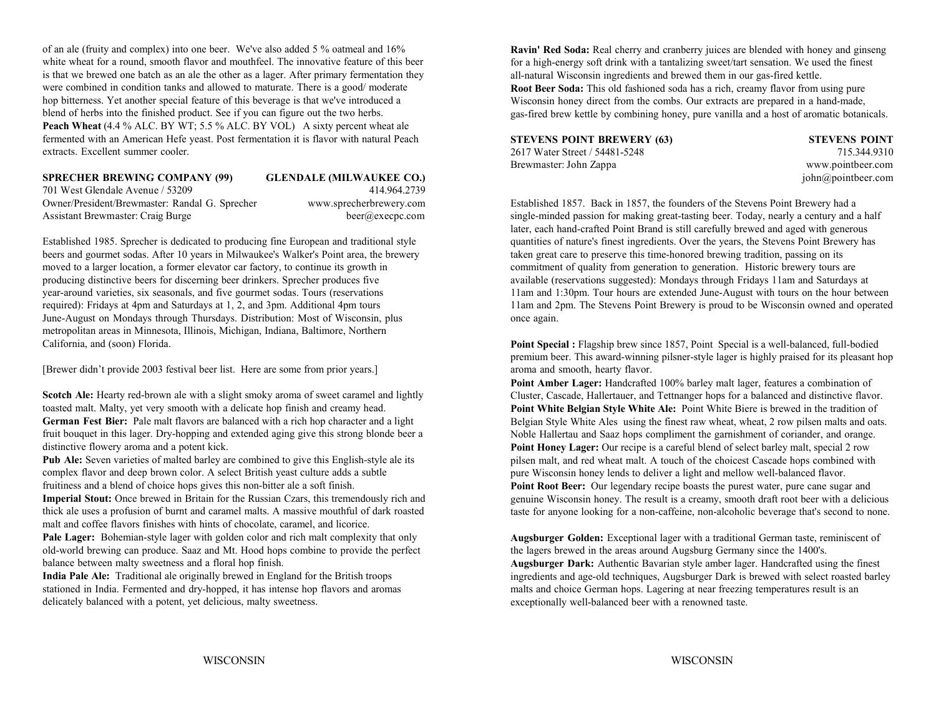of an ale (fruity and complex) into one beer. We've also added 5 % oatmeal and 16% white wheat for a round, smooth flavor and mouthfeel. The innovative feature of this beer is that we brewed one batch as an ale the other as a lager. After primary fermentation they were combined in condition tanks and allowed to maturate. There is a good/ moderate hop bitterness. Yet another special feature of this beverage is that we've introduced a blend of herbs into the finished product. See if you can figure out the two herbs. **Peach Wheat** (4.4 % ALC. BY WT; 5.5 % ALC. BY VOL) A sixty percent wheat ale fermented with an American Hefe yeast. Post fermentation it is flavor with natural Peach extracts. Excellent summer cooler.

## **SPRECHER BREWING COMPANY (99) GLENDALE (MILWAUKEE CO.)** john@pointbeer.com

701 West Glendale Avenue / 53209 414.964.2739Owner/President/Brewmaster: Randal G. Sprecher www.sprecherbrewery.com Established 1857. Back in 1857, the founders of the Stevens Point Brewery had a

beers and gourmet sodas. After 10 years in Milwaukee's Walker's Point area, the brewery taken great care to preserve this time-honored brewing tradition, passing on its moved to a larger location, a former elevator car factory, to continue its growth in commitment of quality from generation to generation. Historic brewery tours are producing distinctive beers for discerning beer drinkers. Sprecher produces five available (reservations suggested): Mondays through Fridays 11am and Saturdays at June-August on Mondays through Thursdays. Distribution: Most of Wisconsin, plus once again. metropolitan areas in Minnesota, Illinois, Michigan, Indiana, Baltimore, Northern California, and (soon) Florida.

[Brewer didn't provide 2003 festival beer list. Here are some from prior years.]

**Scotch Ale:** Hearty red-brown ale with a slight smoky aroma of sweet caramel and lightly toasted malt. Malty, yet very smooth with a delicate hop finish and creamy head. **German Fest Bier:** Pale malt flavors are balanced with a rich hop character and a light fruit bouquet in this lager. Dry-hopping and extended aging give this strong blonde beer a distinctive flowery aroma and a potent kick.

**Pub Ale:** Seven varieties of malted barley are combined to give this English-style ale its complex flavor and deep brown color. A select British yeast culture adds a subtle fruitiness and a blend of choice hops gives this non-bitter ale a soft finish.

**Imperial Stout:** Once brewed in Britain for the Russian Czars, this tremendously rich and thick ale uses a profusion of burnt and caramel malts. A massive mouthful of dark roasted malt and coffee flavors finishes with hints of chocolate, caramel, and licorice.

Pale Lager: Bohemian-style lager with golden color and rich malt complexity that only old-world brewing can produce. Saaz and Mt. Hood hops combine to provide the perfect balance between malty sweetness and a floral hop finish.

**India Pale Ale:** Traditional ale originally brewed in England for the British troops stationed in India. Fermented and dry-hopped, it has intense hop flavors and aromas delicately balanced with a potent, yet delicious, malty sweetness.

**Ravin' Red Soda:** Real cherry and cranberry juices are blended with honey and ginseng for a high-energy soft drink with a tantalizing sweet/tart sensation. We used the finest all-natural Wisconsin ingredients and brewed them in our gas-fired kettle.

**Root Beer Soda:** This old fashioned soda has a rich, creamy flavor from using pure Wisconsin honey direct from the combs. Our extracts are prepared in a hand-made, gas-fired brew kettle by combining honey, pure vanilla and a host of aromatic botanicals.

| <b>STEVENS POINT BREWERY (63)</b> |  |
|-----------------------------------|--|
| 2617 Water Street / 54481-5248    |  |
| Brewmaster: John Zappa            |  |

**STEVENS POINT BREWERY (63) STEVENS POINT** 715.344.9310 www.pointbeer.com

Assistant Brewmaster: Craig Burge beer@execpc.com beer@execpc.com single-minded passion for making great-tasting beer. Today, nearly a century and a half Established 1985. Sprecher is dedicated to producing fine European and traditional style quantities of nature's finest ingredients. Over the years, the Stevens Point Brewery has year-around varieties, six seasonals, and five gourmet sodas. Tours (reservations 11am and 1:30pm. Tour hours are extended June-August with tours on the hour between required): Fridays at 4pm and Saturdays at 1, 2, and 3pm. Additional 4pm tours 11am and 2pm. The Stevens Point Brewery is proud to be Wisconsin owned and operated later, each hand-crafted Point Brand is still carefully brewed and aged with generous

> Point Special : Flagship brew since 1857, Point Special is a well-balanced, full-bodied premium beer. This award-winning pilsner-style lager is highly praised for its pleasant hop aroma and smooth, hearty flavor.

> Point Amber Lager: Handcrafted 100% barley malt lager, features a combination of Cluster, Cascade, Hallertauer, and Tettnanger hops for a balanced and distinctive flavor. **Point White Belgian Style White Ale:** Point White Biere is brewed in the tradition of Belgian Style White Ales using the finest raw wheat, wheat, 2 row pilsen malts and oats. Noble Hallertau and Saaz hops compliment the garnishment of coriander, and orange. **Point Honey Lager:** Our recipe is a careful blend of select barley malt, special 2 row pilsen malt, and red wheat malt. A touch of the choicest Cascade hops combined with pure Wisconsin honey lends to deliver a light and mellow well-balanced flavor. **Point Root Beer:** Our legendary recipe boasts the purest water, pure cane sugar and genuine Wisconsin honey. The result is a creamy, smooth draft root beer with a delicious taste for anyone looking for a non-caffeine, non-alcoholic beverage that's second to none.

> **Augsburger Golden:** Exceptional lager with a traditional German taste, reminiscent of the lagers brewed in the areas around Augsburg Germany since the 1400's. **Augsburger Dark:** Authentic Bavarian style amber lager. Handcrafted using the finest ingredients and age-old techniques, Augsburger Dark is brewed with select roasted barley malts and choice German hops. Lagering at near freezing temperatures result is an exceptionally well-balanced beer with a renowned taste.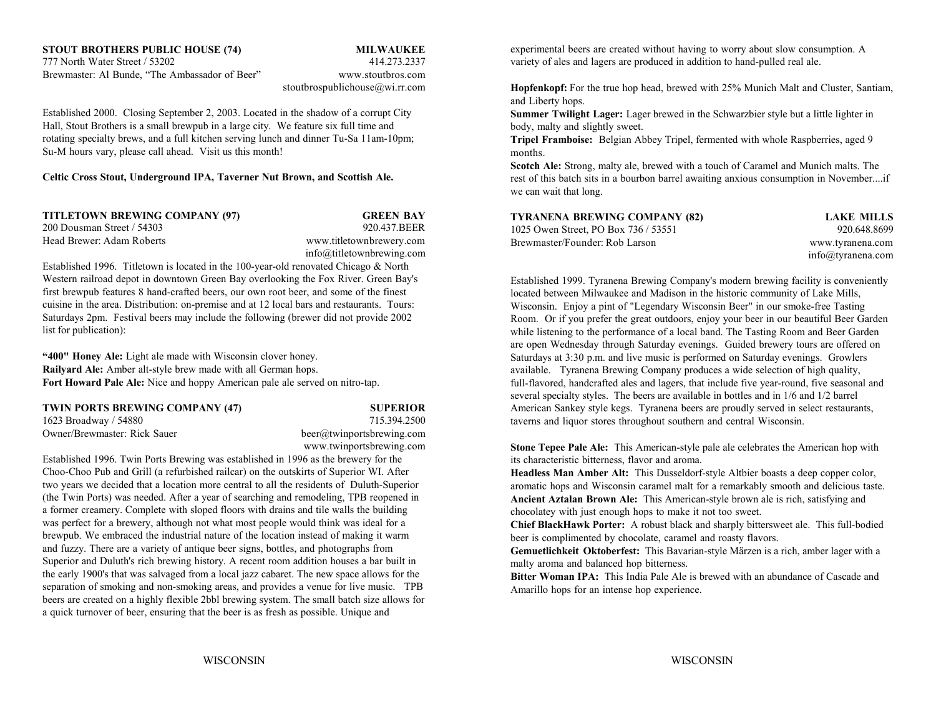# **STOUT BROTHERS PUBLIC HOUSE (74) MILWAUKEE**

Brewmaster: Al Bunde, "The Ambassador of Beer" www.stoutbros.com

# stoutbrospublichouse@wi.rr.com

Established 2000. Closing September 2, 2003. Located in the shadow of a corrupt City Hall, Stout Brothers is a small brewpub in a large city. We feature six full time and rotating specialty brews, and a full kitchen serving lunch and dinner Tu-Sa 11am-10pm; Su-M hours vary, please call ahead. Visit us this month!

**Celtic Cross Stout, Underground IPA, Taverner Nut Brown, and Scottish Ale.**

| TITLETOWN BREWING COMPANY (97) | <b>GREEN BAY</b>               |
|--------------------------------|--------------------------------|
| 200 Dousman Street / 54303     | 920.437.BEER                   |
| Head Brewer: Adam Roberts      | www.titletownbrewery.com       |
|                                | $info@title$ tiventurewing.com |

Established 1996. Titletown is located in the 100-year-old renovated Chicago & North Western railroad depot in downtown Green Bay overlooking the Fox River. Green Bay's first brewpub features 8 hand-crafted beers, our own root beer, and some of the finest cuisine in the area. Distribution: on-premise and at 12 local bars and restaurants. Tours: Saturdays 2pm. Festival beers may include the following (brewer did not provide 2002 list for publication):

**"400" Honey Ale:** Light ale made with Wisconsin clover honey. **Railyard Ale:** Amber alt-style brew made with all German hops. **Fort Howard Pale Ale:** Nice and hoppy American pale ale served on nitro-tap.

| TWIN PORTS BREWING COMPANY (47) |  |
|---------------------------------|--|
| 1623 Broadway / 54880           |  |

715.394.2500 Owner/Brewmaster: Rick Sauer beer@twinportsbrewing.com www.twinportsbrewing.com

Established 1996. Twin Ports Brewing was established in 1996 as the brewery for the Choo-Choo Pub and Grill (a refurbished railcar) on the outskirts of Superior WI. After two years we decided that a location more central to all the residents of Duluth-Superior (the Twin Ports) was needed. After a year of searching and remodeling, TPB reopened in a former creamery. Complete with sloped floors with drains and tile walls the building was perfect for a brewery, although not what most people would think was ideal for a brewpub. We embraced the industrial nature of the location instead of making it warm and fuzzy. There are a variety of antique beer signs, bottles, and photographs from Superior and Duluth's rich brewing history. A recent room addition houses a bar built in the early 1900's that was salvaged from a local jazz cabaret. The new space allows for the separation of smoking and non-smoking areas, and provides a venue for live music. TPB beers are created on a highly flexible 2bbl brewing system. The small batch size allows for a quick turnover of beer, ensuring that the beer is as fresh as possible. Unique and

777 North Water Street / 53202 414.273.2337 variety of ales and lagers are produced in addition to hand-pulled real ale. experimental beers are created without having to worry about slow consumption. A

> **Hopfenkopf:** For the true hop head, brewed with 25% Munich Malt and Cluster, Santiam, and Liberty hops.

**Summer Twilight Lager:** Lager brewed in the Schwarzbier style but a little lighter in body, malty and slightly sweet.

**Tripel Framboise:** Belgian Abbey Tripel, fermented with whole Raspberries, aged 9 months.

**Scotch Ale:** Strong, malty ale, brewed with a touch of Caramel and Munich malts. The rest of this batch sits in a bourbon barrel awaiting anxious consumption in November....if we can wait that long.

| TYRANENA BREWING COMPANY (82)        | LAKE MILLS        |
|--------------------------------------|-------------------|
| 1025 Owen Street. PO Box 736 / 53551 | 920.648.8699      |
| Brewmaster/Founder: Rob Larson       | www.tyranena.com  |
|                                      | info@tvranena.com |

**SUPERIOR American Sankey style kegs.** Tyranena beers are proudly served in select restaurants, Established 1999. Tyranena Brewing Company's modern brewing facility is conveniently located between Milwaukee and Madison in the historic community of Lake Mills, Wisconsin. Enjoy a pint of "Legendary Wisconsin Beer" in our smoke-free Tasting Room. Or if you prefer the great outdoors, enjoy your beer in our beautiful Beer Garden while listening to the performance of a local band. The Tasting Room and Beer Garden are open Wednesday through Saturday evenings. Guided brewery tours are offered on Saturdays at 3:30 p.m. and live music is performed on Saturday evenings. Growlers available. Tyranena Brewing Company produces a wide selection of high quality, full-flavored, handcrafted ales and lagers, that include five year-round, five seasonal and several specialty styles. The beers are available in bottles and in 1/6 and 1/2 barrel taverns and liquor stores throughout southern and central Wisconsin.

> **Stone Tepee Pale Ale:** This American-style pale ale celebrates the American hop with its characteristic bitterness, flavor and aroma.

**Headless Man Amber Alt:** This Dusseldorf-style Altbier boasts a deep copper color, aromatic hops and Wisconsin caramel malt for a remarkably smooth and delicious taste. **Ancient Aztalan Brown Ale:** This American-style brown ale is rich, satisfying and chocolatey with just enough hops to make it not too sweet.

**Chief BlackHawk Porter:** A robust black and sharply bittersweet ale. This full-bodied beer is complimented by chocolate, caramel and roasty flavors.

**Gemuetlichkeit Oktoberfest:** This Bavarian-style Märzen is a rich, amber lager with a malty aroma and balanced hop bitterness.

**Bitter Woman IPA:** This India Pale Ale is brewed with an abundance of Cascade andAmarillo hops for an intense hop experience.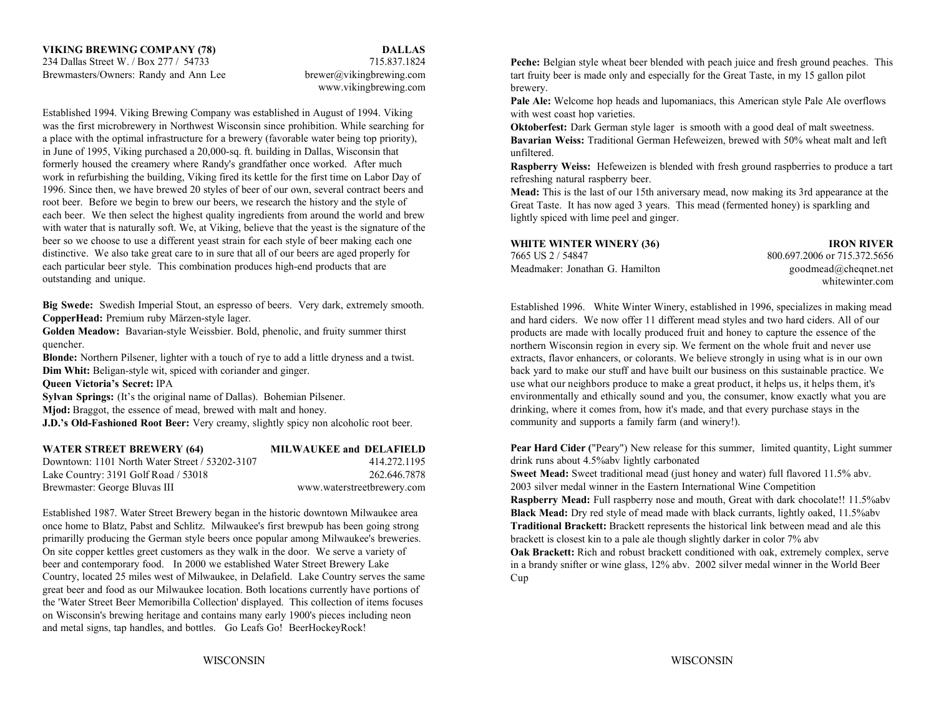www.vikingbrewing.com

Established 1994. Viking Brewing Company was established in August of 1994. Viking was the first microbrewery in Northwest Wisconsin since prohibition. While searching for a place with the optimal infrastructure for a brewery (favorable water being top priority), in June of 1995, Viking purchased a 20,000-sq. ft. building in Dallas, Wisconsin that formerly housed the creamery where Randy's grandfather once worked. After much work in refurbishing the building, Viking fired its kettle for the first time on Labor Day of 1996. Since then, we have brewed 20 styles of beer of our own, several contract beers and root beer. Before we begin to brew our beers, we research the history and the style of each beer. We then select the highest quality ingredients from around the world and brew with water that is naturally soft. We, at Viking, believe that the yeast is the signature of the beer so we choose to use a different yeast strain for each style of beer making each one distinctive. We also take great care to in sure that all of our beers are aged properly for each particular beer style. This combination produces high-end products that are outstanding and unique.

**Big Swede:** Swedish Imperial Stout, an espresso of beers. Very dark, extremely smooth. **CopperHead:** Premium ruby Märzen-style lager.

**Golden Meadow:** Bavarian-style Weissbier. Bold, phenolic, and fruity summer thirst quencher.

**Blonde:** Northern Pilsener, lighter with a touch of rye to add a little dryness and a twist. **Dim Whit:** Beligan-style wit, spiced with coriander and ginger.

**Sylvan Springs:** (It's the original name of Dallas). Bohemian Pilsener.

**Mjod:** Braggot, the essence of mead, brewed with malt and honey.

**J.D.'s Old-Fashioned Root Beer:** Very creamy, slightly spicy non alcoholic root beer.

| <b>WATER STREET BREWERY (64)</b>               | <b>MILWAUKEE and DELAFIELD</b> |
|------------------------------------------------|--------------------------------|
| Downtown: 1101 North Water Street / 53202-3107 | 414.272.1195                   |
| Lake Country: 3191 Golf Road / 53018           | 262.646.7878                   |
| Brewmaster: George Bluvas III                  | www.waterstreetbrewery.com     |

Established 1987. Water Street Brewery began in the historic downtown Milwaukee area **Black Mead:** Dry red style of mead made with black currants, lightly oaked, 11.5%abv once home to Blatz, Pabst and Schlitz. Milwaukee's first brewpub has been going strong primarilly producing the German style beers once popular among Milwaukee's breweries. On site copper kettles greet customers as they walk in the door. We serve a variety of beer and contemporary food. In 2000 we established Water Street Brewery Lake Country, located 25 miles west of Milwaukee, in Delafield. Lake Country serves the same great beer and food as our Milwaukee location. Both locations currently have portions of the 'Water Street Beer Memoribilla Collection' displayed. This collection of items focuses on Wisconsin's brewing heritage and contains many early 1900's pieces including neon and metal signs, tap handles, and bottles. Go Leafs Go! BeerHockeyRock!

**Peche:** Belgian style wheat beer blended with peach juice and fresh ground peaches. This tart fruity beer is made only and especially for the Great Taste, in my 15 gallon pilot brewery.

Pale Ale: Welcome hop heads and lupomaniacs, this American style Pale Ale overflows with west coast hop varieties.

**Oktoberfest:** Dark German style lager is smooth with a good deal of malt sweetness. **Bavarian Weiss:** Traditional German Hefeweizen, brewed with 50% wheat malt and left unfiltered.

**Raspberry Weiss:** Hefeweizen is blended with fresh ground raspberries to produce a tart refreshing natural raspberry beer.

**Mead:** This is the last of our 15th aniversary mead, now making its 3rd appearance at the Great Taste. It has now aged 3 years. This mead (fermented honey) is sparkling and lightly spiced with lime peel and ginger.

## **WHITE WINTER WINERY (36) IRON RIVER**

7665 US 2 / 54847 800.697.2006 or 715.372.5656 Meadmaker: Jonathan G. Hamilton

 goodmead@cheqnet.net whitewinter.com

**Queen Victoria's Secret:** IPA use what our neighbors produce to make a great product, it helps us, it helps them, it's Established 1996. White Winter Winery, established in 1996, specializes in making mead and hard ciders. We now offer 11 different mead styles and two hard ciders. All of our products are made with locally produced fruit and honey to capture the essence of the northern Wisconsin region in every sip. We ferment on the whole fruit and never use extracts, flavor enhancers, or colorants. We believe strongly in using what is in our own back yard to make our stuff and have built our business on this sustainable practice. We environmentally and ethically sound and you, the consumer, know exactly what you are drinking, where it comes from, how it's made, and that every purchase stays in the community and supports a family farm (and winery!).

> **Pear Hard Cider (**"Peary") New release for this summer, limited quantity, Light summer drink runs about 4.5%abv lightly carbonated

**Sweet Mead:** Sweet traditional mead (just honey and water) full flavored 11.5% abv. 2003 silver medal winner in the Eastern International Wine Competition

**Raspberry Mead:** Full raspberry nose and mouth, Great with dark chocolate!! 11.5%abv **Traditional Brackett:** Brackett represents the historical link between mead and ale this brackett is closest kin to a pale ale though slightly darker in color 7% abv

**Oak Brackett:** Rich and robust brackett conditioned with oak, extremely complex, serve in a brandy snifter or wine glass, 12% abv. 2002 silver medal winner in the World Beer Cup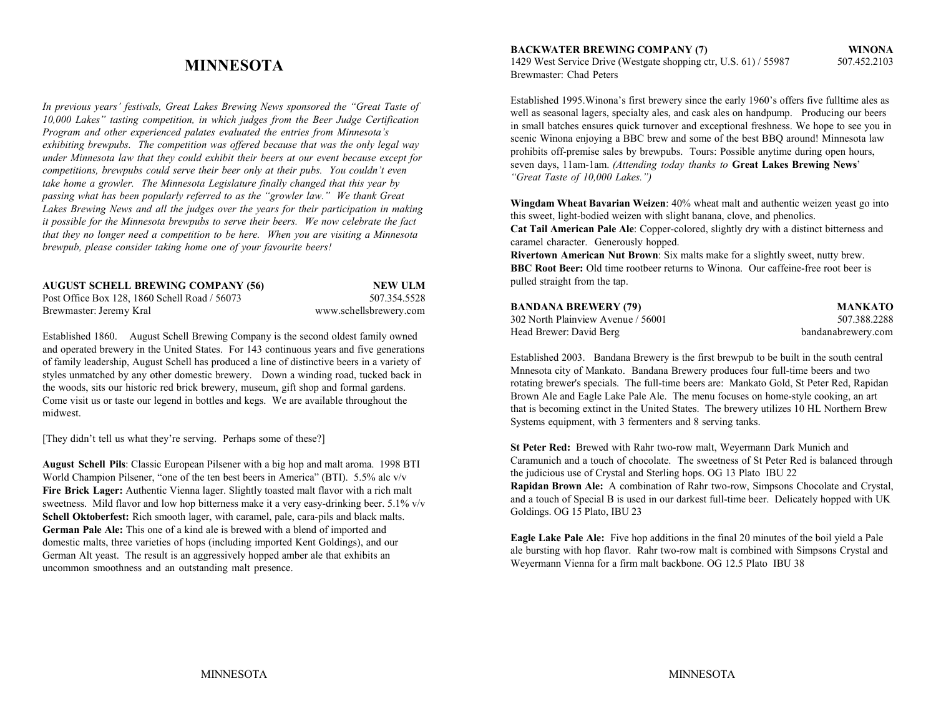# **MINNESOTA**

*In previous years' festivals, Great Lakes Brewing News sponsored the "Great Taste of 10,000 Lakes" tasting competition, in which judges from the Beer Judge Certification Program and other experienced palates evaluated the entries from Minnesota's exhibiting brewpubs. The competition was offered because that was the only legal way under Minnesota law that they could exhibit their beers at our event because except for competitions, brewpubs could serve their beer only at their pubs. You couldn't even take home a growler. The Minnesota Legislature finally changed that this year by passing what has been popularly referred to as the "growler law." We thank Great Lakes Brewing News and all the judges over the years for their participation in making it possible for the Minnesota brewpubs to serve their beers. We now celebrate the fact that they no longer need a competition to be here. When you are visiting a Minnesota brewpub, please consider taking home one of your favourite beers!*

| <b>AUGUST SCHELL BREWING COMPANY (56)</b>     | NEW ULM                |
|-----------------------------------------------|------------------------|
| Post Office Box 128, 1860 Schell Road / 56073 | 507.354.5528           |
| Brewmaster: Jeremy Kral                       | www.schellsbrewery.com |

Established 1860. August Schell Brewing Company is the second oldest family owned and operated brewery in the United States. For 143 continuous years and five generations of family leadership, August Schell has produced a line of distinctive beers in a variety of styles unmatched by any other domestic brewery. Down a winding road, tucked back in the woods, sits our historic red brick brewery, museum, gift shop and formal gardens. Come visit us or taste our legend in bottles and kegs. We are available throughout the midwest.

[They didn't tell us what they're serving. Perhaps some of these?]

**August Schell Pils**: Classic European Pilsener with a big hop and malt aroma. 1998 BTI World Champion Pilsener, "one of the ten best beers in America" (BTI). 5.5% alc v/v **Fire Brick Lager:** Authentic Vienna lager. Slightly toasted malt flavor with a rich malt sweetness. Mild flavor and low hop bitterness make it a very easy-drinking beer. 5.1% v/v Schell Oktoberfest: Rich smooth lager, with caramel, pale, cara-pils and black malts. **German Pale Ale:** This one of a kind ale is brewed with a blend of imported and domestic malts, three varieties of hops (including imported Kent Goldings), and our German Alt yeast. The result is an aggressively hopped amber ale that exhibits an uncommon smoothness and an outstanding malt presence.

**BACKWATER BREWING COMPANY (7) WINONA** 1429 West Service Drive (Westgate shopping ctr, U.S. 61) / 55987 507.452.2103 Brewmaster: Chad Peters

Established 1995.Winona's first brewery since the early 1960's offers five fulltime ales as well as seasonal lagers, specialty ales, and cask ales on handpump. Producing our beers in small batches ensures quick turnover and exceptional freshness. We hope to see you in scenic Winona enjoying a BBC brew and some of the best BBQ around! Minnesota law prohibits off-premise sales by brewpubs. Tours: Possible anytime during open hours, seven days, 11am-1am. *(Attending today thanks to* **Great Lakes Brewing News**' *"Great Taste of 10,000 Lakes.")*

**Wingdam Wheat Bavarian Weizen**: 40% wheat malt and authentic weizen yeast go into this sweet, light-bodied weizen with slight banana, clove, and phenolics.

**Cat Tail American Pale Ale**: Copper-colored, slightly dry with a distinct bitterness and caramel character. Generously hopped.

**Rivertown American Nut Brown**: Six malts make for a slightly sweet, nutty brew. **BBC Root Beer:** Old time rootbeer returns to Winona. Our caffeine-free root beer ispulled straight from the tap.

| BANDANA BREWERY (79)               | <b>MANKATO</b>     |
|------------------------------------|--------------------|
| 302 North Plainview Avenue / 56001 | 507.388.2288       |
| Head Brewer: David Berg            | bandanabrewery.com |

Established 2003. Bandana Brewery is the first brewpub to be built in the south central Mnnesota city of Mankato. Bandana Brewery produces four full-time beers and two rotating brewer's specials. The full-time beers are: Mankato Gold, St Peter Red, Rapidan Brown Ale and Eagle Lake Pale Ale. The menu focuses on home-style cooking, an art that is becoming extinct in the United States. The brewery utilizes 10 HL Northern Brew Systems equipment, with 3 fermenters and 8 serving tanks.

**St Peter Red:** Brewed with Rahr two-row malt, Weyermann Dark Munich and Caramunich and a touch of chocolate. The sweetness of St Peter Red is balanced through the judicious use of Crystal and Sterling hops. OG 13 Plato IBU 22 **Rapidan Brown Ale:** A combination of Rahr two-row, Simpsons Chocolate and Crystal, and a touch of Special B is used in our darkest full-time beer. Delicately hopped with UK Goldings. OG 15 Plato, IBU 23

**Eagle Lake Pale Ale:** Five hop additions in the final 20 minutes of the boil yield a Pale ale bursting with hop flavor. Rahr two-row malt is combined with Simpsons Crystal and Weyermann Vienna for a firm malt backbone. OG 12.5 Plato IBU 38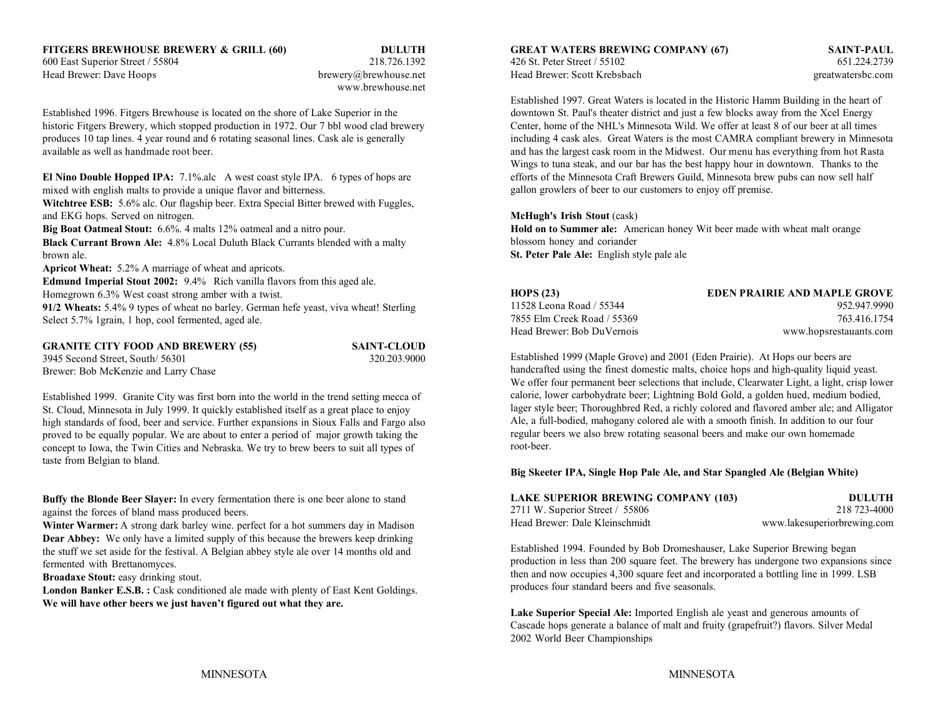www.brewhouse.net

Established 1996. Fitgers Brewhouse is located on the shore of Lake Superior in the downtown St. Paul's theater district and just a few blocks away from the Xcel Energy historic Fitgers Brewery, which stopped production in 1972. Our 7 bbl wood clad brewery Center, home of the NHL's Minnesota Wild. We offer at least 8 of our beer at all times produces 10 tap lines. 4 year round and 6 rotating seasonal lines. Cask ale is generally including 4 cask ales. Great Waters is the most CAMRA compliant brewery in Minnesota available as well as handmade root beer. and has the largest cask room in the Midwest. Our menu has everything from hot Rasta

**El Nino Double Hopped IPA:** 7.1%.alc A west coast style IPA. 6 types of hops are mixed with english malts to provide a unique flavor and bitterness.

**Witchtree ESB:** 5.6% alc. Our flagship beer. Extra Special Bitter brewed with Fuggles, and EKG hops. Served on nitrogen.

**Big Boat Oatmeal Stout:** 6.6%. 4 malts 12% oatmeal and a nitro pour.

**Black Currant Brown Ale:** 4.8% Local Duluth Black Currants blended with a malty brown ale.

**Apricot Wheat:** 5.2% A marriage of wheat and apricots.

**Edmund Imperial Stout 2002:** 9.4% Rich vanilla flavors from this aged ale. Homegrown 6.3% West coast strong amber with a twist.

**91/2 Wheats:** 5.4% 9 types of wheat no barley. German hefe yeast, viva wheat! Sterling Select 5.7% 1grain, 1 hop, cool fermented, aged ale.

**GRANITE CITY FOOD AND BREWERY (55) SAINT-CLOUD** 3945 Second Street, South/ 56301 320.203.9000 Brewer: Bob McKenzie and Larry Chase

Established 1999. Granite City was first born into the world in the trend setting mecca of St. Cloud, Minnesota in July 1999. It quickly established itself as a great place to enjoy high standards of food, beer and service. Further expansions in Sioux Falls and Fargo also proved to be equally popular. We are about to enter a period of major growth taking the concept to Iowa, the Twin Cities and Nebraska. We try to brew beers to suit all types of taste from Belgian to bland.

**Buffy the Blonde Beer Slayer:** In every fermentation there is one beer alone to stand against the forces of bland mass produced beers.

**Winter Warmer:** A strong dark barley wine. perfect for a hot summers day in Madison **Dear Abbey:** We only have a limited supply of this because the brewers keep drinking the stuff we set aside for the festival. A Belgian abbey style ale over 14 months old and fermented with Brettanomyces.

**Broadaxe Stout:** easy drinking stout.

London Banker E.S.B. : Cask conditioned ale made with plenty of East Kent Goldings. **We will have other beers we just haven't figured out what they are.**

600 East Superior Street / 55804 218.726.1392 426 St. Peter Street / 55102 651.224.2739 Head Brewer: Dave Hoops hew the brewery@brewhouse.net Head Brewer: Scott Krebsbach greatwatersbc.com greatwatersbc.com

Established 1997. Great Waters is located in the Historic Hamm Building in the heart of Wings to tuna steak, and our bar has the best happy hour in downtown. Thanks to the efforts of the Minnesota Craft Brewers Guild, Minnesota brew pubs can now sell half gallon growlers of beer to our customers to enjoy off premise.

### **McHugh's Irish Stout** (cask)

**Hold on to Summer ale:** American honey Wit beer made with wheat malt orange blossom honey and coriander **St. Peter Pale Ale:** English style pale ale

| <b>HOPS (23)</b>            | <b>EDEN PRAIRIE AND MAPLE GROVE</b> |
|-----------------------------|-------------------------------------|
| 11528 Leona Road / 55344    | 952.947.9990                        |
| 7855 Elm Creek Road / 55369 | 763.416.1754                        |
| Head Brewer: Bob DuVernois  | www.hopsrestauants.com              |

Established 1999 (Maple Grove) and 2001 (Eden Prairie). At Hops our beers are handcrafted using the finest domestic malts, choice hops and high-quality liquid yeast. We offer four permanent beer selections that include, Clearwater Light, a light, crisp lower calorie, lower carbohydrate beer; Lightning Bold Gold, a golden hued, medium bodied, lager style beer; Thoroughbred Red, a richly colored and flavored amber ale; and Alligator Ale, a full-bodied, mahogany colored ale with a smooth finish. In addition to our four regular beers we also brew rotating seasonal beers and make our own homemade root-beer.

### **Big Skeeter IPA, Single Hop Pale Ale, and Star Spangled Ale (Belgian White)**

| <b>LAKE SUPERIOR BREWING COMPANY (103)</b> | DULUTH                      |
|--------------------------------------------|-----------------------------|
| 2711 W. Superior Street $/$ 55806          | 218 723-4000                |
| Head Brewer: Dale Kleinschmidt             | www.lakesuperiorbrewing.com |

Established 1994. Founded by Bob Dromeshauser, Lake Superior Brewing began production in less than 200 square feet. The brewery has undergone two expansions since then and now occupies 4,300 square feet and incorporated a bottling line in 1999. LSB produces four standard beers and five seasonals.

**Lake Superior Special Ale:** Imported English ale yeast and generous amounts of Cascade hops generate a balance of malt and fruity (grapefruit?) flavors. Silver Medal 2002 World Beer Championships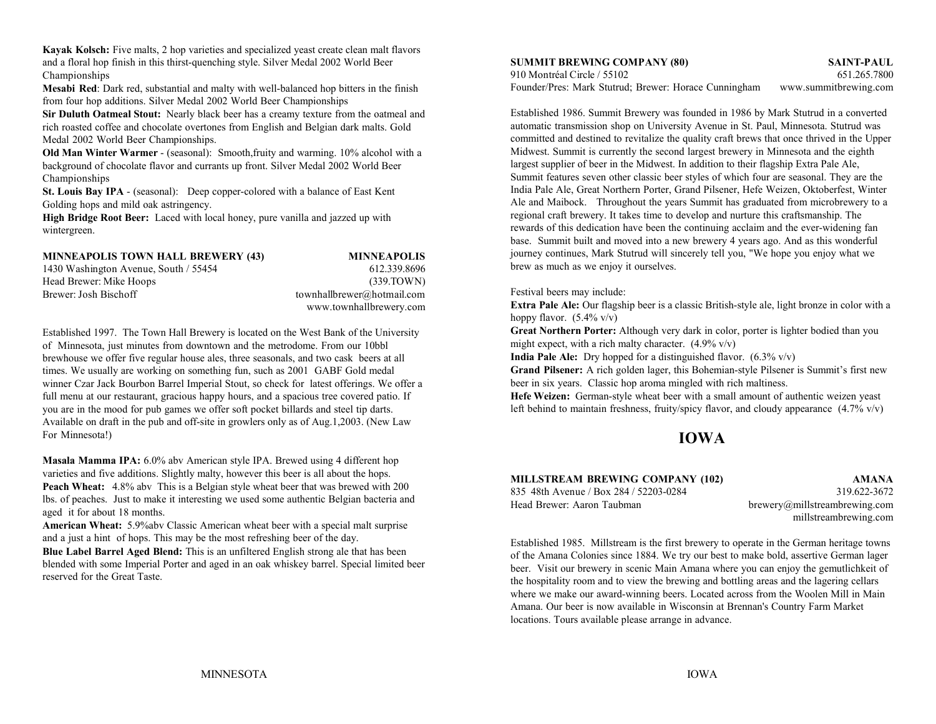**Kayak Kolsch:** Five malts, 2 hop varieties and specialized yeast create clean malt flavors and a floral hop finish in this thirst-quenching style. Silver Medal 2002 World Beer **SUMMIT BREWING COMPANY (80) SAINT-PAUL** Championships

**Mesabi Red**: Dark red, substantial and malty with well-balanced hop bitters in the finish from four hop additions. Silver Medal 2002 World Beer Championships

**Sir Duluth Oatmeal Stout:** Nearly black beer has a creamy texture from the oatmeal and rich roasted coffee and chocolate overtones from English and Belgian dark malts. Gold Medal 2002 World Beer Championships.

**Old Man Winter Warmer** - (seasonal): Smooth,fruity and warming. 10% alcohol with a background of chocolate flavor and currants up front. Silver Medal 2002 World Beer Championships

**St. Louis Bay IPA** - (seasonal): Deep copper-colored with a balance of East Kent Golding hops and mild oak astringency.

**High Bridge Root Beer:** Laced with local honey, pure vanilla and jazzed up with wintergreen.

| <b>MINNEAPOLIS TOWN HALL BREWERY (43)</b> | <b>MINNEAPOLIS</b>         |
|-------------------------------------------|----------------------------|
| 1430 Washington Avenue, South / 55454     | 612.339.8696               |
| Head Brewer: Mike Hoops                   | (339.TOWN)                 |
| Brewer: Josh Bischoff                     | townhallbrewer@hotmail.com |
|                                           | www.townhallbrewery.com    |

Established 1997. The Town Hall Brewery is located on the West Bank of the University of Minnesota, just minutes from downtown and the metrodome. From our 10bbl brewhouse we offer five regular house ales, three seasonals, and two cask beers at all times. We usually are working on something fun, such as 2001 GABF Gold medal winner Czar Jack Bourbon Barrel Imperial Stout, so check for latest offerings. We offer a full menu at our restaurant, gracious happy hours, and a spacious tree covered patio. If you are in the mood for pub games we offer soft pocket billards and steel tip darts. Available on draft in the pub and off-site in growlers only as of Aug.1,2003. (New Law For Minnesota!)

**Masala Mamma IPA:** 6.0% abv American style IPA. Brewed using 4 different hop varieties and five additions. Slightly malty, however this beer is all about the hops. **Peach Wheat:** 4.8% abv This is a Belgian style wheat beer that was brewed with 200 lbs. of peaches. Just to make it interesting we used some authentic Belgian bacteria and aged it for about 18 months.

**American Wheat:** 5.9%abv Classic American wheat beer with a special malt surprise and a just a hint of hops. This may be the most refreshing beer of the day.

**Blue Label Barrel Aged Blend:** This is an unfiltered English strong ale that has been blended with some Imperial Porter and aged in an oak whiskey barrel. Special limited beer reserved for the Great Taste.

910 Montréal Circle / 55102 651.265.7800Founder/Pres: Mark Stutrud; Brewer: Horace Cunningham www.summitbrewing.com

Established 1986. Summit Brewery was founded in 1986 by Mark Stutrud in a converted automatic transmission shop on University Avenue in St. Paul, Minnesota. Stutrud was committed and destined to revitalize the quality craft brews that once thrived in the Upper Midwest. Summit is currently the second largest brewery in Minnesota and the eighth largest supplier of beer in the Midwest. In addition to their flagship Extra Pale Ale, Summit features seven other classic beer styles of which four are seasonal. They are the India Pale Ale, Great Northern Porter, Grand Pilsener, Hefe Weizen, Oktoberfest, Winter Ale and Maibock. Throughout the years Summit has graduated from microbrewery to a regional craft brewery. It takes time to develop and nurture this craftsmanship. The rewards of this dedication have been the continuing acclaim and the ever-widening fan base. Summit built and moved into a new brewery 4 years ago. And as this wonderful journey continues, Mark Stutrud will sincerely tell you, "We hope you enjoy what we brew as much as we enjoy it ourselves.

### Festival beers may include:

**Extra Pale Ale:** Our flagship beer is a classic British-style ale, light bronze in color with a hoppy flavor.  $(5.4\% \text{ v/v})$ 

**Great Northern Porter:** Although very dark in color, porter is lighter bodied than you might expect, with a rich malty character.  $(4.9\%$  v/v)

**India Pale Ale:** Dry hopped for a distinguished flavor. (6.3% v/v)

**Grand Pilsener:** A rich golden lager, this Bohemian-style Pilsener is Summit's first new beer in six years. Classic hop aroma mingled with rich maltiness.

**Hefe Weizen:** German-style wheat beer with a small amount of authentic weizen yeast left behind to maintain freshness, fruity/spicy flavor, and cloudy appearance  $(4.7\% \text{ v/v})$ 

# **IOWA**

| MILLSTREAM BREWING COMPANY (102)       | AMANA                         |
|----------------------------------------|-------------------------------|
| 835 48th Avenue / Box 284 / 52203-0284 | 319.622-3672                  |
| Head Brewer: Aaron Taubman             | brewery@millstreambrewing.com |

millstreambrewing.com

Established 1985. Millstream is the first brewery to operate in the German heritage towns of the Amana Colonies since 1884. We try our best to make bold, assertive German lager beer. Visit our brewery in scenic Main Amana where you can enjoy the gemutlichkeit of the hospitality room and to view the brewing and bottling areas and the lagering cellars where we make our award-winning beers. Located across from the Woolen Mill in Main Amana. Our beer is now available in Wisconsin at Brennan's Country Farm Market locations. Tours available please arrange in advance.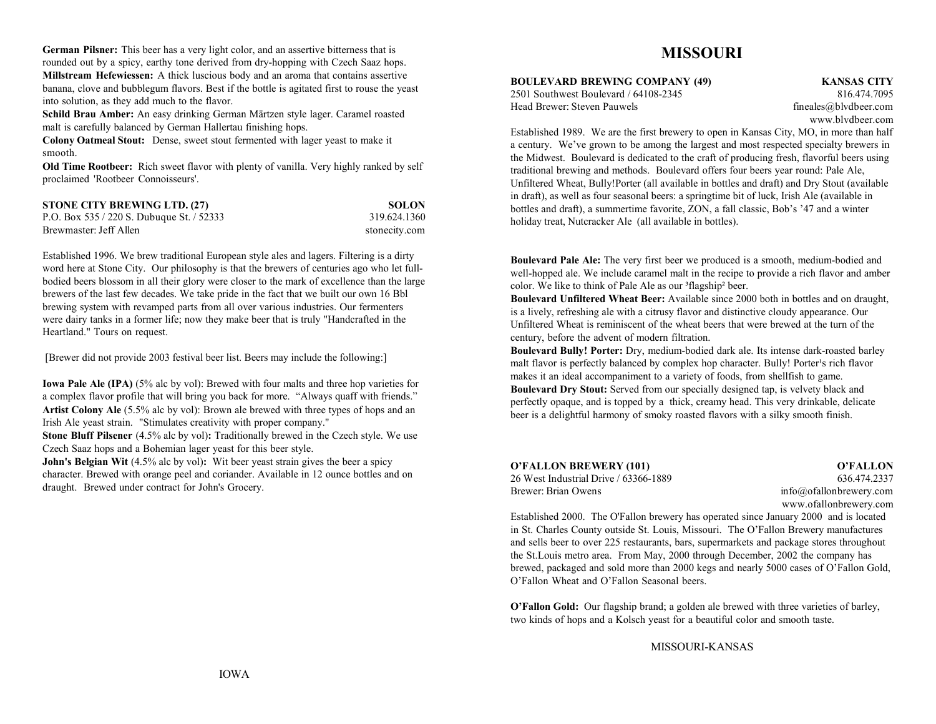**German Pilsner:** This beer has a very light color, and an assertive bitterness that is rounded out by a spicy, earthy tone derived from dry-hopping with Czech Saaz hops. **Millstream Hefewiessen:** A thick luscious body and an aroma that contains assertive banana, clove and bubblegum flavors. Best if the bottle is agitated first to rouse the yeast into solution, as they add much to the flavor.

**Schild Brau Amber:** An easy drinking German Märtzen style lager. Caramel roasted malt is carefully balanced by German Hallertau finishing hops.

**Colony Oatmeal Stout:** Dense, sweet stout fermented with lager yeast to make it smooth.

**Old Time Rootbeer:** Rich sweet flavor with plenty of vanilla. Very highly ranked by self proclaimed 'Rootbeer Connoisseurs'.

| <b>STONE CITY BREWING LTD. (27)</b>        | <b>SOLON</b>  |
|--------------------------------------------|---------------|
| P.O. Box $535/220$ S. Dubuque St. $/52333$ | 319.624.1360  |
| Brewmaster: Jeff Allen                     | stonecity.com |

Established 1996. We brew traditional European style ales and lagers. Filtering is a dirty word here at Stone City. Our philosophy is that the brewers of centuries ago who let fullbodied beers blossom in all their glory were closer to the mark of excellence than the large brewers of the last few decades. We take pride in the fact that we built our own 16 Bbl brewing system with revamped parts from all over various industries. Our fermenters were dairy tanks in a former life; now they make beer that is truly "Handcrafted in the Heartland." Tours on request.

[Brewer did not provide 2003 festival beer list. Beers may include the following:]

**Iowa Pale Ale (IPA)** (5% alc by vol): Brewed with four malts and three hop varieties for a complex flavor profile that will bring you back for more. "Always quaff with friends." **Artist Colony Ale** (5.5% alc by vol): Brown ale brewed with three types of hops and an Irish Ale yeast strain. "Stimulates creativity with proper company."

**Stone Bluff Pilsener** (4.5% alc by vol): Traditionally brewed in the Czech style. We use Czech Saaz hops and a Bohemian lager yeast for this beer style.

**John's Belgian Wit** (4.5% alc by vol): Wit beer yeast strain gives the beer a spicy character. Brewed with orange peel and coriander. Available in 12 ounce bottles and on draught. Brewed under contract for John's Grocery.

# **MISSOURI**

**BOULEVARD BREWING COMPANY (49) KANSAS CITY**

2501 Southwest Boulevard / 64108-2345 816.474.7095Head Brewer: Steven Pauwels fineales ably fineales ably fineales ably the fineales ably the fineales ably the fineales ably the fineales ably the fineales ably the fineales ably the fineales ably the fineales ably the fine

www.blvdbeer.com

Established 1989. We are the first brewery to open in Kansas City, MO, in more than half a century. We've grown to be among the largest and most respected specialty brewers in the Midwest. Boulevard is dedicated to the craft of producing fresh, flavorful beers using traditional brewing and methods. Boulevard offers four beers year round: Pale Ale, Unfiltered Wheat, Bully!Porter (all available in bottles and draft) and Dry Stout (available in draft), as well as four seasonal beers: a springtime bit of luck, Irish Ale (available in bottles and draft), a summertime favorite, ZON, a fall classic, Bob's '47 and a winter holiday treat, Nutcracker Ale (all available in bottles).

**Boulevard Pale Ale:** The very first beer we produced is a smooth, medium-bodied and well-hopped ale. We include caramel malt in the recipe to provide a rich flavor and amber color. We like to think of Pale Ale as our <sup>3</sup>flagship<sup>2</sup> beer.

**Boulevard Unfiltered Wheat Beer:** Available since 2000 both in bottles and on draught, is a lively, refreshing ale with a citrusy flavor and distinctive cloudy appearance. Our Unfiltered Wheat is reminiscent of the wheat beers that were brewed at the turn of the century, before the advent of modern filtration.

**Boulevard Bully! Porter:** Dry, medium-bodied dark ale. Its intense dark-roasted barley malt flavor is perfectly balanced by complex hop character. Bully! Porter's rich flavor makes it an ideal accompaniment to a variety of foods, from shellfish to game. **Boulevard Dry Stout:** Served from our specially designed tap, is velvety black and perfectly opaque, and is topped by a thick, creamy head. This very drinkable, delicate beer is a delightful harmony of smoky roasted flavors with a silky smooth finish.

| O'FALLON BREWERY (101)                | O'FALLON               |
|---------------------------------------|------------------------|
| 26 West Industrial Drive / 63366-1889 | 636.474.2337           |
| Brewer: Brian Owens                   | info@ofallowbewery.com |
|                                       | www.ofallonbrewery.com |

Established 2000. The O'Fallon brewery has operated since January 2000 and is located in St. Charles County outside St. Louis, Missouri. The O'Fallon Brewery manufactures and sells beer to over 225 restaurants, bars, supermarkets and package stores throughout the St.Louis metro area. From May, 2000 through December, 2002 the company has brewed, packaged and sold more than 2000 kegs and nearly 5000 cases of O'Fallon Gold, O'Fallon Wheat and O'Fallon Seasonal beers.

**O'Fallon Gold:** Our flagship brand; a golden ale brewed with three varieties of barley, two kinds of hops and a Kolsch yeast for a beautiful color and smooth taste.

# MISSOURI-KANSAS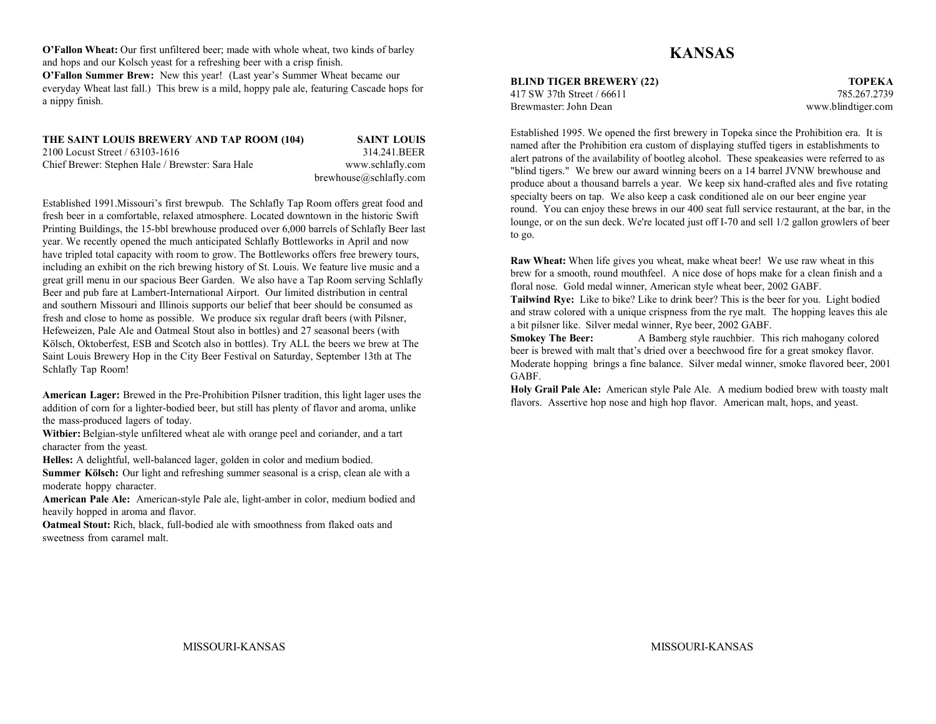**O'Fallon Wheat:** Our first unfiltered beer; made with whole wheat, two kinds of barley and hops and our Kolsch yeast for a refreshing beer with a crisp finish. **O'Fallon Summer Brew:** New this year! (Last year's Summer Wheat became our everyday Wheat last fall.) This brew is a mild, hoppy pale ale, featuring Cascade hops for a nippy finish.

### **THE SAINT LOUIS BREWERY AND TAP ROOM (104) SAINT LOUIS** 2100 Locust Street / 63103-1616 314.241.BEERChief Brewer: Stephen Hale / Brewster: Sara Hale www.schlafly.com brewhouse@schlafly.com

Established 1991.Missouri's first brewpub. The Schlafly Tap Room offers great food and fresh beer in a comfortable, relaxed atmosphere. Located downtown in the historic Swift Printing Buildings, the 15-bbl brewhouse produced over 6,000 barrels of Schlafly Beer last year. We recently opened the much anticipated Schlafly Bottleworks in April and now have tripled total capacity with room to grow. The Bottleworks offers free brewery tours, including an exhibit on the rich brewing history of St. Louis. We feature live music and a great grill menu in our spacious Beer Garden. We also have a Tap Room serving Schlafly Beer and pub fare at Lambert-International Airport. Our limited distribution in central and southern Missouri and Illinois supports our belief that beer should be consumed as fresh and close to home as possible. We produce six regular draft beers (with Pilsner, Hefeweizen, Pale Ale and Oatmeal Stout also in bottles) and 27 seasonal beers (with Kölsch, Oktoberfest, ESB and Scotch also in bottles). Try ALL the beers we brew at The Saint Louis Brewery Hop in the City Beer Festival on Saturday, September 13th at The Schlafly Tap Room!

**American Lager:** Brewed in the Pre-Prohibition Pilsner tradition, this light lager uses the addition of corn for a lighter-bodied beer, but still has plenty of flavor and aroma, unlike the mass-produced lagers of today.

**Witbier:** Belgian-style unfiltered wheat ale with orange peel and coriander, and a tart character from the yeast.

**Helles:** A delightful, well-balanced lager, golden in color and medium bodied.

**Summer Kölsch:** Our light and refreshing summer seasonal is a crisp, clean ale with a moderate hoppy character.

**American Pale Ale:** American-style Pale ale, light-amber in color, medium bodied and heavily hopped in aroma and flavor.

**Oatmeal Stout:** Rich, black, full-bodied ale with smoothness from flaked oats and sweetness from caramel malt.

# **KANSAS**

**BLIND TIGER BREWERY (22) TOPEKA** 417 SW 37th Street / 66611 785.267.2739Brewmaster: John Dean

www.blindtiger.com

Established 1995. We opened the first brewery in Topeka since the Prohibition era. It is named after the Prohibition era custom of displaying stuffed tigers in establishments to alert patrons of the availability of bootleg alcohol. These speakeasies were referred to as "blind tigers." We brew our award winning beers on a 14 barrel JVNW brewhouse and produce about a thousand barrels a year. We keep six hand-crafted ales and five rotating specialty beers on tap. We also keep a cask conditioned ale on our beer engine year round. You can enjoy these brews in our 400 seat full service restaurant, at the bar, in the lounge, or on the sun deck. We're located just off I-70 and sell 1/2 gallon growlers of beer to go.

**Raw Wheat:** When life gives you wheat, make wheat beer! We use raw wheat in this brew for a smooth, round mouthfeel. A nice dose of hops make for a clean finish and a floral nose. Gold medal winner, American style wheat beer, 2002 GABF.

**Tailwind Rye:** Like to bike? Like to drink beer? This is the beer for you. Light bodied and straw colored with a unique crispness from the rye malt. The hopping leaves this ale a bit pilsner like. Silver medal winner, Rye beer, 2002 GABF.

**Smokey The Beer:** A Bamberg style rauchbier. This rich mahogany colored beer is brewed with malt that's dried over a beechwood fire for a great smokey flavor. Moderate hopping brings a fine balance. Silver medal winner, smoke flavored beer, 2001 GABF.

**Holy Grail Pale Ale:** American style Pale Ale. A medium bodied brew with toasty malt flavors. Assertive hop nose and high hop flavor. American malt, hops, and yeast.